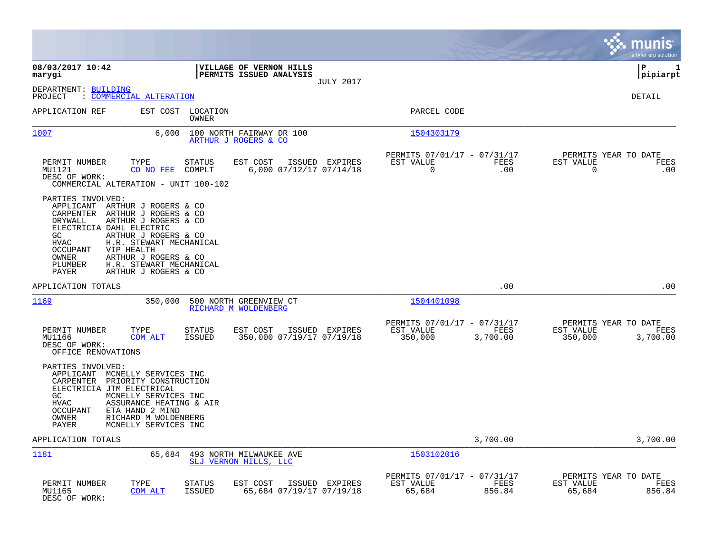|                                                                                                                                                                                                                                                                                                                                                                             |                                                                                    |                                                                             | a tyler erp solution                                             |
|-----------------------------------------------------------------------------------------------------------------------------------------------------------------------------------------------------------------------------------------------------------------------------------------------------------------------------------------------------------------------------|------------------------------------------------------------------------------------|-----------------------------------------------------------------------------|------------------------------------------------------------------|
| 08/03/2017 10:42<br>marygi                                                                                                                                                                                                                                                                                                                                                  | VILLAGE OF VERNON HILLS<br>PERMITS ISSUED ANALYSIS<br><b>JULY 2017</b>             |                                                                             | lР<br>$\mathbf{1}$<br> pipiarpt                                  |
| DEPARTMENT: BUILDING<br>: COMMERCIAL ALTERATION<br>PROJECT                                                                                                                                                                                                                                                                                                                  |                                                                                    |                                                                             | <b>DETAIL</b>                                                    |
| EST COST<br>APPLICATION REF                                                                                                                                                                                                                                                                                                                                                 | LOCATION<br>OWNER                                                                  | PARCEL CODE                                                                 |                                                                  |
| 1007<br>6,000                                                                                                                                                                                                                                                                                                                                                               | 100 NORTH FAIRWAY DR 100<br>ARTHUR J ROGERS & CO                                   | 1504303179                                                                  |                                                                  |
| PERMIT NUMBER<br>TYPE<br>MU1121<br>CO NO FEE<br>DESC OF WORK:<br>COMMERCIAL ALTERATION - UNIT 100-102                                                                                                                                                                                                                                                                       | EST COST<br>STATUS<br>ISSUED EXPIRES<br>6,000 07/12/17 07/14/18<br>COMPLT          | PERMITS 07/01/17 - 07/31/17<br>EST VALUE<br>FEES<br>$\mathbf 0$<br>.00      | PERMITS YEAR TO DATE<br>EST VALUE<br>FEES<br>0<br>.00            |
| PARTIES INVOLVED:<br>APPLICANT<br>ARTHUR J ROGERS & CO<br>CARPENTER<br>ARTHUR J ROGERS & CO<br>ARTHUR J ROGERS & CO<br>DRYWALL<br>ELECTRICIA DAHL ELECTRIC<br>GC<br>ARTHUR J ROGERS & CO<br>H.R. STEWART MECHANICAL<br><b>HVAC</b><br><b>OCCUPANT</b><br>VIP HEALTH<br>OWNER<br>ARTHUR J ROGERS & CO<br>H.R. STEWART MECHANICAL<br>PLUMBER<br>PAYER<br>ARTHUR J ROGERS & CO |                                                                                    |                                                                             |                                                                  |
| APPLICATION TOTALS                                                                                                                                                                                                                                                                                                                                                          |                                                                                    | .00                                                                         | .00                                                              |
| 1169<br>350,000                                                                                                                                                                                                                                                                                                                                                             | 500 NORTH GREENVIEW CT<br>RICHARD M WOLDENBERG                                     | 1504401098                                                                  |                                                                  |
| PERMIT NUMBER<br>TYPE<br><b>COM ALT</b><br>MU1166<br>DESC OF WORK:<br>OFFICE RENOVATIONS                                                                                                                                                                                                                                                                                    | STATUS<br>EST COST<br>ISSUED EXPIRES<br><b>ISSUED</b><br>350,000 07/19/17 07/19/18 | PERMITS 07/01/17 - 07/31/17<br>FEES<br>EST VALUE<br>350,000<br>3,700.00     | PERMITS YEAR TO DATE<br>EST VALUE<br>FEES<br>350,000<br>3,700.00 |
| PARTIES INVOLVED:<br>APPLICANT MCNELLY SERVICES INC<br>CARPENTER PRIORITY CONSTRUCTION<br>ELECTRICIA JTM ELECTRICAL<br>MCNELLY SERVICES INC<br>GC<br><b>HVAC</b><br>ASSURANCE HEATING & AIR<br>OCCUPANT<br>ETA HAND 2 MIND<br>RICHARD M WOLDENBERG<br>OWNER<br>PAYER<br>MCNELLY SERVICES INC                                                                                |                                                                                    |                                                                             |                                                                  |
| APPLICATION TOTALS                                                                                                                                                                                                                                                                                                                                                          |                                                                                    | 3,700.00                                                                    | 3,700.00                                                         |
| 1181<br>65,684                                                                                                                                                                                                                                                                                                                                                              | 493 NORTH MILWAUKEE AVE<br>SLJ VERNON HILLS, LLC                                   | 1503102016                                                                  |                                                                  |
| PERMIT NUMBER<br>TYPE<br>MU1165<br><b>COM ALT</b><br>DESC OF WORK:                                                                                                                                                                                                                                                                                                          | EST COST<br>ISSUED EXPIRES<br>STATUS<br>65,684 07/19/17 07/19/18<br><b>ISSUED</b>  | PERMITS 07/01/17 - 07/31/17<br>EST VALUE<br><b>FEES</b><br>65,684<br>856.84 | PERMITS YEAR TO DATE<br>EST VALUE<br>FEES<br>65,684<br>856.84    |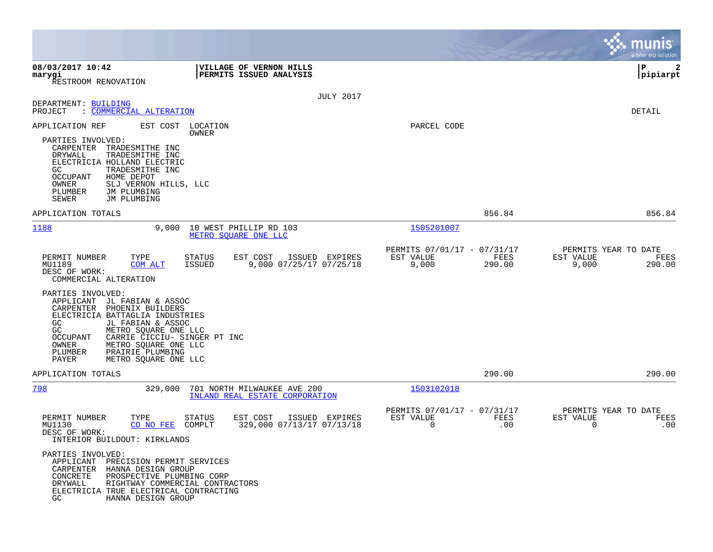|                                                                                                                                                                                                                                                                                                                                   |                                                                     | munis<br>a tyler erp solution                                   |
|-----------------------------------------------------------------------------------------------------------------------------------------------------------------------------------------------------------------------------------------------------------------------------------------------------------------------------------|---------------------------------------------------------------------|-----------------------------------------------------------------|
| 08/03/2017 10:42<br>VILLAGE OF VERNON HILLS<br>PERMITS ISSUED ANALYSIS<br>marygi<br>RESTROOM RENOVATION                                                                                                                                                                                                                           |                                                                     | P<br> pipiarpt                                                  |
| <b>JULY 2017</b><br>DEPARTMENT: BUILDING<br><u>COMMERCIAL ALTERATION</u><br>PROJECT                                                                                                                                                                                                                                               |                                                                     | DETAIL                                                          |
| APPLICATION REF<br>EST COST LOCATION<br>OWNER<br>PARTIES INVOLVED:<br>CARPENTER TRADESMITHE INC<br>DRYWALL<br>TRADESMITHE INC<br>ELECTRICIA HOLLAND ELECTRIC<br>GC<br>TRADESMITHE INC<br>OCCUPANT<br>HOME DEPOT<br>OWNER<br>SLJ VERNON HILLS, LLC<br>PLUMBER<br>JM PLUMBING<br>SEWER<br>JM PLUMBING                               | PARCEL CODE                                                         |                                                                 |
| APPLICATION TOTALS                                                                                                                                                                                                                                                                                                                | 856.84                                                              | 856.84                                                          |
| 1188<br>9,000<br>10 WEST PHILLIP RD 103<br>METRO SOUARE ONE LLC                                                                                                                                                                                                                                                                   | 1505201007                                                          |                                                                 |
| TYPE<br>EST COST<br>PERMIT NUMBER<br>STATUS<br>ISSUED EXPIRES<br>MU1189<br>9,000 07/25/17 07/25/18<br><b>COM ALT</b><br>ISSUED<br>DESC OF WORK:<br>COMMERCIAL ALTERATION                                                                                                                                                          | PERMITS 07/01/17 - 07/31/17<br>EST VALUE<br>FEES<br>9,000<br>290.00 | PERMITS YEAR TO DATE<br>EST VALUE<br>FEES<br>9,000<br>290.00    |
| PARTIES INVOLVED:<br>APPLICANT JL FABIAN & ASSOC<br>CARPENTER<br>PHOENIX BUILDERS<br>ELECTRICIA BATTAGLIA INDUSTRIES<br>GC<br>JL FABIAN & ASSOC<br>GC<br>METRO SQUARE ONE LLC<br>CARRIE CICCIU- SINGER PT INC<br><b>OCCUPANT</b><br>OWNER<br>METRO SQUARE ONE LLC<br>PLUMBER<br>PRAIRIE PLUMBING<br>PAYER<br>METRO SQUARE ONE LLC |                                                                     |                                                                 |
| APPLICATION TOTALS                                                                                                                                                                                                                                                                                                                | 290.00                                                              | 290.00                                                          |
| 798<br>329,000<br>701 NORTH MILWAUKEE AVE 200<br>INLAND REAL ESTATE CORPORATION                                                                                                                                                                                                                                                   | 1503102018                                                          |                                                                 |
| PERMIT NUMBER<br>EST COST<br>ISSUED<br>TYPE<br>STATUS<br>EXPIRES<br>MU1130<br>329,000 07/13/17 07/13/18<br>CO NO FEE<br>COMPLT<br>DESC OF WORK:<br>INTERIOR BUILDOUT: KIRKLANDS                                                                                                                                                   | PERMITS 07/01/17 - 07/31/17<br>EST VALUE<br>FEES<br>0<br>.00        | PERMITS YEAR TO DATE<br>FEES<br>EST VALUE<br>$\mathbf 0$<br>.00 |
| PARTIES INVOLVED:<br>APPLICANT PRECISION PERMIT SERVICES<br>CARPENTER HANNA DESIGN GROUP<br>CONCRETE<br>PROSPECTIVE PLUMBING CORP<br>DRYWALL<br>RIGHTWAY COMMERCIAL CONTRACTORS<br>ELECTRICIA TRUE ELECTRICAL CONTRACTING<br>GC<br>HANNA DESIGN GROUP                                                                             |                                                                     |                                                                 |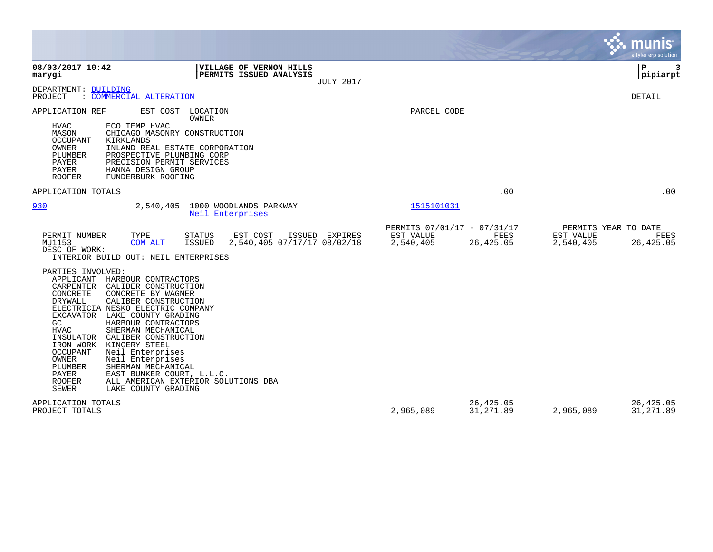|                                                                                                                                                                                                                                                                                                                                                                                                                                                                                                                                                                                                                                                                                                                                                                                                                        |                                                                    | munis<br>a tyler erp solution                                                      |
|------------------------------------------------------------------------------------------------------------------------------------------------------------------------------------------------------------------------------------------------------------------------------------------------------------------------------------------------------------------------------------------------------------------------------------------------------------------------------------------------------------------------------------------------------------------------------------------------------------------------------------------------------------------------------------------------------------------------------------------------------------------------------------------------------------------------|--------------------------------------------------------------------|------------------------------------------------------------------------------------|
| 08/03/2017 10:42<br>VILLAGE OF VERNON HILLS<br>marygi<br>PERMITS ISSUED ANALYSIS<br><b>JULY 2017</b>                                                                                                                                                                                                                                                                                                                                                                                                                                                                                                                                                                                                                                                                                                                   |                                                                    | Þ<br>3<br> pipiarpt                                                                |
| DEPARTMENT: BUILDING<br>: COMMERCIAL ALTERATION<br>PROJECT                                                                                                                                                                                                                                                                                                                                                                                                                                                                                                                                                                                                                                                                                                                                                             |                                                                    | DETAIL                                                                             |
| APPLICATION REF<br>EST COST<br>LOCATION<br><b>OWNER</b><br><b>HVAC</b><br>ECO TEMP HVAC<br>MASON<br>CHICAGO MASONRY CONSTRUCTION<br><b>OCCUPANT</b><br>KIRKLANDS<br>OWNER<br>INLAND REAL ESTATE CORPORATION<br>PLUMBER<br>PROSPECTIVE PLUMBING CORP<br>PAYER<br>PRECISION PERMIT SERVICES<br>PAYER<br>HANNA DESIGN GROUP<br><b>ROOFER</b><br>FUNDERBURK ROOFING                                                                                                                                                                                                                                                                                                                                                                                                                                                        | PARCEL CODE                                                        |                                                                                    |
| APPLICATION TOTALS                                                                                                                                                                                                                                                                                                                                                                                                                                                                                                                                                                                                                                                                                                                                                                                                     |                                                                    | .00<br>.00                                                                         |
| 930<br>2,540,405<br>1000 WOODLANDS PARKWAY<br>Neil Enterprises                                                                                                                                                                                                                                                                                                                                                                                                                                                                                                                                                                                                                                                                                                                                                         | 1515101031                                                         |                                                                                    |
| PERMIT NUMBER<br>TYPE<br><b>STATUS</b><br>EST COST<br>ISSUED EXPIRES<br>MU1153<br>2,540,405 07/17/17 08/02/18<br>COM ALT<br>ISSUED<br>DESC OF WORK:<br>INTERIOR BUILD OUT: NEIL ENTERPRISES<br>PARTIES INVOLVED:<br>APPLICANT<br>HARBOUR CONTRACTORS<br>CARPENTER<br>CALIBER CONSTRUCTION<br>CONCRETE<br>CONCRETE BY WAGNER<br>CALIBER CONSTRUCTION<br>DRYWALL<br>ELECTRICIA NESKO ELECTRIC COMPANY<br>LAKE COUNTY GRADING<br>EXCAVATOR<br>GC<br>HARBOUR CONTRACTORS<br><b>HVAC</b><br>SHERMAN MECHANICAL<br>INSULATOR<br>CALIBER CONSTRUCTION<br>KINGERY STEEL<br>IRON WORK<br><b>OCCUPANT</b><br>Neil Enterprises<br>OWNER<br>Neil Enterprises<br>PLUMBER<br>SHERMAN MECHANICAL<br>PAYER<br>EAST BUNKER COURT, L.L.C.<br><b>ROOFER</b><br>ALL AMERICAN EXTERIOR SOLUTIONS DBA<br><b>SEWER</b><br>LAKE COUNTY GRADING | PERMITS 07/01/17 - 07/31/17<br>EST VALUE<br>2,540,405<br>26,425.05 | PERMITS YEAR TO DATE<br>FEES<br>EST VALUE<br><b>FEES</b><br>2,540,405<br>26,425.05 |
| APPLICATION TOTALS<br>PROJECT TOTALS                                                                                                                                                                                                                                                                                                                                                                                                                                                                                                                                                                                                                                                                                                                                                                                   | 26,425.05<br>2,965,089<br>31,271.89                                | 26,425.05<br>2,965,089<br>31,271.89                                                |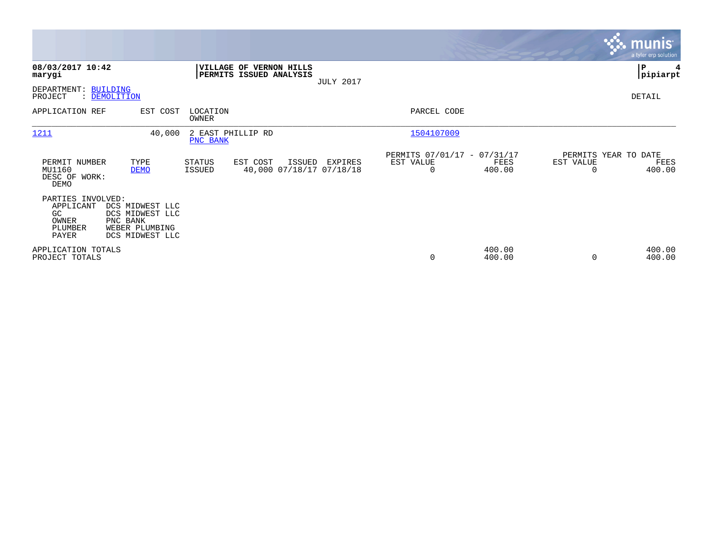|                                                                           |                                                                                     |                                |                                                           |                  |                                               |                  |                                   | <b>munis</b><br>a tyler erp solution |
|---------------------------------------------------------------------------|-------------------------------------------------------------------------------------|--------------------------------|-----------------------------------------------------------|------------------|-----------------------------------------------|------------------|-----------------------------------|--------------------------------------|
| 08/03/2017 10:42<br>marygi                                                |                                                                                     |                                | <b>VILLAGE OF VERNON HILLS</b><br>PERMITS ISSUED ANALYSIS | <b>JULY 2017</b> |                                               |                  |                                   | ∣P<br> pipiarpt                      |
| DEPARTMENT: BUILDING<br>PROJECT                                           | : DEMOLITION                                                                        |                                |                                                           |                  |                                               |                  |                                   | DETAIL                               |
| APPLICATION REF                                                           | EST COST                                                                            | LOCATION<br>OWNER              |                                                           |                  | PARCEL CODE                                   |                  |                                   |                                      |
| 1211                                                                      | 40,000                                                                              | 2 EAST PHILLIP RD<br>PNC BANK  |                                                           |                  | 1504107009                                    |                  |                                   |                                      |
| PERMIT NUMBER<br>MU1160<br>DESC OF WORK:<br>DEMO                          | TYPE<br><b>DEMO</b>                                                                 | <b>STATUS</b><br><b>ISSUED</b> | EST COST<br>ISSUED<br>40,000 07/18/17 07/18/18            | EXPIRES          | PERMITS 07/01/17 - 07/31/17<br>EST VALUE<br>0 | FEES<br>400.00   | PERMITS YEAR TO DATE<br>EST VALUE | FEES<br>400.00                       |
| PARTIES INVOLVED:<br>APPLICANT<br>GC.<br>OWNER<br><b>PLUMBER</b><br>PAYER | DCS MIDWEST LLC<br>DCS MIDWEST LLC<br>PNC BANK<br>WEBER PLUMBING<br>DCS MIDWEST LLC |                                |                                                           |                  |                                               |                  |                                   |                                      |
| APPLICATION TOTALS<br>PROJECT TOTALS                                      |                                                                                     |                                |                                                           |                  | 0                                             | 400.00<br>400.00 | $\Omega$                          | 400.00<br>400.00                     |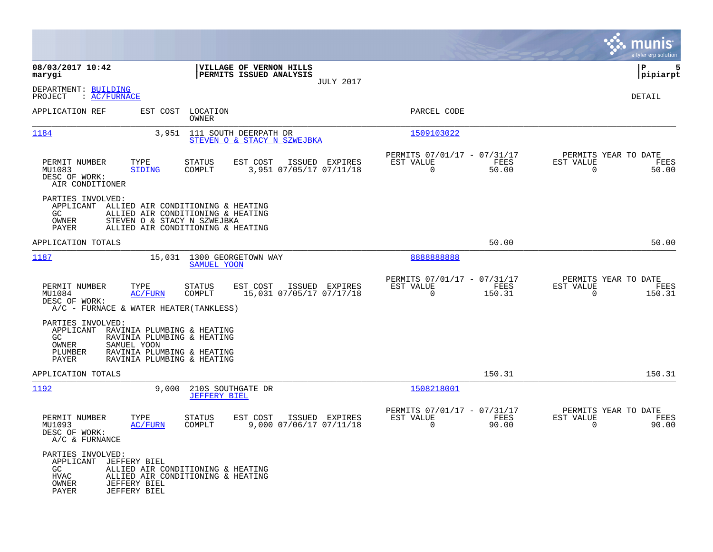|                                                                                                                               |                                                                                                                                            |                                                                           | munis<br>a tyler erp solution                                     |
|-------------------------------------------------------------------------------------------------------------------------------|--------------------------------------------------------------------------------------------------------------------------------------------|---------------------------------------------------------------------------|-------------------------------------------------------------------|
| 08/03/2017 10:42<br>marygi                                                                                                    | VILLAGE OF VERNON HILLS<br>PERMITS ISSUED ANALYSIS<br><b>JULY 2017</b>                                                                     |                                                                           | lР<br>5<br> pipiarpt                                              |
| DEPARTMENT: BUILDING<br>: AC/FURNACE<br>PROJECT                                                                               |                                                                                                                                            |                                                                           | DETAIL                                                            |
| APPLICATION REF<br>EST COST                                                                                                   | LOCATION<br>OWNER                                                                                                                          | PARCEL CODE                                                               |                                                                   |
| 1184<br>3,951                                                                                                                 | 111 SOUTH DEERPATH DR<br>STEVEN O & STACY N SZWEJBKA                                                                                       | 1509103022                                                                |                                                                   |
| PERMIT NUMBER<br>TYPE<br>MU1083<br><b>SIDING</b><br>DESC OF WORK:<br>AIR CONDITIONER                                          | STATUS<br>EST COST<br>ISSUED EXPIRES<br>COMPLT<br>3,951 07/05/17 07/11/18                                                                  | PERMITS 07/01/17 - 07/31/17<br>EST VALUE<br>FEES<br>$\mathbf 0$<br>50.00  | PERMITS YEAR TO DATE<br>EST VALUE<br>FEES<br>$\mathbf 0$<br>50.00 |
| PARTIES INVOLVED:<br>APPLICANT<br>GC<br>OWNER<br><b>PAYER</b>                                                                 | ALLIED AIR CONDITIONING & HEATING<br>ALLIED AIR CONDITIONING & HEATING<br>STEVEN O & STACY N SZWEJBKA<br>ALLIED AIR CONDITIONING & HEATING |                                                                           |                                                                   |
| APPLICATION TOTALS                                                                                                            |                                                                                                                                            | 50.00                                                                     | 50.00                                                             |
| 1187                                                                                                                          | 15,031 1300 GEORGETOWN WAY<br>SAMUEL YOON                                                                                                  | 888888888                                                                 |                                                                   |
| PERMIT NUMBER<br>TYPE<br>MU1084<br><b>AC/FURN</b><br>DESC OF WORK:<br>A/C - FURNACE & WATER HEATER (TANKLESS)                 | STATUS<br>EST COST<br>ISSUED EXPIRES<br>COMPLT<br>15,031 07/05/17 07/17/18                                                                 | PERMITS 07/01/17 - 07/31/17<br>EST VALUE<br>FEES<br>$\mathbf 0$<br>150.31 | PERMITS YEAR TO DATE<br>EST VALUE<br>FEES<br>0<br>150.31          |
| PARTIES INVOLVED:<br>APPLICANT<br>GC<br><b>OWNER</b><br>SAMUEL YOON<br>PLUMBER<br>PAYER                                       | RAVINIA PLUMBING & HEATING<br>RAVINIA PLUMBING & HEATING<br>RAVINIA PLUMBING & HEATING<br>RAVINIA PLUMBING & HEATING                       |                                                                           |                                                                   |
| APPLICATION TOTALS                                                                                                            |                                                                                                                                            | 150.31                                                                    | 150.31                                                            |
| 1192<br>9,000                                                                                                                 | 210S SOUTHGATE DR<br><b>JEFFERY BIEL</b>                                                                                                   | 1508218001                                                                |                                                                   |
| PERMIT NUMBER<br>TYPE<br>MU1093<br>AC/FURN<br>DESC OF WORK:<br>A/C & FURNANCE                                                 | STATUS<br>EST COST<br>ISSUED EXPIRES<br>COMPLT<br>9,000 07/06/17 07/11/18                                                                  | PERMITS 07/01/17 - 07/31/17<br>EST VALUE<br>FEES<br>$\mathbf 0$<br>90.00  | PERMITS YEAR TO DATE<br>EST VALUE<br>FEES<br>90.00<br>0           |
| PARTIES INVOLVED:<br>APPLICANT<br>JEFFERY BIEL<br>GC.<br><b>HVAC</b><br><b>JEFFERY BIEL</b><br>OWNER<br>PAYER<br>JEFFERY BIEL | ALLIED AIR CONDITIONING & HEATING<br>ALLIED AIR CONDITIONING & HEATING                                                                     |                                                                           |                                                                   |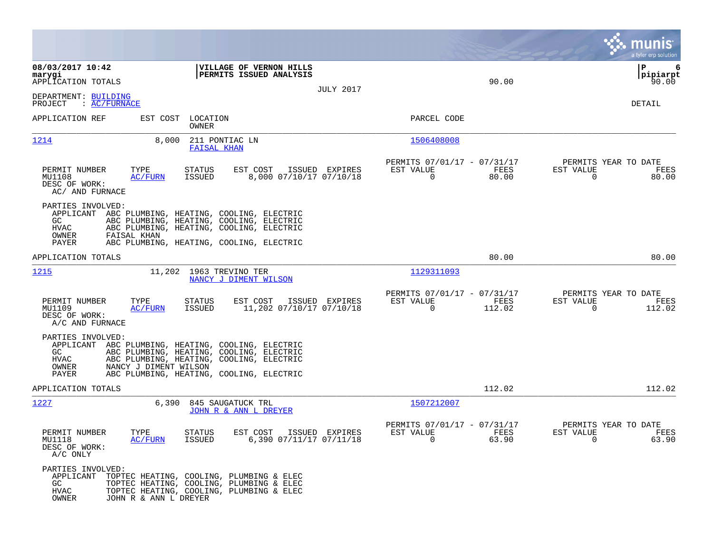|                                                                                       |                                                                                                                                                                                        |                                                                           | munis<br>a tyler erp solution                                     |
|---------------------------------------------------------------------------------------|----------------------------------------------------------------------------------------------------------------------------------------------------------------------------------------|---------------------------------------------------------------------------|-------------------------------------------------------------------|
| 08/03/2017 10:42<br>marygi<br>APPLICATION TOTALS                                      | VILLAGE OF VERNON HILLS<br>PERMITS ISSUED ANALYSIS<br><b>JULY 2017</b>                                                                                                                 | 90.00                                                                     | ΙP<br>6<br> pipiarpt<br>90.00                                     |
| DEPARTMENT: BUILDING<br>: AC/FURNACE<br>PROJECT                                       |                                                                                                                                                                                        |                                                                           | DETAIL                                                            |
| APPLICATION REF                                                                       | EST COST LOCATION<br>OWNER                                                                                                                                                             | PARCEL CODE                                                               |                                                                   |
| 1214<br>8,000                                                                         | 211 PONTIAC LN<br><b>FAISAL KHAN</b>                                                                                                                                                   | 1506408008                                                                |                                                                   |
| PERMIT NUMBER<br>TYPE<br>MU1108<br>AC/FURN<br>DESC OF WORK:<br>AC/ AND FURNACE        | <b>STATUS</b><br>EST COST<br>ISSUED EXPIRES<br>8,000 07/10/17 07/10/18<br>ISSUED                                                                                                       | PERMITS 07/01/17 - 07/31/17<br>EST VALUE<br>FEES<br>$\mathbf 0$<br>80.00  | PERMITS YEAR TO DATE<br>EST VALUE<br>FEES<br>$\mathbf 0$<br>80.00 |
| PARTIES INVOLVED:<br>GC<br><b>HVAC</b><br>OWNER<br>FAISAL KHAN                        | APPLICANT ABC PLUMBING, HEATING, COOLING, ELECTRIC<br>ABC PLUMBING, HEATING, COOLING, ELECTRIC<br>ABC PLUMBING, HEATING, COOLING, ELECTRIC                                             |                                                                           |                                                                   |
| PAYER<br>APPLICATION TOTALS                                                           | ABC PLUMBING, HEATING, COOLING, ELECTRIC                                                                                                                                               | 80.00                                                                     | 80.00                                                             |
| <u>1215</u>                                                                           | 11,202 1963 TREVINO TER<br>NANCY J DIMENT WILSON                                                                                                                                       | 1129311093                                                                |                                                                   |
| PERMIT NUMBER<br>TYPE<br>MU1109<br><b>AC/FURN</b><br>DESC OF WORK:<br>A/C AND FURNACE | EST COST<br>ISSUED EXPIRES<br>STATUS<br>ISSUED<br>11,202 07/10/17 07/10/18                                                                                                             | PERMITS 07/01/17 - 07/31/17<br>EST VALUE<br>FEES<br>$\mathbf 0$<br>112.02 | PERMITS YEAR TO DATE<br>EST VALUE<br>FEES<br>0<br>112.02          |
| PARTIES INVOLVED:<br>GC<br>HVAC<br>OWNER<br>NANCY J DIMENT WILSON<br>PAYER            | APPLICANT ABC PLUMBING, HEATING, COOLING, ELECTRIC<br>ABC PLUMBING, HEATING, COOLING, ELECTRIC<br>ABC PLUMBING, HEATING, COOLING, ELECTRIC<br>ABC PLUMBING, HEATING, COOLING, ELECTRIC |                                                                           |                                                                   |
| APPLICATION TOTALS                                                                    |                                                                                                                                                                                        | 112.02                                                                    | 112.02                                                            |
| 1227<br>6,390                                                                         | 845 SAUGATUCK TRL<br>JOHN R & ANN L DREYER                                                                                                                                             | 1507212007                                                                |                                                                   |
| PERMIT NUMBER<br>TYPE<br>MU1118<br><b>AC/FURN</b><br>DESC OF WORK:<br>A/C ONLY        | <b>STATUS</b><br>EST COST<br>ISSUED EXPIRES<br>6,390 07/11/17 07/11/18<br>ISSUED                                                                                                       | PERMITS 07/01/17 - 07/31/17<br>EST VALUE<br>FEES<br>$\mathbf 0$<br>63.90  | PERMITS YEAR TO DATE<br>EST VALUE<br>FEES<br>63.90<br>$\Omega$    |
| PARTIES INVOLVED:<br>APPLICANT<br>GC<br>HVAC<br>OWNER<br>JOHN R & ANN L DREYER        | TOPTEC HEATING, COOLING, PLUMBING & ELEC<br>TOPTEC HEATING, COOLING, PLUMBING & ELEC<br>TOPTEC HEATING, COOLING, PLUMBING & ELEC                                                       |                                                                           |                                                                   |

**Contract**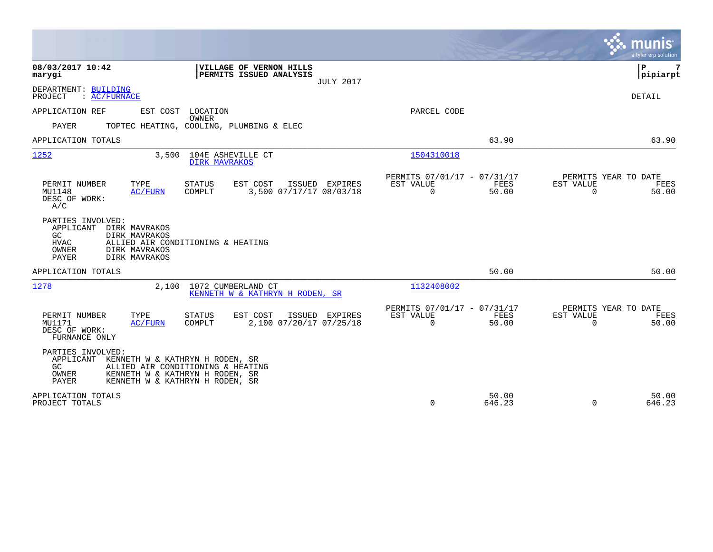|                                                                                                                                                                                                    |                                                                                 | munis<br>a tyler erp solution                                  |
|----------------------------------------------------------------------------------------------------------------------------------------------------------------------------------------------------|---------------------------------------------------------------------------------|----------------------------------------------------------------|
| 08/03/2017 10:42<br>VILLAGE OF VERNON HILLS<br>PERMITS ISSUED ANALYSIS<br>marygi<br><b>JULY 2017</b>                                                                                               |                                                                                 | Þ<br>7<br> pipiarpt                                            |
| DEPARTMENT: BUILDING<br>: AC/FURNACE<br>PROJECT                                                                                                                                                    |                                                                                 | DETAIL                                                         |
| APPLICATION REF<br>EST COST LOCATION<br>OWNER<br><b>PAYER</b><br>TOPTEC HEATING, COOLING, PLUMBING & ELEC                                                                                          | PARCEL CODE                                                                     |                                                                |
| APPLICATION TOTALS                                                                                                                                                                                 | 63.90                                                                           | 63.90                                                          |
| 3,500 104E ASHEVILLE CT<br>1252<br><b>DIRK MAVRAKOS</b>                                                                                                                                            | 1504310018                                                                      |                                                                |
| TYPE<br><b>STATUS</b><br>EST COST<br>ISSUED EXPIRES<br>PERMIT NUMBER<br>3,500 07/17/17 08/03/18<br>MU1148<br>COMPLT<br>AC/FURN<br>DESC OF WORK:<br>A/C                                             | PERMITS 07/01/17 - 07/31/17<br>FEES<br>EST VALUE<br>$\Omega$<br>50.00           | PERMITS YEAR TO DATE<br>EST VALUE<br>FEES<br>$\Omega$<br>50.00 |
| PARTIES INVOLVED:<br>APPLICANT<br>DIRK MAVRAKOS<br>GC.<br>DIRK MAVRAKOS<br><b>HVAC</b><br>ALLIED AIR CONDITIONING & HEATING<br>OWNER<br>DIRK MAVRAKOS<br>DIRK MAVRAKOS<br><b>PAYER</b>             |                                                                                 |                                                                |
| APPLICATION TOTALS                                                                                                                                                                                 | 50.00                                                                           | 50.00                                                          |
| 1278<br>1072 CUMBERLAND CT<br>2,100<br>KENNETH W & KATHRYN H RODEN, SR                                                                                                                             | 1132408002                                                                      |                                                                |
| PERMIT NUMBER<br>TYPE<br>EST COST<br><b>ISSUED</b><br><b>STATUS</b><br>EXPIRES<br>2,100 07/20/17 07/25/18<br>MU1171<br>COMPLT<br>AC/FURN<br>DESC OF WORK:<br>FURNANCE ONLY                         | PERMITS 07/01/17 - 07/31/17<br>EST VALUE<br><b>FEES</b><br>$\mathbf 0$<br>50.00 | PERMITS YEAR TO DATE<br>EST VALUE<br>FEES<br>$\Omega$<br>50.00 |
| PARTIES INVOLVED:<br>APPLICANT KENNETH W & KATHRYN H RODEN, SR<br>GC.<br>ALLIED AIR CONDITIONING & HEATING<br>KENNETH W & KATHRYN H RODEN, SR<br>OWNER<br>PAYER<br>KENNETH W & KATHRYN H RODEN, SR |                                                                                 |                                                                |
| APPLICATION TOTALS<br>PROJECT TOTALS                                                                                                                                                               | 50.00<br>$\Omega$<br>646.23                                                     | 50.00<br>646.23<br>$\Omega$                                    |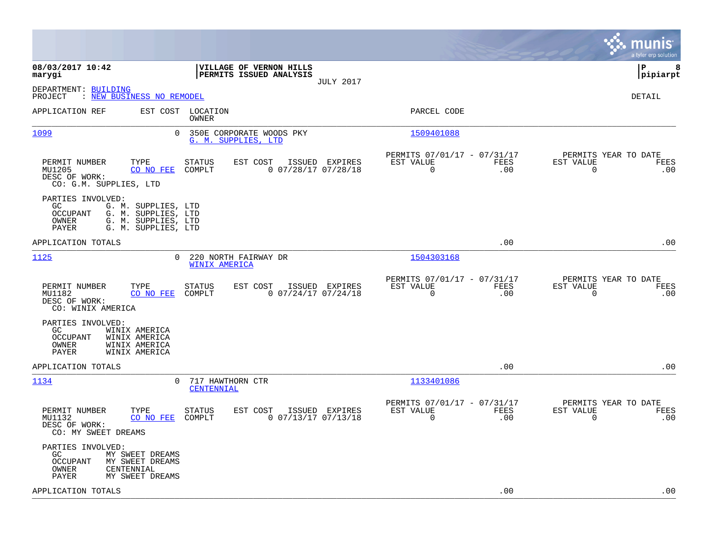|                                                                                                                                                           |                                                                                       |                                                                        | munis<br>a tyler erp solution                                   |
|-----------------------------------------------------------------------------------------------------------------------------------------------------------|---------------------------------------------------------------------------------------|------------------------------------------------------------------------|-----------------------------------------------------------------|
| 08/03/2017 10:42<br>marygi                                                                                                                                | <b> VILLAGE OF VERNON HILLS</b><br><b>PERMITS ISSUED ANALYSIS</b><br><b>JULY 2017</b> |                                                                        | lР<br>8<br> pipiarpt                                            |
| DEPARTMENT: BUILDING<br>: NEW BUSINESS NO REMODEL<br>PROJECT                                                                                              |                                                                                       |                                                                        | DETAIL                                                          |
| EST COST<br>APPLICATION REF                                                                                                                               | LOCATION<br>OWNER                                                                     | PARCEL CODE                                                            |                                                                 |
| 1099<br>$\overline{0}$                                                                                                                                    | 350E CORPORATE WOODS PKY<br>G. M. SUPPLIES, LTD                                       | 1509401088                                                             |                                                                 |
| PERMIT NUMBER<br>TYPE<br>MU1205<br>CO NO FEE<br>DESC OF WORK:<br>CO: G.M. SUPPLIES, LTD                                                                   | EST COST<br>ISSUED EXPIRES<br><b>STATUS</b><br>$0$ 07/28/17 07/28/18<br>COMPLT        | PERMITS 07/01/17 - 07/31/17<br>EST VALUE<br>FEES<br>$\Omega$<br>.00    | PERMITS YEAR TO DATE<br>EST VALUE<br>FEES<br>$\mathbf 0$<br>.00 |
| PARTIES INVOLVED:<br>GC.<br>G. M. SUPPLIES, LTD<br>G. M. SUPPLIES, LTD<br><b>OCCUPANT</b><br>OWNER<br>G. M. SUPPLIES, LTD<br>PAYER<br>G. M. SUPPLIES, LTD |                                                                                       |                                                                        |                                                                 |
| APPLICATION TOTALS                                                                                                                                        |                                                                                       | .00                                                                    | .00                                                             |
| 1125<br>$\Omega$                                                                                                                                          | 220 NORTH FAIRWAY DR<br><b>WINIX AMERICA</b>                                          | 1504303168                                                             |                                                                 |
| TYPE<br>PERMIT NUMBER<br>MU1182<br>CO NO FEE<br>DESC OF WORK:<br>CO: WINIX AMERICA                                                                        | EST COST<br>ISSUED EXPIRES<br><b>STATUS</b><br>COMPLT<br>$0$ 07/24/17 07/24/18        | PERMITS 07/01/17 - 07/31/17<br>EST VALUE<br>FEES<br>0<br>.00           | PERMITS YEAR TO DATE<br>EST VALUE<br>FEES<br>$\mathbf 0$<br>.00 |
| PARTIES INVOLVED:<br>GC.<br>WINIX AMERICA<br><b>OCCUPANT</b><br>WINIX AMERICA<br>WINIX AMERICA<br>OWNER<br>PAYER<br>WINIX AMERICA                         |                                                                                       |                                                                        |                                                                 |
| APPLICATION TOTALS                                                                                                                                        |                                                                                       | .00                                                                    | .00                                                             |
| 1134<br>0                                                                                                                                                 | 717 HAWTHORN CTR<br>CENTENNIAL                                                        | 1133401086                                                             |                                                                 |
| PERMIT NUMBER<br>TYPE<br>MU1132<br>CO NO FEE<br>DESC OF WORK:<br>CO: MY SWEET DREAMS                                                                      | <b>STATUS</b><br>EST COST<br>ISSUED EXPIRES<br>0 07/13/17 07/13/18<br>COMPLT          | PERMITS 07/01/17 - 07/31/17<br>EST VALUE<br>FEES<br>$\mathbf 0$<br>.00 | PERMITS YEAR TO DATE<br>EST VALUE<br>FEES<br>$\mathbf 0$<br>.00 |
| PARTIES INVOLVED:<br>GC<br>MY SWEET DREAMS<br>OCCUPANT<br>MY SWEET DREAMS<br>CENTENNIAL<br>OWNER<br>PAYER<br>MY SWEET DREAMS                              |                                                                                       |                                                                        |                                                                 |
| APPLICATION TOTALS                                                                                                                                        |                                                                                       | .00                                                                    | .00                                                             |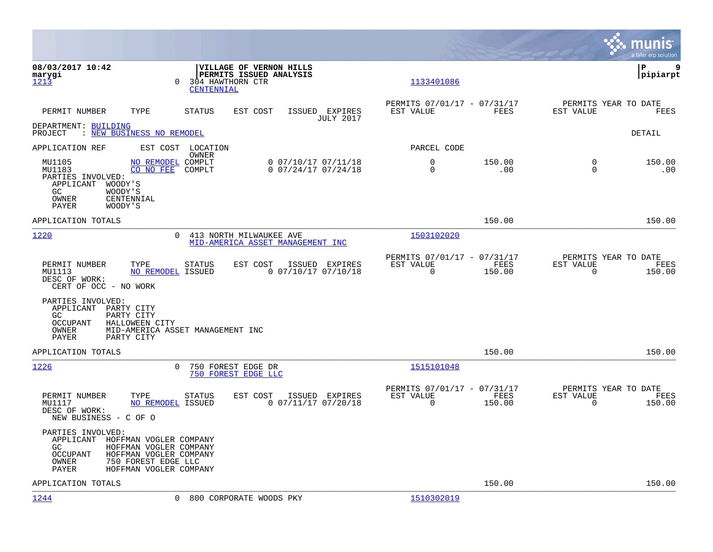|                                                                                                                                        |                                                                                                      |                                                                           | munis<br>a tyler erp solution                                         |
|----------------------------------------------------------------------------------------------------------------------------------------|------------------------------------------------------------------------------------------------------|---------------------------------------------------------------------------|-----------------------------------------------------------------------|
| 08/03/2017 10:42<br>marygi<br>1213                                                                                                     | VILLAGE OF VERNON HILLS<br>PERMITS ISSUED ANALYSIS<br>304 HAWTHORN CTR<br>$\Omega$<br>CENTENNIAL     | 1133401086                                                                | ΙP<br>9<br> pipiarpt                                                  |
| TYPE<br>PERMIT NUMBER                                                                                                                  | <b>STATUS</b><br>EST COST<br>ISSUED EXPIRES<br><b>JULY 2017</b>                                      | PERMITS 07/01/17 - 07/31/17<br>EST VALUE<br>FEES                          | PERMITS YEAR TO DATE<br>EST VALUE<br>FEES                             |
| DEPARTMENT: BUILDING<br>: NEW BUSINESS NO REMODEL<br>PROJECT                                                                           |                                                                                                      |                                                                           | DETAIL                                                                |
| APPLICATION REF                                                                                                                        | EST COST LOCATION<br>OWNER                                                                           | PARCEL CODE                                                               |                                                                       |
| MU1105<br>MU1183<br>CO NO FEE<br>PARTIES INVOLVED:<br>APPLICANT<br>WOODY'S<br>GC<br>WOODY'S<br>CENTENNIAL<br>OWNER<br>PAYER<br>WOODY'S | NO REMODEL COMPLT<br>$0$ $07/10/17$ $07/11/18$<br>COMPLT<br>$0$ 07/24/17 07/24/18                    | 0<br>150.00<br>$\Omega$<br>.00                                            | 150.00<br>$\Omega$<br>$\Omega$<br>.00                                 |
| APPLICATION TOTALS                                                                                                                     |                                                                                                      | 150.00                                                                    | 150.00                                                                |
| 1220                                                                                                                                   | $\Omega$<br>413 NORTH MILWAUKEE AVE<br>MID-AMERICA ASSET MANAGEMENT INC                              | 1503102020                                                                |                                                                       |
| PERMIT NUMBER<br>TYPE<br>MU1113<br>DESC OF WORK:<br>CERT OF OCC - NO WORK                                                              | EST COST<br><b>STATUS</b><br>ISSUED EXPIRES<br>NO REMODEL ISSUED<br>$0$ 07/10/17 07/10/18            | PERMITS 07/01/17 - 07/31/17<br>EST VALUE<br>FEES<br>$\Omega$<br>150.00    | PERMITS YEAR TO DATE<br>EST VALUE<br>FEES<br>$\overline{0}$<br>150.00 |
| PARTIES INVOLVED:<br>APPLICANT<br>PARTY CITY<br>GC.<br>PARTY CITY<br>OCCUPANT<br>HALLOWEEN CITY<br>OWNER<br>PAYER<br>PARTY CITY        | MID-AMERICA ASSET MANAGEMENT INC                                                                     |                                                                           |                                                                       |
| APPLICATION TOTALS                                                                                                                     |                                                                                                      | 150.00                                                                    | 150.00                                                                |
| 1226                                                                                                                                   | 750 FOREST EDGE DR<br>$\Omega$<br>750 FOREST EDGE LLC                                                | 1515101048                                                                |                                                                       |
| PERMIT NUMBER<br>TYPE<br>MU1117<br>DESC OF WORK:<br>NEW BUSINESS - C OF O                                                              | <b>STATUS</b><br>EST COST<br>ISSUED EXPIRES<br>$0$ 07/11/17 07/20/18<br>NO REMODEL ISSUED            | PERMITS 07/01/17 - 07/31/17<br>EST VALUE<br>FEES<br>$\mathbf 0$<br>150.00 | PERMITS YEAR TO DATE<br>EST VALUE<br>FEES<br>150.00<br>$\mathbf 0$    |
| PARTIES INVOLVED:<br>APPLICANT<br>GC<br>OCCUPANT<br><b>OWNER</b><br>750 FOREST EDGE LLC<br>PAYER                                       | HOFFMAN VOGLER COMPANY<br>HOFFMAN VOGLER COMPANY<br>HOFFMAN VOGLER COMPANY<br>HOFFMAN VOGLER COMPANY |                                                                           |                                                                       |
| APPLICATION TOTALS                                                                                                                     |                                                                                                      | 150.00                                                                    | 150.00                                                                |
| 1244                                                                                                                                   | $\Omega$<br>800 CORPORATE WOODS PKY                                                                  | 1510302019                                                                |                                                                       |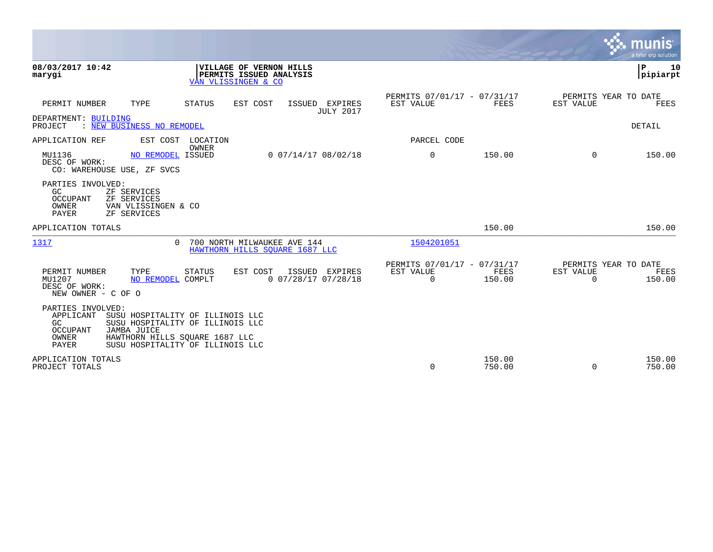|                                                                                                                                                                                                                                        |                                                                           | <b>S.S. MUNIS</b><br>a tyler erp solution                       |
|----------------------------------------------------------------------------------------------------------------------------------------------------------------------------------------------------------------------------------------|---------------------------------------------------------------------------|-----------------------------------------------------------------|
| 08/03/2017 10:42<br>VILLAGE OF VERNON HILLS<br>PERMITS ISSUED ANALYSIS<br>marygi<br>VAN VLISSINGEN & CO                                                                                                                                |                                                                           | ΙP<br>10<br> pipiarpt                                           |
| PERMIT NUMBER<br>TYPE<br>STATUS<br>EST COST<br>ISSUED EXPIRES<br><b>JULY 2017</b>                                                                                                                                                      | PERMITS 07/01/17 - 07/31/17<br>EST VALUE<br>FEES                          | PERMITS YEAR TO DATE<br>EST VALUE<br>FEES                       |
| DEPARTMENT: BUILDING<br>: NEW BUSINESS NO REMODEL<br>PROJECT                                                                                                                                                                           |                                                                           | DETAIL                                                          |
| APPLICATION REF<br>EST COST<br>LOCATION<br>OWNER                                                                                                                                                                                       | PARCEL CODE                                                               |                                                                 |
| MU1136<br>NO REMODEL ISSUED<br>$0$ 07/14/17 08/02/18<br>DESC OF WORK:<br>CO: WAREHOUSE USE, ZF SVCS                                                                                                                                    | $\mathbf 0$<br>150.00                                                     | 150.00<br>$\Omega$                                              |
| PARTIES INVOLVED:<br>GC.<br>ZF SERVICES<br><b>OCCUPANT</b><br>ZF SERVICES<br>OWNER<br>VAN VLISSINGEN & CO<br><b>PAYER</b><br>ZF SERVICES                                                                                               |                                                                           |                                                                 |
| APPLICATION TOTALS                                                                                                                                                                                                                     | 150.00                                                                    | 150.00                                                          |
| 1317<br>700 NORTH MILWAUKEE AVE 144<br>$\cap$<br>HAWTHORN HILLS SOUARE 1687 LLC                                                                                                                                                        | 1504201051                                                                |                                                                 |
| PERMIT NUMBER<br>TYPE<br>STATUS<br>EST COST<br>ISSUED EXPIRES<br>0 07/28/17 07/28/18<br>MU1207<br>NO REMODEL COMPLT<br>DESC OF WORK:<br>NEW OWNER - C OF O                                                                             | PERMITS 07/01/17 - 07/31/17<br>EST VALUE<br>FEES<br>$\mathbf 0$<br>150.00 | PERMITS YEAR TO DATE<br>EST VALUE<br>FEES<br>$\Omega$<br>150.00 |
| PARTIES INVOLVED:<br>APPLICANT<br>SUSU HOSPITALITY OF ILLINOIS LLC<br>SUSU HOSPITALITY OF ILLINOIS LLC<br>GC<br><b>OCCUPANT</b><br>JAMBA JUICE<br>OWNER<br>HAWTHORN HILLS SQUARE 1687 LLC<br>PAYER<br>SUSU HOSPITALITY OF ILLINOIS LLC |                                                                           |                                                                 |
| APPLICATION TOTALS<br>PROJECT TOTALS                                                                                                                                                                                                   | 150.00<br>$\Omega$<br>750.00                                              | 150.00<br>$\Omega$<br>750.00                                    |

 $\sim$   $\sim$   $\sim$   $\sim$   $\sim$   $\sim$   $\sim$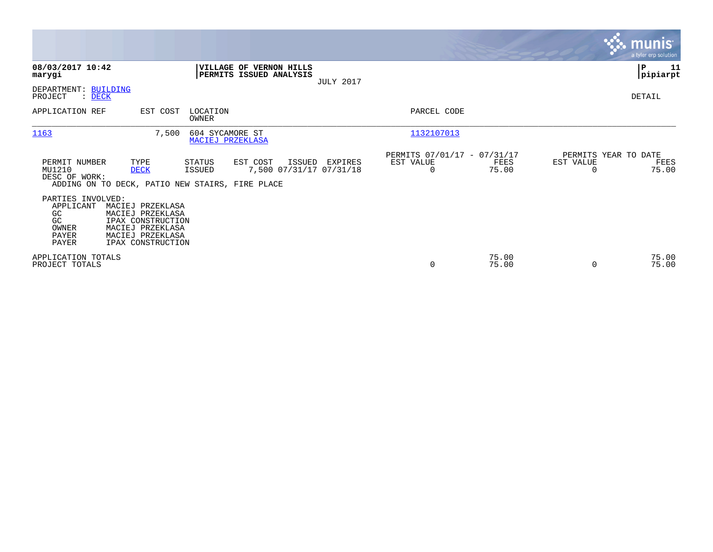|                                                                                                                                                                                                    |                                                         | <b>munis</b><br>a tyler erp solution                                |
|----------------------------------------------------------------------------------------------------------------------------------------------------------------------------------------------------|---------------------------------------------------------|---------------------------------------------------------------------|
| 08/03/2017 10:42<br>VILLAGE OF VERNON HILLS<br>PERMITS ISSUED ANALYSIS<br>marygi                                                                                                                   |                                                         | P<br>11<br>pipiarpt                                                 |
| <b>JULY 2017</b><br>DEPARTMENT: BUILDING<br>PROJECT<br>$:$ DECK                                                                                                                                    |                                                         | DETAIL                                                              |
| EST COST<br>LOCATION<br>APPLICATION REF<br>OWNER                                                                                                                                                   | PARCEL CODE                                             |                                                                     |
| 1163<br>7,500<br>604 SYCAMORE ST<br>MACIEJ PRZEKLASA                                                                                                                                               | 1132107013                                              |                                                                     |
| PERMIT NUMBER<br>TYPE<br>EST COST<br>STATUS<br>ISSUED<br>EXPIRES<br>7,500 07/31/17 07/31/18<br>MU1210<br><b>DECK</b><br>ISSUED<br>DESC OF WORK:<br>ADDING ON TO DECK, PATIO NEW STAIRS, FIRE PLACE | PERMITS 07/01/17 - 07/31/17<br>EST VALUE<br>$\mathbf 0$ | PERMITS YEAR TO DATE<br>FEES<br>EST VALUE<br>FEES<br>75.00<br>75.00 |
| PARTIES INVOLVED:<br>APPLICANT<br>MACIEJ PRZEKLASA<br>GC<br>MACIEJ PRZEKLASA<br>GC<br>IPAX CONSTRUCTION<br>OWNER<br>MACIEJ PRZEKLASA<br>PAYER<br>MACIEJ PRZEKLASA<br>PAYER<br>IPAX CONSTRUCTION    |                                                         |                                                                     |
| APPLICATION TOTALS<br>PROJECT TOTALS                                                                                                                                                               | $\mathbf 0$                                             | 75.00<br>75.00<br>75.00<br>75.00<br>$\Omega$                        |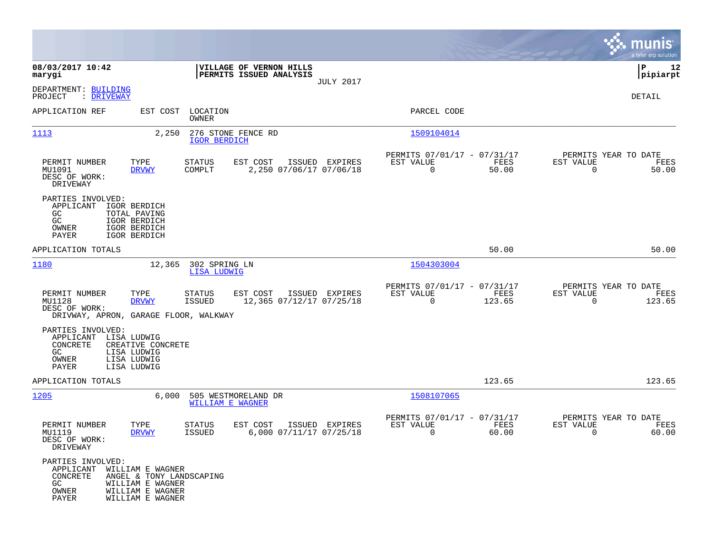|                                                                                                                                                     |                                                                                   |                                                                           | munis<br>a tyler erp solution                                        |
|-----------------------------------------------------------------------------------------------------------------------------------------------------|-----------------------------------------------------------------------------------|---------------------------------------------------------------------------|----------------------------------------------------------------------|
| 08/03/2017 10:42<br>marygi                                                                                                                          | VILLAGE OF VERNON HILLS<br>PERMITS ISSUED ANALYSIS                                |                                                                           | P<br>12<br> pipiarpt                                                 |
| DEPARTMENT: BUILDING<br>PROJECT<br>: <u>DRIVEWAY</u>                                                                                                | <b>JULY 2017</b>                                                                  |                                                                           | DETAIL                                                               |
| APPLICATION REF                                                                                                                                     | EST COST LOCATION<br>OWNER                                                        | PARCEL CODE                                                               |                                                                      |
| 1113                                                                                                                                                | 276 STONE FENCE RD<br>2,250<br><b>IGOR BERDICH</b>                                | 1509104014                                                                |                                                                      |
| PERMIT NUMBER<br>TYPE<br>MU1091<br><b>DRVWY</b><br>DESC OF WORK:<br>DRIVEWAY                                                                        | <b>STATUS</b><br>ISSUED EXPIRES<br>EST COST<br>COMPLT<br>2,250 07/06/17 07/06/18  | PERMITS 07/01/17 - 07/31/17<br>EST VALUE<br>FEES<br>$\mathbf 0$<br>50.00  | PERMITS YEAR TO DATE<br>EST VALUE<br>FEES<br>$\overline{0}$<br>50.00 |
| PARTIES INVOLVED:<br>APPLICANT<br>IGOR BERDICH<br>GC.<br>TOTAL PAVING<br>GC<br>IGOR BERDICH<br>OWNER<br>IGOR BERDICH<br>PAYER<br>IGOR BERDICH       |                                                                                   |                                                                           |                                                                      |
| APPLICATION TOTALS                                                                                                                                  |                                                                                   | 50.00                                                                     | 50.00                                                                |
| 1180                                                                                                                                                | 302 SPRING LN<br>12,365<br>LISA LUDWIG                                            | 1504303004                                                                |                                                                      |
| PERMIT NUMBER<br>TYPE<br>MU1128<br><b>DRVWY</b><br>DESC OF WORK:<br>DRIVWAY, APRON, GARAGE FLOOR, WALKWAY                                           | <b>STATUS</b><br>EST COST<br>ISSUED EXPIRES<br>ISSUED<br>12,365 07/12/17 07/25/18 | PERMITS 07/01/17 - 07/31/17<br>EST VALUE<br>FEES<br>$\mathbf 0$<br>123.65 | PERMITS YEAR TO DATE<br>EST VALUE<br>FEES<br>$\mathbf 0$<br>123.65   |
| PARTIES INVOLVED:<br>LISA LUDWIG<br>APPLICANT<br>CONCRETE<br>CREATIVE CONCRETE<br>GC<br>LISA LUDWIG<br>LISA LUDWIG<br>OWNER<br>PAYER<br>LISA LUDWIG |                                                                                   |                                                                           |                                                                      |
| APPLICATION TOTALS                                                                                                                                  |                                                                                   | 123.65                                                                    | 123.65                                                               |
| 1205                                                                                                                                                | 6,000<br>505 WESTMORELAND DR<br><b>WILLIAM E WAGNER</b>                           | 1508107065                                                                |                                                                      |
| PERMIT NUMBER<br>TYPE<br>MU1119<br><b>DRVWY</b><br>DESC OF WORK:<br>DRIVEWAY                                                                        | EST COST<br>ISSUED EXPIRES<br>STATUS<br>6,000 07/11/17 07/25/18<br><b>ISSUED</b>  | PERMITS 07/01/17 - 07/31/17<br>EST VALUE<br>FEES<br>0<br>60.00            | PERMITS YEAR TO DATE<br>EST VALUE<br>FEES<br>0<br>60.00              |
| PARTIES INVOLVED:<br>APPLICANT<br>WILLIAM E WAGNER<br>CONCRETE<br>WILLIAM E WAGNER<br>GC<br>OWNER<br>WILLIAM E WAGNER<br>PAYER<br>WILLIAM E WAGNER  | ANGEL & TONY LANDSCAPING                                                          |                                                                           |                                                                      |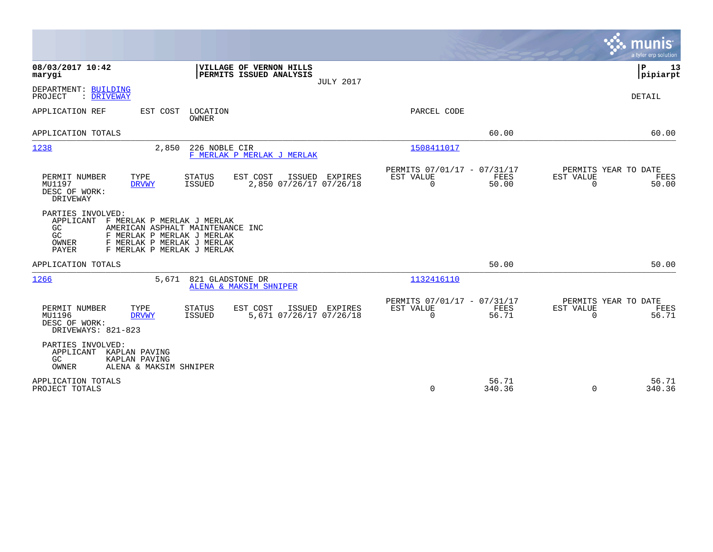|                                                                                                                                                                                                                           | munis<br>a tyler erp solution                                                                                                                  |
|---------------------------------------------------------------------------------------------------------------------------------------------------------------------------------------------------------------------------|------------------------------------------------------------------------------------------------------------------------------------------------|
| 08/03/2017 10:42<br>VILLAGE OF VERNON HILLS<br>PERMITS ISSUED ANALYSIS<br>marygi<br><b>JULY 2017</b>                                                                                                                      | P<br>13<br> pipiarpt                                                                                                                           |
| DEPARTMENT: BUILDING<br>PROJECT<br>: DRIVEWAY                                                                                                                                                                             | <b>DETAIL</b>                                                                                                                                  |
| APPLICATION REF<br>EST COST<br>LOCATION<br><b>OWNER</b>                                                                                                                                                                   | PARCEL CODE                                                                                                                                    |
| APPLICATION TOTALS                                                                                                                                                                                                        | 60.00<br>60.00                                                                                                                                 |
| 1238<br>2,850<br>226 NOBLE CIR<br>F MERLAK P MERLAK J MERLAK                                                                                                                                                              | 1508411017                                                                                                                                     |
| PERMIT NUMBER<br>TYPE<br><b>STATUS</b><br>EST COST<br>ISSUED EXPIRES<br>2,850 07/26/17 07/26/18<br>MU1197<br><b>ISSUED</b><br><b>DRVWY</b><br>DESC OF WORK:<br>DRIVEWAY                                                   | PERMITS 07/01/17 - 07/31/17<br>PERMITS YEAR TO DATE<br><b>FEES</b><br>EST VALUE<br>EST VALUE<br>FEES<br>$\Omega$<br>50.00<br>$\Omega$<br>50.00 |
| PARTIES INVOLVED:<br>APPLICANT<br>F MERLAK P MERLAK J MERLAK<br>AMERICAN ASPHALT MAINTENANCE INC<br>GC.<br>GC<br>F MERLAK P MERLAK J MERLAK<br>F MERLAK P MERLAK J MERLAK<br>OWNER<br>PAYER<br>F MERLAK P MERLAK J MERLAK |                                                                                                                                                |
| APPLICATION TOTALS                                                                                                                                                                                                        | 50.00<br>50.00                                                                                                                                 |
| 1266<br>5,671<br>821 GLADSTONE DR<br>ALENA & MAKSIM SHNIPER                                                                                                                                                               | 1132416110                                                                                                                                     |
| PERMIT NUMBER<br>TYPE<br><b>STATUS</b><br>EST COST<br>ISSUED<br>EXPIRES<br>MU1196<br>5,671 07/26/17 07/26/18<br>ISSUED<br><b>DRVWY</b><br>DESC OF WORK:<br>DRIVEWAYS: 821-823                                             | PERMITS 07/01/17 - 07/31/17<br>PERMITS YEAR TO DATE<br>EST VALUE<br><b>FEES</b><br>EST VALUE<br>FEES<br>$\Omega$<br>56.71<br>$\Omega$<br>56.71 |
| PARTIES INVOLVED:<br>APPLICANT<br>KAPLAN PAVING<br>GC<br>KAPLAN PAVING<br>OWNER<br>ALENA & MAKSIM SHNIPER                                                                                                                 |                                                                                                                                                |
| APPLICATION TOTALS<br>PROJECT TOTALS                                                                                                                                                                                      | 56.71<br>56.71<br>0<br>340.36<br>$\Omega$<br>340.36                                                                                            |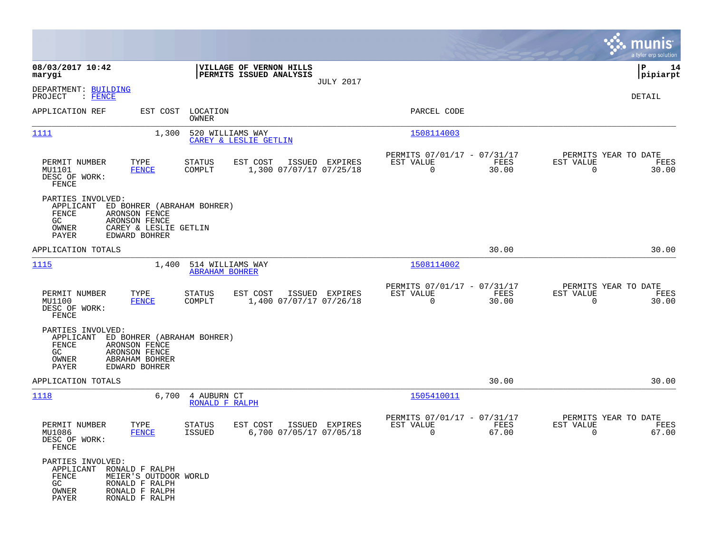|                                                                                |                                                                             |                                           |                                                    |                  |                                                         |               |                                               | munis<br>a tyler erp solution |
|--------------------------------------------------------------------------------|-----------------------------------------------------------------------------|-------------------------------------------|----------------------------------------------------|------------------|---------------------------------------------------------|---------------|-----------------------------------------------|-------------------------------|
| 08/03/2017 10:42<br>marygi                                                     |                                                                             |                                           | VILLAGE OF VERNON HILLS<br>PERMITS ISSUED ANALYSIS |                  |                                                         |               |                                               | 14<br>IΡ<br> pipiarpt         |
| DEPARTMENT: BUILDING<br>PROJECT<br>$\colon$ FENCE                              |                                                                             |                                           |                                                    | <b>JULY 2017</b> |                                                         |               |                                               | DETAIL                        |
| APPLICATION REF                                                                |                                                                             | EST COST LOCATION<br>OWNER                |                                                    |                  | PARCEL CODE                                             |               |                                               |                               |
| 1111                                                                           | 1,300                                                                       | 520 WILLIAMS WAY                          | CAREY & LESLIE GETLIN                              |                  | 1508114003                                              |               |                                               |                               |
| PERMIT NUMBER<br>MU1101<br>DESC OF WORK:<br>FENCE                              | TYPE<br><b>FENCE</b>                                                        | <b>STATUS</b><br>COMPLT                   | EST COST<br>1,300 07/07/17 07/25/18                | ISSUED EXPIRES   | PERMITS 07/01/17 - 07/31/17<br>EST VALUE<br>$\mathbf 0$ | FEES<br>30.00 | PERMITS YEAR TO DATE<br>EST VALUE<br>$\Omega$ | FEES<br>30.00                 |
| PARTIES INVOLVED:<br>APPLICANT<br>FENCE<br>GC.<br>OWNER<br>PAYER               | ARONSON FENCE<br>ARONSON FENCE<br>CAREY & LESLIE GETLIN<br>EDWARD BOHRER    | ED BOHRER (ABRAHAM BOHRER)                |                                                    |                  |                                                         |               |                                               |                               |
| APPLICATION TOTALS                                                             |                                                                             |                                           |                                                    |                  |                                                         | 30.00         |                                               | 30.00                         |
| 1115                                                                           | 1,400                                                                       | 514 WILLIAMS WAY<br><b>ABRAHAM BOHRER</b> |                                                    |                  | 1508114002                                              |               |                                               |                               |
| PERMIT NUMBER<br>MU1100<br>DESC OF WORK:<br>FENCE                              | TYPE<br><b>FENCE</b>                                                        | <b>STATUS</b><br>COMPLT                   | EST COST<br>1,400 07/07/17 07/26/18                | ISSUED EXPIRES   | PERMITS 07/01/17 - 07/31/17<br>EST VALUE<br>$\mathbf 0$ | FEES<br>30.00 | PERMITS YEAR TO DATE<br>EST VALUE<br>$\Omega$ | FEES<br>30.00                 |
| PARTIES INVOLVED:<br>APPLICANT<br>FENCE<br>GC<br>OWNER<br>PAYER                | ARONSON FENCE<br>ARONSON FENCE<br>ABRAHAM BOHRER<br>EDWARD BOHRER           | ED BOHRER (ABRAHAM BOHRER)                |                                                    |                  |                                                         |               |                                               |                               |
| APPLICATION TOTALS                                                             |                                                                             |                                           |                                                    |                  |                                                         | 30.00         |                                               | 30.00                         |
| 1118                                                                           | 6,700                                                                       | 4 AUBURN CT<br>RONALD F RALPH             |                                                    |                  | 1505410011                                              |               |                                               |                               |
| PERMIT NUMBER<br>MU1086<br>DESC OF WORK:<br>FENCE                              | TYPE<br><b>FENCE</b>                                                        | <b>STATUS</b><br><b>ISSUED</b>            | EST COST<br>6,700 07/05/17 07/05/18                | ISSUED EXPIRES   | PERMITS 07/01/17 - 07/31/17<br>EST VALUE<br>0           | FEES<br>67.00 | PERMITS YEAR TO DATE<br>EST VALUE<br>0        | FEES<br>67.00                 |
| PARTIES INVOLVED:<br>APPLICANT RONALD F RALPH<br>FENCE<br>GC<br>OWNER<br>PAYER | MEIER'S OUTDOOR WORLD<br>RONALD F RALPH<br>RONALD F RALPH<br>RONALD F RALPH |                                           |                                                    |                  |                                                         |               |                                               |                               |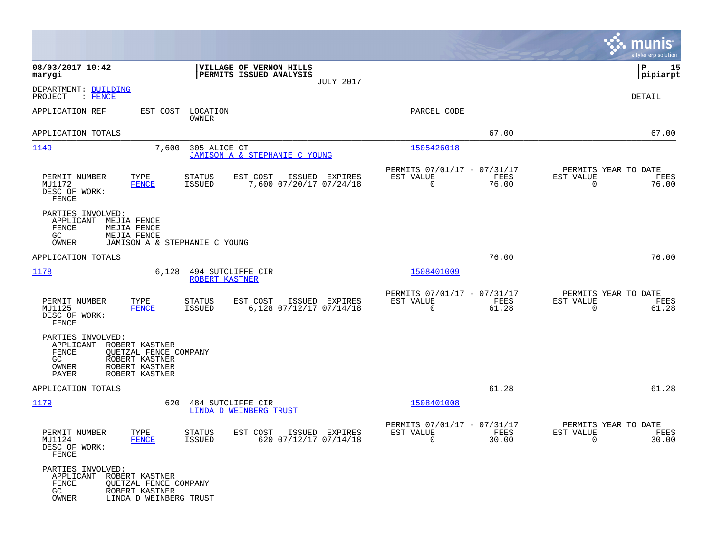|                                                                                                                                                        |                                                                                  |                                                            |               | munis<br>a tyler erp solution                                        |
|--------------------------------------------------------------------------------------------------------------------------------------------------------|----------------------------------------------------------------------------------|------------------------------------------------------------|---------------|----------------------------------------------------------------------|
| 08/03/2017 10:42<br>marygi                                                                                                                             | VILLAGE OF VERNON HILLS<br>PERMITS ISSUED ANALYSIS                               | <b>JULY 2017</b>                                           |               | 15<br>IΡ<br> pipiarpt                                                |
| DEPARTMENT: BUILDING<br>PROJECT<br>: FENCE                                                                                                             |                                                                                  |                                                            |               | DETAIL                                                               |
| APPLICATION REF                                                                                                                                        | EST COST<br>LOCATION<br>OWNER                                                    | PARCEL CODE                                                |               |                                                                      |
| APPLICATION TOTALS                                                                                                                                     |                                                                                  |                                                            | 67.00         | 67.00                                                                |
| <u> 1149</u>                                                                                                                                           | 7,600<br>305 ALICE CT<br>JAMISON A & STEPHANIE C YOUNG                           | 1505426018                                                 |               |                                                                      |
| PERMIT NUMBER<br>TYPE<br>MU1172<br><b>FENCE</b><br>DESC OF WORK:<br>FENCE                                                                              | STATUS<br>EST COST<br>ISSUED EXPIRES<br><b>ISSUED</b><br>7,600 07/20/17 07/24/18 | PERMITS 07/01/17 - 07/31/17<br>EST VALUE<br>$\mathbf 0$    | FEES<br>76.00 | PERMITS YEAR TO DATE<br>EST VALUE<br>FEES<br>0<br>76.00              |
| PARTIES INVOLVED:<br>APPLICANT<br>MEJIA FENCE<br>FENCE<br>MEJIA FENCE<br>GC.<br>MEJIA FENCE<br>OWNER                                                   | JAMISON A & STEPHANIE C YOUNG                                                    |                                                            |               |                                                                      |
| APPLICATION TOTALS                                                                                                                                     |                                                                                  |                                                            | 76.00         | 76.00                                                                |
| <u> 1178</u>                                                                                                                                           | 6,128<br>494 SUTCLIFFE CIR<br>ROBERT KASTNER                                     | 1508401009                                                 |               |                                                                      |
| PERMIT NUMBER<br>TYPE<br>MU1125<br><b>FENCE</b><br>DESC OF WORK:<br>FENCE                                                                              | STATUS<br>EST COST<br>ISSUED EXPIRES<br><b>ISSUED</b><br>6,128 07/12/17 07/14/18 | PERMITS 07/01/17 - 07/31/17<br>EST VALUE<br>$\Omega$       | FEES<br>61.28 | PERMITS YEAR TO DATE<br>EST VALUE<br>FEES<br>0<br>61.28              |
| PARTIES INVOLVED:<br>APPLICANT<br>ROBERT KASTNER<br><b>FENCE</b><br>GC.<br>ROBERT KASTNER<br>ROBERT KASTNER<br>OWNER<br><b>PAYER</b><br>ROBERT KASTNER | QUETZAL FENCE COMPANY                                                            |                                                            |               |                                                                      |
| APPLICATION TOTALS                                                                                                                                     |                                                                                  |                                                            | 61.28         | 61.28                                                                |
| <u> 1179</u>                                                                                                                                           | 620<br>484 SUTCLIFFE CIR<br>LINDA D WEINBERG TRUST                               | 1508401008                                                 |               |                                                                      |
| PERMIT NUMBER<br>TYPE<br>MU1124<br><b>FENCE</b><br>DESC OF WORK:<br>FENCE                                                                              | STATUS<br>EST COST<br>ISSUED EXPIRES<br>620 07/12/17 07/14/18<br>ISSUED          | PERMITS 07/01/17 - 07/31/17<br>EST VALUE<br>$\overline{0}$ | FEES<br>30.00 | PERMITS YEAR TO DATE<br>EST VALUE<br>FEES<br>30.00<br>$\overline{0}$ |
| PARTIES INVOLVED:<br>APPLICANT ROBERT KASTNER<br>FENCE<br>GC<br>ROBERT KASTNER<br>OWNER                                                                | OUETZAL FENCE COMPANY<br>LINDA D WEINBERG TRUST                                  |                                                            |               |                                                                      |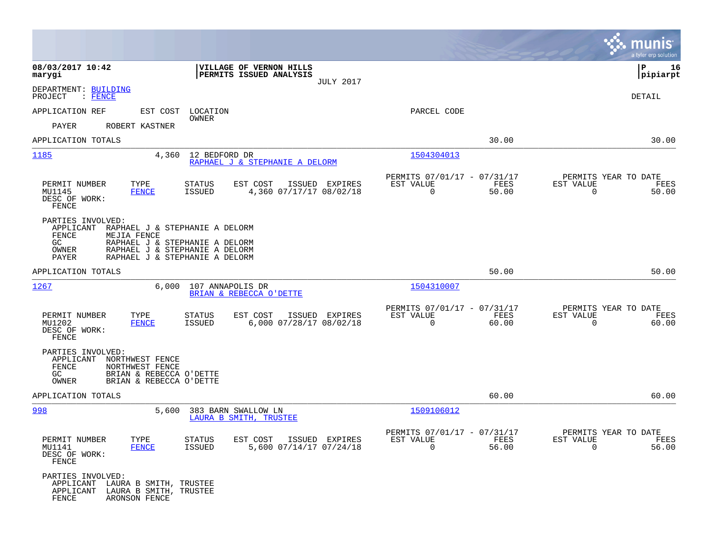|                                                                                                                                                                                                                        |                                                                                         |                                                                          | munis<br>a tyler erp solution                                     |
|------------------------------------------------------------------------------------------------------------------------------------------------------------------------------------------------------------------------|-----------------------------------------------------------------------------------------|--------------------------------------------------------------------------|-------------------------------------------------------------------|
| 08/03/2017 10:42<br>marygi                                                                                                                                                                                             | VILLAGE OF VERNON HILLS<br>PERMITS ISSUED ANALYSIS<br><b>JULY 2017</b>                  |                                                                          | 16<br>IΡ<br> pipiarpt                                             |
| DEPARTMENT: BUILDING<br>PROJECT<br>$\blacksquare$ FENCE                                                                                                                                                                |                                                                                         |                                                                          | DETAIL                                                            |
| APPLICATION REF                                                                                                                                                                                                        | EST COST LOCATION<br><b>OWNER</b>                                                       | PARCEL CODE                                                              |                                                                   |
| PAYER<br>ROBERT KASTNER                                                                                                                                                                                                |                                                                                         |                                                                          |                                                                   |
| APPLICATION TOTALS                                                                                                                                                                                                     |                                                                                         | 30.00                                                                    | 30.00                                                             |
| 1185<br>4,360                                                                                                                                                                                                          | 12 BEDFORD DR<br>RAPHAEL J & STEPHANIE A DELORM                                         | 1504304013                                                               |                                                                   |
| PERMIT NUMBER<br>TYPE<br>MU1145<br><b>FENCE</b><br>DESC OF WORK:<br>FENCE                                                                                                                                              | STATUS<br>EST COST<br>ISSUED EXPIRES<br><b>ISSUED</b><br>4,360 07/17/17 08/02/18        | PERMITS 07/01/17 - 07/31/17<br>EST VALUE<br>FEES<br>$\mathbf 0$<br>50.00 | PERMITS YEAR TO DATE<br>EST VALUE<br>FEES<br>$\mathbf 0$<br>50.00 |
| PARTIES INVOLVED:<br>APPLICANT<br>RAPHAEL J & STEPHANIE A DELORM<br>FENCE<br>MEJIA FENCE<br>RAPHAEL J & STEPHANIE A DELORM<br>GC<br>OWNER<br>RAPHAEL J & STEPHANIE A DELORM<br>PAYER<br>RAPHAEL J & STEPHANIE A DELORM |                                                                                         |                                                                          |                                                                   |
| APPLICATION TOTALS                                                                                                                                                                                                     |                                                                                         | 50.00                                                                    | 50.00                                                             |
| 1267<br>6,000                                                                                                                                                                                                          | 107 ANNAPOLIS DR<br>BRIAN & REBECCA O'DETTE                                             | 1504310007                                                               |                                                                   |
| PERMIT NUMBER<br>TYPE<br>MU1202<br><b>FENCE</b><br>DESC OF WORK:<br>FENCE                                                                                                                                              | <b>STATUS</b><br>EST COST<br>ISSUED EXPIRES<br>6,000 07/28/17 08/02/18<br><b>ISSUED</b> | PERMITS 07/01/17 - 07/31/17<br>EST VALUE<br>FEES<br>$\Omega$<br>60.00    | PERMITS YEAR TO DATE<br>EST VALUE<br>FEES<br>$\Omega$<br>60.00    |
| PARTIES INVOLVED:<br>APPLICANT<br>NORTHWEST FENCE<br>FENCE<br>NORTHWEST FENCE<br>BRIAN & REBECCA O'DETTE<br>GC<br>OWNER<br>BRIAN & REBECCA O'DETTE                                                                     |                                                                                         |                                                                          |                                                                   |
| APPLICATION TOTALS                                                                                                                                                                                                     |                                                                                         | 60.00                                                                    | 60.00                                                             |
| 998<br>5,600                                                                                                                                                                                                           | 383 BARN SWALLOW LN<br>LAURA B SMITH, TRUSTEE                                           | 1509106012                                                               |                                                                   |
| PERMIT NUMBER<br>TYPE<br>MU1141<br><b>FENCE</b><br>DESC OF WORK:<br>FENCE                                                                                                                                              | STATUS<br>EST COST ISSUED EXPIRES<br>5,600 07/14/17 07/24/18<br>ISSUED                  | PERMITS 07/01/17 - 07/31/17<br>EST VALUE<br>FEES<br>$\Omega$<br>56.00    | PERMITS YEAR TO DATE<br>EST VALUE<br>FEES<br>56.00<br>$\Omega$    |
| PARTIES INVOLVED:<br>APPLICANT<br>LAURA B SMITH, TRUSTEE<br>APPLICANT<br>LAURA B SMITH, TRUSTEE<br>FENCE<br>ARONSON FENCE                                                                                              |                                                                                         |                                                                          |                                                                   |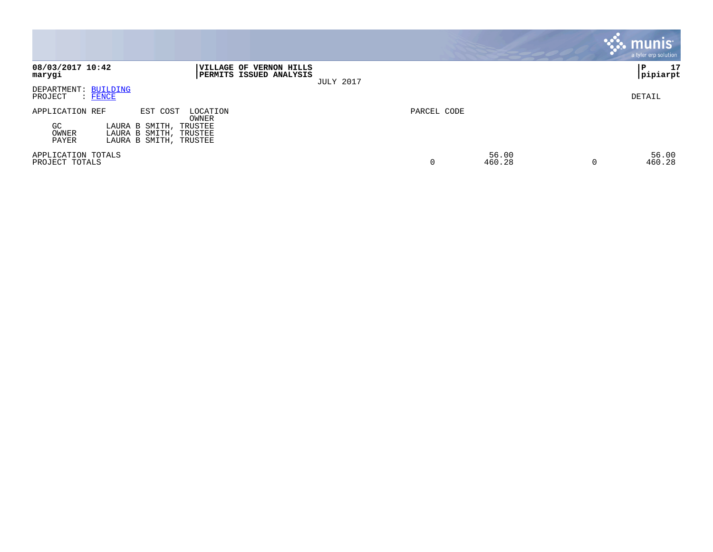|                                                                                                                                                              |                      | munis<br>a tyler erp solution |
|--------------------------------------------------------------------------------------------------------------------------------------------------------------|----------------------|-------------------------------|
| 08/03/2017 10:42<br>VILLAGE OF VERNON HILLS<br>PERMITS ISSUED ANALYSIS<br>marygi<br><b>JULY 2017</b>                                                         |                      | 17<br>l P<br> pipiarpt        |
| DEPARTMENT: BUILDING<br>PROJECT<br>$:$ FENCE                                                                                                                 |                      | DETAIL                        |
| APPLICATION REF<br>EST COST<br>LOCATION<br>OWNER<br>GC<br>LAURA B SMITH,<br>TRUSTEE<br>OWNER<br>LAURA B SMITH,<br>TRUSTEE<br>LAURA B SMITH, TRUSTEE<br>PAYER | PARCEL CODE          |                               |
| APPLICATION TOTALS<br>PROJECT TOTALS                                                                                                                         | 56.00<br>0<br>460.28 | 56.00<br>460.28<br>0          |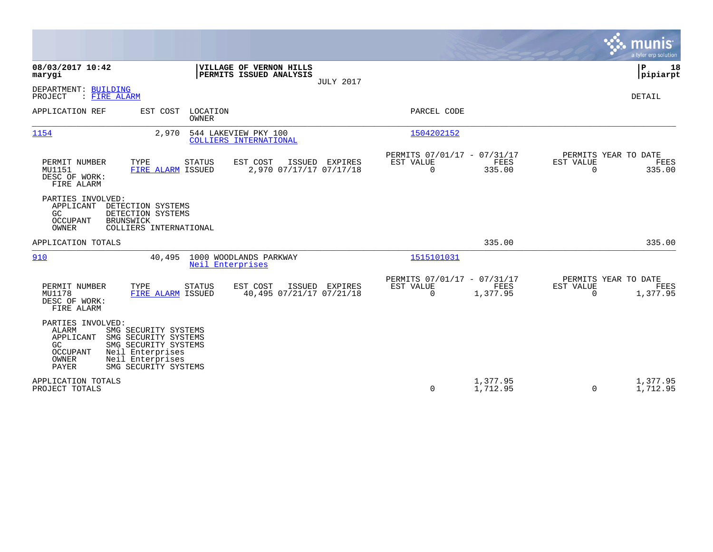|                                                                                                                                                                                                                            | a tyler erp solution                                                                                                                                   |
|----------------------------------------------------------------------------------------------------------------------------------------------------------------------------------------------------------------------------|--------------------------------------------------------------------------------------------------------------------------------------------------------|
| 08/03/2017 10:42<br>VILLAGE OF VERNON HILLS<br>PERMITS ISSUED ANALYSIS<br>marygi<br><b>JULY 2017</b>                                                                                                                       | Þ<br>18<br> pipiarpt                                                                                                                                   |
| DEPARTMENT: BUILDING<br>: FIRE ALARM<br>PROJECT                                                                                                                                                                            | <b>DETAIL</b>                                                                                                                                          |
| APPLICATION REF<br>LOCATION<br>EST COST<br>OWNER                                                                                                                                                                           | PARCEL CODE                                                                                                                                            |
| 1154<br>2,970<br>544 LAKEVIEW PKY 100<br>COLLIERS INTERNATIONAL                                                                                                                                                            | 1504202152                                                                                                                                             |
| TYPE<br>STATUS<br>EST COST<br>ISSUED EXPIRES<br>PERMIT NUMBER<br>MU1151<br>FIRE ALARM ISSUED<br>2,970 07/17/17 07/17/18<br>DESC OF WORK:<br>FIRE ALARM                                                                     | PERMITS 07/01/17 - 07/31/17<br>PERMITS YEAR TO DATE<br><b>FEES</b><br>EST VALUE<br>EST VALUE<br>FEES<br>$\mathbf 0$<br>335.00<br>$\mathbf 0$<br>335.00 |
| PARTIES INVOLVED:<br>APPLICANT<br>DETECTION SYSTEMS<br>GC.<br>DETECTION SYSTEMS<br><b>OCCUPANT</b><br><b>BRUNSWICK</b><br>OWNER<br>COLLIERS INTERNATIONAL                                                                  |                                                                                                                                                        |
| APPLICATION TOTALS                                                                                                                                                                                                         | 335.00<br>335.00                                                                                                                                       |
| 1000 WOODLANDS PARKWAY<br>910<br>40,495<br>Neil Enterprises                                                                                                                                                                | 1515101031                                                                                                                                             |
| PERMIT NUMBER<br>EST COST<br>ISSUED EXPIRES<br>TYPE<br><b>STATUS</b><br>MU1178<br>FIRE ALARM ISSUED<br>40,495 07/21/17 07/21/18<br>DESC OF WORK:<br>FIRE ALARM                                                             | PERMITS 07/01/17 - 07/31/17<br>PERMITS YEAR TO DATE<br>EST VALUE<br>EST VALUE<br>FEES<br>FEES<br>$\Omega$<br>1,377.95<br>1,377.95<br>$\Omega$          |
| PARTIES INVOLVED:<br><b>ALARM</b><br>SMG SECURITY SYSTEMS<br>APPLICANT<br>SMG SECURITY SYSTEMS<br>SMG SECURITY SYSTEMS<br>GC<br>Neil Enterprises<br>OCCUPANT<br>OWNER<br>Neil Enterprises<br>PAYER<br>SMG SECURITY SYSTEMS |                                                                                                                                                        |
| APPLICATION TOTALS<br>PROJECT TOTALS                                                                                                                                                                                       | 1,377.95<br>1,377.95<br>0<br>1,712.95<br>1,712.95<br>$\Omega$                                                                                          |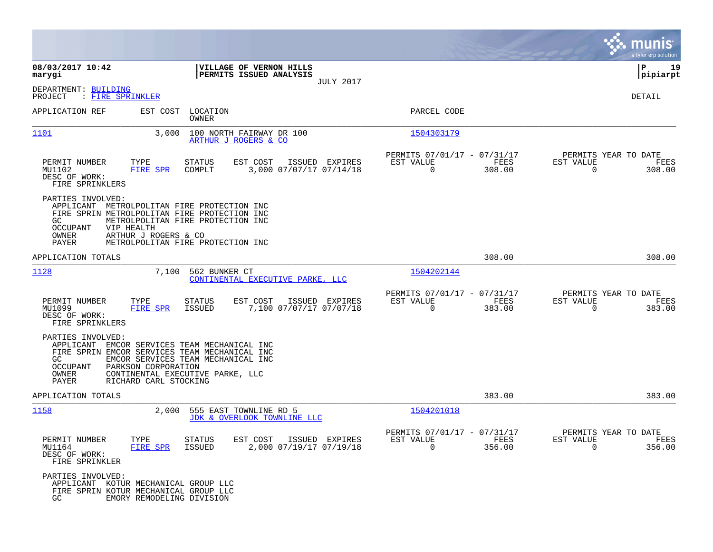|                                                                             |                                                                                                                                                                                                                         |                                                                           |                       | munis<br>a tyler erp solution                                      |
|-----------------------------------------------------------------------------|-------------------------------------------------------------------------------------------------------------------------------------------------------------------------------------------------------------------------|---------------------------------------------------------------------------|-----------------------|--------------------------------------------------------------------|
| 08/03/2017 10:42<br>marygi                                                  | VILLAGE OF VERNON HILLS<br>PERMITS ISSUED ANALYSIS                                                                                                                                                                      |                                                                           |                       | ΙP<br>19<br> pipiarpt                                              |
| DEPARTMENT: BUILDING<br>: FIRE SPRINKLER<br>PROJECT                         |                                                                                                                                                                                                                         | <b>JULY 2017</b>                                                          |                       | DETAIL                                                             |
| APPLICATION REF                                                             | LOCATION<br>EST COST<br>OWNER                                                                                                                                                                                           | PARCEL CODE                                                               |                       |                                                                    |
| <u> 1101</u>                                                                | 3,000<br>100 NORTH FAIRWAY DR 100<br>ARTHUR J ROGERS & CO                                                                                                                                                               | 1504303179                                                                |                       |                                                                    |
| PERMIT NUMBER<br>MU1102<br>DESC OF WORK:<br>FIRE SPRINKLERS                 | TYPE<br>STATUS<br>EST COST<br><b>FIRE SPR</b><br>COMPLT<br>3,000 07/07/17 07/14/18                                                                                                                                      | PERMITS 07/01/17 - 07/31/17<br>ISSUED EXPIRES<br>EST VALUE<br>$\mathbf 0$ | FEES<br>308.00        | PERMITS YEAR TO DATE<br>EST VALUE<br>FEES<br>308.00<br>0           |
| PARTIES INVOLVED:<br>GC.<br><b>OCCUPANT</b><br>VIP HEALTH<br>OWNER<br>PAYER | APPLICANT METROLPOLITAN FIRE PROTECTION INC<br>FIRE SPRIN METROLPOLITAN FIRE PROTECTION INC<br>METROLPOLITAN FIRE PROTECTION INC<br>ARTHUR J ROGERS & CO<br>METROLPOLITAN FIRE PROTECTION INC                           |                                                                           |                       |                                                                    |
| APPLICATION TOTALS                                                          |                                                                                                                                                                                                                         |                                                                           | 308.00                | 308.00                                                             |
| 1128                                                                        | 7,100<br>562 BUNKER CT<br>CONTINENTAL EXECUTIVE PARKE, LLC                                                                                                                                                              | 1504202144                                                                |                       |                                                                    |
| PERMIT NUMBER<br>MU1099<br>DESC OF WORK:<br>FIRE SPRINKLERS                 | EST COST<br>ISSUED EXPIRES<br>TYPE<br>STATUS<br>7,100 07/07/17 07/07/18<br><b>FIRE SPR</b><br><b>ISSUED</b>                                                                                                             | PERMITS 07/01/17 - 07/31/17<br>EST VALUE<br>$\Omega$                      | <b>FEES</b><br>383.00 | PERMITS YEAR TO DATE<br>EST VALUE<br>FEES<br>$\mathbf 0$<br>383.00 |
| PARTIES INVOLVED:<br>GC.<br><b>OCCUPANT</b><br>OWNER<br><b>PAYER</b>        | APPLICANT EMCOR SERVICES TEAM MECHANICAL INC<br>FIRE SPRIN EMCOR SERVICES TEAM MECHANICAL INC<br>EMCOR SERVICES TEAM MECHANICAL INC<br>PARKSON CORPORATION<br>CONTINENTAL EXECUTIVE PARKE, LLC<br>RICHARD CARL STOCKING |                                                                           |                       |                                                                    |
| APPLICATION TOTALS                                                          |                                                                                                                                                                                                                         |                                                                           | 383.00                | 383.00                                                             |
| 1158                                                                        | 2,000<br>555 EAST TOWNLINE RD 5<br>JDK & OVERLOOK TOWNLINE LLC                                                                                                                                                          | 1504201018                                                                |                       |                                                                    |
| PERMIT NUMBER<br>MU1164<br>DESC OF WORK:<br>FIRE SPRINKLER                  | EST COST<br>TYPE<br>STATUS<br>FIRE SPR<br><b>ISSUED</b><br>2,000 07/19/17 07/19/18                                                                                                                                      | PERMITS 07/01/17 - 07/31/17<br>EST VALUE<br>ISSUED EXPIRES<br>$\mathbf 0$ | FEES<br>356.00        | PERMITS YEAR TO DATE<br>EST VALUE<br>FEES<br>0<br>356.00           |
| PARTIES INVOLVED:<br>GC                                                     | APPLICANT KOTUR MECHANICAL GROUP LLC<br>FIRE SPRIN KOTUR MECHANICAL GROUP LLC<br>EMORY REMODELING DIVISION                                                                                                              |                                                                           |                       |                                                                    |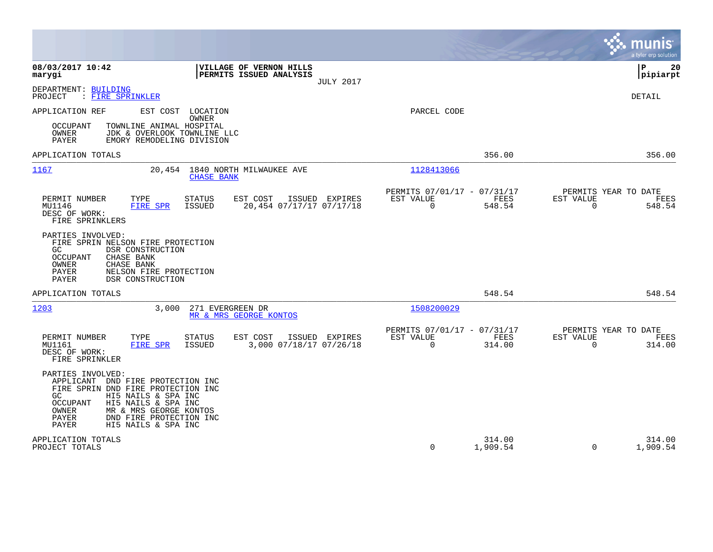|                                                                                                                                                                                                                                                                                    |                                                                        |                                                         |                    | munis<br>a tyler erp solution                                   |    |
|------------------------------------------------------------------------------------------------------------------------------------------------------------------------------------------------------------------------------------------------------------------------------------|------------------------------------------------------------------------|---------------------------------------------------------|--------------------|-----------------------------------------------------------------|----|
| 08/03/2017 10:42<br>marygi                                                                                                                                                                                                                                                         | VILLAGE OF VERNON HILLS<br>PERMITS ISSUED ANALYSIS<br><b>JULY 2017</b> |                                                         |                    | l P<br> pipiarpt                                                | 20 |
| DEPARTMENT: BUILDING<br>PROJECT<br>: FIRE SPRINKLER                                                                                                                                                                                                                                |                                                                        |                                                         |                    | DETAIL                                                          |    |
| APPLICATION REF<br>EST COST LOCATION<br>OWNER<br><b>OCCUPANT</b><br>TOWNLINE ANIMAL HOSPITAL<br>OWNER<br>JDK & OVERLOOK TOWNLINE LLC<br>PAYER<br>EMORY REMODELING DIVISION                                                                                                         |                                                                        | PARCEL CODE                                             |                    |                                                                 |    |
| APPLICATION TOTALS                                                                                                                                                                                                                                                                 |                                                                        |                                                         | 356.00             | 356.00                                                          |    |
| 1167<br>20,454                                                                                                                                                                                                                                                                     | 1840 NORTH MILWAUKEE AVE<br><b>CHASE BANK</b>                          | 1128413066                                              |                    |                                                                 |    |
| PERMIT NUMBER<br>TYPE<br>STATUS<br>MU1146<br>FIRE SPR<br><b>ISSUED</b><br>DESC OF WORK:<br>FIRE SPRINKLERS                                                                                                                                                                         | EST COST<br>ISSUED EXPIRES<br>20,454 07/17/17 07/17/18                 | PERMITS 07/01/17 - 07/31/17<br>EST VALUE<br>$\mathbf 0$ | FEES<br>548.54     | PERMITS YEAR TO DATE<br>EST VALUE<br>FEES<br>$\Omega$<br>548.54 |    |
| PARTIES INVOLVED:<br>FIRE SPRIN NELSON FIRE PROTECTION<br>GC.<br>DSR CONSTRUCTION<br>OCCUPANT<br>CHASE BANK<br>OWNER<br>CHASE BANK<br>PAYER<br>NELSON FIRE PROTECTION<br>PAYER<br>DSR CONSTRUCTION                                                                                 |                                                                        |                                                         |                    |                                                                 |    |
| APPLICATION TOTALS                                                                                                                                                                                                                                                                 |                                                                        |                                                         | 548.54             | 548.54                                                          |    |
| 1203<br>3,000                                                                                                                                                                                                                                                                      | 271 EVERGREEN DR<br>MR & MRS GEORGE KONTOS                             | 1508200029                                              |                    |                                                                 |    |
| PERMIT NUMBER<br>TYPE<br><b>STATUS</b><br>ISSUED<br>MU1161<br>FIRE SPR<br>DESC OF WORK:<br>FIRE SPRINKLER                                                                                                                                                                          | EST COST<br>ISSUED EXPIRES<br>3,000 07/18/17 07/26/18                  | PERMITS 07/01/17 - 07/31/17<br>EST VALUE<br>$\Omega$    | FEES<br>314.00     | PERMITS YEAR TO DATE<br>EST VALUE<br>FEES<br>$\Omega$<br>314.00 |    |
| PARTIES INVOLVED:<br>APPLICANT DND FIRE PROTECTION INC<br>FIRE SPRIN DND FIRE PROTECTION INC<br>HI5 NAILS & SPA INC<br>GC.<br>HI5 NAILS & SPA INC<br><b>OCCUPANT</b><br><b>OWNER</b><br>MR & MRS GEORGE KONTOS<br>PAYER<br>DND FIRE PROTECTION INC<br>PAYER<br>HI5 NAILS & SPA INC |                                                                        |                                                         |                    |                                                                 |    |
| APPLICATION TOTALS<br>PROJECT TOTALS                                                                                                                                                                                                                                               |                                                                        | $\Omega$                                                | 314.00<br>1,909.54 | 314.00<br>1,909.54<br>$\Omega$                                  |    |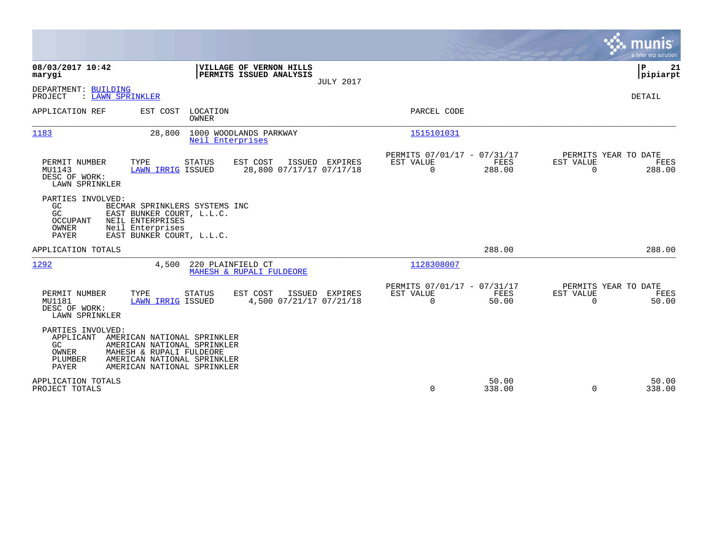|                                                                    |                                                                                                                                                      |                                                    |                  |                                                         |                       |                          | munis<br>a tyler erp solution          |
|--------------------------------------------------------------------|------------------------------------------------------------------------------------------------------------------------------------------------------|----------------------------------------------------|------------------|---------------------------------------------------------|-----------------------|--------------------------|----------------------------------------|
| 08/03/2017 10:42<br>marygi                                         |                                                                                                                                                      | VILLAGE OF VERNON HILLS<br>PERMITS ISSUED ANALYSIS | <b>JULY 2017</b> |                                                         |                       |                          | P<br>21<br> pipiarpt                   |
| DEPARTMENT: BUILDING<br>PROJECT<br>: LAWN SPRINKLER                |                                                                                                                                                      |                                                    |                  |                                                         |                       |                          | <b>DETAIL</b>                          |
| APPLICATION REF                                                    | EST COST<br>LOCATION<br>OWNER                                                                                                                        |                                                    |                  | PARCEL CODE                                             |                       |                          |                                        |
| 1183                                                               | 28,800<br>Neil Enterprises                                                                                                                           | 1000 WOODLANDS PARKWAY                             |                  | 1515101031                                              |                       |                          |                                        |
| PERMIT NUMBER<br>MU1143<br>DESC OF WORK:<br>LAWN SPRINKLER         | TYPE<br><b>STATUS</b><br>LAWN IRRIG ISSUED                                                                                                           | EST COST<br>28,800 07/17/17 07/17/18               | ISSUED EXPIRES   | PERMITS 07/01/17 - 07/31/17<br>EST VALUE<br>$\mathbf 0$ | <b>FEES</b><br>288.00 | EST VALUE<br>$\mathbf 0$ | PERMITS YEAR TO DATE<br>FEES<br>288.00 |
| PARTIES INVOLVED:<br>GC<br>GC<br><b>OCCUPANT</b><br>OWNER<br>PAYER | BECMAR SPRINKLERS SYSTEMS INC<br>EAST BUNKER COURT, L.L.C.<br>NEIL ENTERPRISES<br>Neil Enterprises<br>EAST BUNKER COURT, L.L.C.                      |                                                    |                  |                                                         |                       |                          |                                        |
| APPLICATION TOTALS                                                 |                                                                                                                                                      |                                                    |                  |                                                         | 288.00                |                          | 288.00                                 |
| 1292                                                               | 4,500                                                                                                                                                | 220 PLAINFIELD CT<br>MAHESH & RUPALI FULDEORE      |                  | 1128308007                                              |                       |                          |                                        |
| PERMIT NUMBER<br>MU1181<br>DESC OF WORK:<br>LAWN SPRINKLER         | TYPE<br><b>STATUS</b><br>LAWN IRRIG ISSUED                                                                                                           | EST COST<br>4,500 07/21/17 07/21/18                | ISSUED EXPIRES   | PERMITS 07/01/17 - 07/31/17<br>EST VALUE<br>$\Omega$    | FEES<br>50.00         | EST VALUE<br>$\Omega$    | PERMITS YEAR TO DATE<br>FEES<br>50.00  |
| PARTIES INVOLVED:<br>APPLICANT<br>GC.<br>OWNER<br>PLUMBER<br>PAYER | AMERICAN NATIONAL SPRINKLER<br>AMERICAN NATIONAL SPRINKLER<br>MAHESH & RUPALI FULDEORE<br>AMERICAN NATIONAL SPRINKLER<br>AMERICAN NATIONAL SPRINKLER |                                                    |                  |                                                         |                       |                          |                                        |
| APPLICATION TOTALS<br>PROJECT TOTALS                               |                                                                                                                                                      |                                                    |                  | $\Omega$                                                | 50.00<br>338.00       | $\Omega$                 | 50.00<br>338.00                        |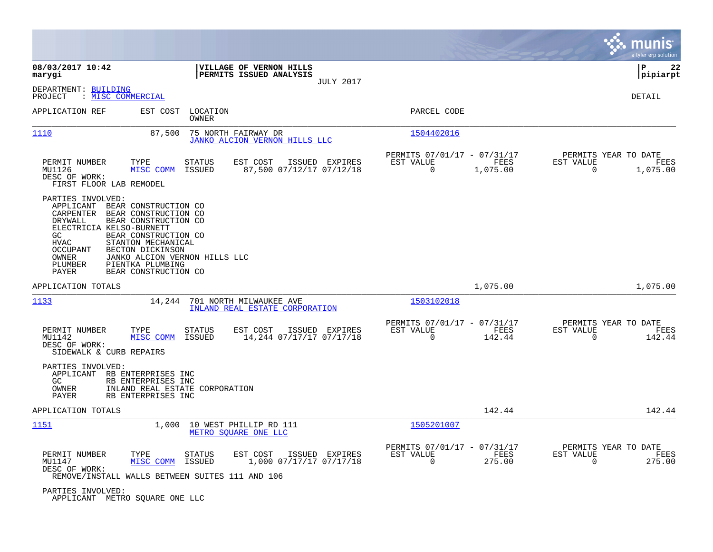|                                                                                                                                                                                                                                                                                                                                                |                                                                                                                                     |                                                                        | munis<br>a tyler erp solution                                        |
|------------------------------------------------------------------------------------------------------------------------------------------------------------------------------------------------------------------------------------------------------------------------------------------------------------------------------------------------|-------------------------------------------------------------------------------------------------------------------------------------|------------------------------------------------------------------------|----------------------------------------------------------------------|
| 08/03/2017 10:42<br>marygi                                                                                                                                                                                                                                                                                                                     | VILLAGE OF VERNON HILLS<br>PERMITS ISSUED ANALYSIS<br><b>JULY 2017</b>                                                              |                                                                        | ΙP<br>22<br> pipiarpt                                                |
| DEPARTMENT: BUILDING<br>: MISC COMMERCIAL<br>PROJECT                                                                                                                                                                                                                                                                                           |                                                                                                                                     |                                                                        | DETAIL                                                               |
| APPLICATION REF                                                                                                                                                                                                                                                                                                                                | EST COST<br>LOCATION<br><b>OWNER</b>                                                                                                | PARCEL CODE                                                            |                                                                      |
| <u>1110</u>                                                                                                                                                                                                                                                                                                                                    | 87,500<br>75 NORTH FAIRWAY DR<br>JANKO ALCION VERNON HILLS LLC                                                                      | 1504402016                                                             |                                                                      |
| PERMIT NUMBER<br>TYPE<br>MU1126<br>MISC COMM<br>DESC OF WORK:<br>FIRST FLOOR LAB REMODEL                                                                                                                                                                                                                                                       | EST COST<br>ISSUED EXPIRES<br><b>STATUS</b><br>87,500 07/12/17 07/12/18<br>ISSUED                                                   | PERMITS 07/01/17 - 07/31/17<br>EST VALUE<br>FEES<br>0<br>1,075.00      | PERMITS YEAR TO DATE<br>EST VALUE<br>FEES<br>$\mathbf 0$<br>1,075.00 |
| PARTIES INVOLVED:<br>APPLICANT<br>BEAR CONSTRUCTION CO<br>CARPENTER<br>BEAR CONSTRUCTION CO<br>BEAR CONSTRUCTION CO<br>DRYWALL<br>ELECTRICIA KELSO-BURNETT<br>BEAR CONSTRUCTION CO<br>GC.<br><b>HVAC</b><br>STANTON MECHANICAL<br><b>OCCUPANT</b><br>BECTON DICKINSON<br>OWNER<br>PIENTKA PLUMBING<br>PLUMBER<br>BEAR CONSTRUCTION CO<br>PAYER | JANKO ALCION VERNON HILLS LLC                                                                                                       |                                                                        |                                                                      |
| APPLICATION TOTALS                                                                                                                                                                                                                                                                                                                             |                                                                                                                                     | 1,075.00                                                               | 1,075.00                                                             |
| 1133                                                                                                                                                                                                                                                                                                                                           | 14,244<br>701 NORTH MILWAUKEE AVE<br>INLAND REAL ESTATE CORPORATION                                                                 | 1503102018                                                             |                                                                      |
| PERMIT NUMBER<br>TYPE<br>MU1142<br>MISC COMM<br>DESC OF WORK:<br>SIDEWALK & CURB REPAIRS                                                                                                                                                                                                                                                       | <b>STATUS</b><br>EST COST<br>ISSUED EXPIRES<br>14,244 07/17/17 07/17/18<br>ISSUED                                                   | PERMITS 07/01/17 - 07/31/17<br>EST VALUE<br>FEES<br>$\Omega$<br>142.44 | PERMITS YEAR TO DATE<br>EST VALUE<br>FEES<br>$\mathbf 0$<br>142.44   |
| PARTIES INVOLVED:<br>APPLICANT RB ENTERPRISES INC<br>GC<br>RB ENTERPRISES INC<br>OWNER<br>RB ENTERPRISES INC<br>PAYER                                                                                                                                                                                                                          | INLAND REAL ESTATE CORPORATION                                                                                                      |                                                                        |                                                                      |
| APPLICATION TOTALS                                                                                                                                                                                                                                                                                                                             |                                                                                                                                     | 142.44                                                                 | 142.44                                                               |
| 1151                                                                                                                                                                                                                                                                                                                                           | 1,000<br>10 WEST PHILLIP RD 111<br>METRO SOUARE ONE LLC                                                                             | 1505201007                                                             |                                                                      |
| PERMIT NUMBER<br>TYPE<br>MU1147<br>MISC COMM<br>DESC OF WORK:                                                                                                                                                                                                                                                                                  | <b>STATUS</b><br>EST COST<br>ISSUED EXPIRES<br>ISSUED<br>1,000 07/17/17 07/17/18<br>REMOVE/INSTALL WALLS BETWEEN SUITES 111 AND 106 | PERMITS 07/01/17 - 07/31/17<br>EST VALUE<br>FEES<br>$\Omega$<br>275.00 | PERMITS YEAR TO DATE<br>EST VALUE<br>FEES<br>$\Omega$<br>275.00      |
| PARTIES INVOLVED:                                                                                                                                                                                                                                                                                                                              |                                                                                                                                     |                                                                        |                                                                      |

APPLICANT METRO SQUARE ONE LLC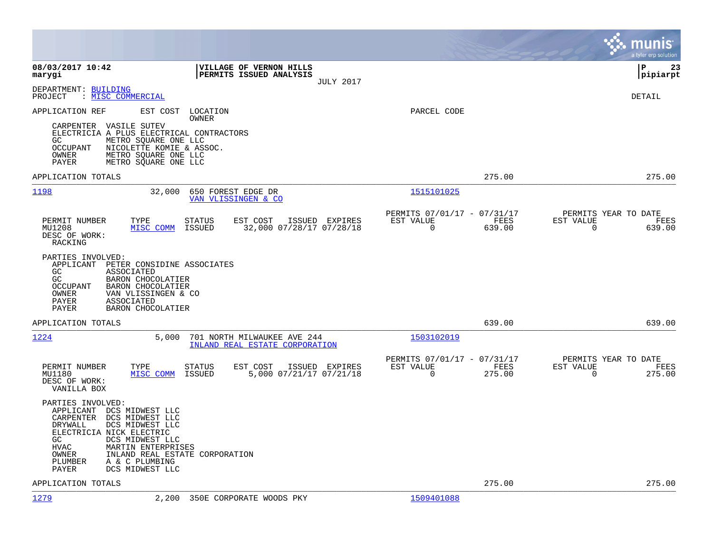|                                                                                                                                                                                                                                                                                                             |                                                                        | munis<br>a tyler erp solution                                   |
|-------------------------------------------------------------------------------------------------------------------------------------------------------------------------------------------------------------------------------------------------------------------------------------------------------------|------------------------------------------------------------------------|-----------------------------------------------------------------|
| 08/03/2017 10:42<br><b>VILLAGE OF VERNON HILLS</b><br><b>PERMITS ISSUED ANALYSIS</b><br>marygi<br><b>JULY 2017</b>                                                                                                                                                                                          |                                                                        | l P<br>23<br> pipiarpt                                          |
| DEPARTMENT: BUILDING<br>: MISC COMMERCIAL<br>PROJECT                                                                                                                                                                                                                                                        |                                                                        | DETAIL                                                          |
| APPLICATION REF<br>EST COST<br>LOCATION<br>OWNER<br>CARPENTER VASILE SUTEV<br>ELECTRICIA A PLUS ELECTRICAL CONTRACTORS<br>METRO SQUARE ONE LLC<br>GC.<br>NICOLETTE KOMIE & ASSOC.<br>OCCUPANT<br>OWNER<br>METRO SOUARE ONE LLC<br>METRO SQUARE ONE LLC<br>PAYER                                             | PARCEL CODE                                                            |                                                                 |
| APPLICATION TOTALS                                                                                                                                                                                                                                                                                          | 275.00                                                                 | 275.00                                                          |
| 1198<br>32,000<br>650 FOREST EDGE DR<br>VAN VLISSINGEN & CO                                                                                                                                                                                                                                                 | 1515101025                                                             |                                                                 |
| PERMIT NUMBER<br>TYPE<br><b>STATUS</b><br>EST COST<br>ISSUED EXPIRES<br>MU1208<br>MISC COMM<br>ISSUED<br>32,000 07/28/17 07/28/18<br>DESC OF WORK:<br>RACKING                                                                                                                                               | PERMITS 07/01/17 - 07/31/17<br>EST VALUE<br>FEES<br>0<br>639.00        | PERMITS YEAR TO DATE<br>EST VALUE<br>FEES<br>0<br>639.00        |
| PARTIES INVOLVED:<br>APPLICANT PETER CONSIDINE ASSOCIATES<br>GC<br><b>ASSOCIATED</b><br>GC<br>BARON CHOCOLATIER<br>OCCUPANT<br>BARON CHOCOLATIER<br>OWNER<br>VAN VLISSINGEN & CO<br><b>ASSOCIATED</b><br>PAYER<br>PAYER<br><b>BARON CHOCOLATIER</b>                                                         |                                                                        |                                                                 |
| APPLICATION TOTALS                                                                                                                                                                                                                                                                                          | 639.00                                                                 | 639.00                                                          |
| 1224<br>5,000<br>701 NORTH MILWAUKEE AVE 244<br>INLAND REAL ESTATE CORPORATION                                                                                                                                                                                                                              | 1503102019                                                             |                                                                 |
| TYPE<br>EST COST<br>PERMIT NUMBER<br><b>STATUS</b><br>ISSUED EXPIRES<br>MU1180<br>MISC COMM<br>ISSUED<br>5,000 07/21/17 07/21/18<br>DESC OF WORK:<br>VANILLA BOX                                                                                                                                            | PERMITS 07/01/17 - 07/31/17<br>EST VALUE<br>FEES<br>$\Omega$<br>275.00 | PERMITS YEAR TO DATE<br>EST VALUE<br>FEES<br>$\Omega$<br>275.00 |
| PARTIES INVOLVED:<br>APPLICANT DCS MIDWEST LLC<br>DCS MIDWEST LLC<br>CARPENTER<br>DRYWALL<br>DCS MIDWEST LLC<br>ELECTRICIA NICK ELECTRIC<br>GC.<br>DCS MIDWEST LLC<br><b>HVAC</b><br>MARTIN ENTERPRISES<br>INLAND REAL ESTATE CORPORATION<br>OWNER<br>A & C PLUMBING<br>PLUMBER<br>PAYER<br>DCS MIDWEST LLC |                                                                        |                                                                 |
| APPLICATION TOTALS                                                                                                                                                                                                                                                                                          | 275.00                                                                 | 275.00                                                          |
| 1279<br>2,200<br>350E CORPORATE WOODS PKY                                                                                                                                                                                                                                                                   | 1509401088                                                             |                                                                 |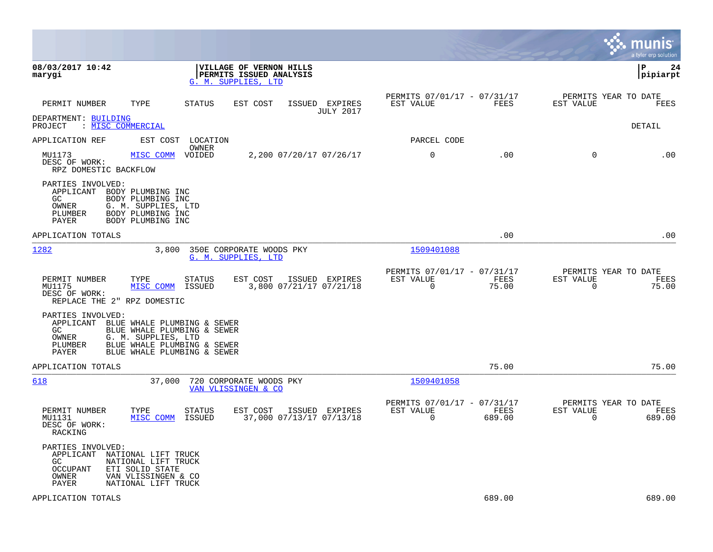|                                                                                                                                                                                    |                                                                                           |                                                         |                | munis<br>a tyler erp solution                                      |
|------------------------------------------------------------------------------------------------------------------------------------------------------------------------------------|-------------------------------------------------------------------------------------------|---------------------------------------------------------|----------------|--------------------------------------------------------------------|
| 08/03/2017 10:42<br>marygi                                                                                                                                                         | <b>VILLAGE OF VERNON HILLS</b><br>PERMITS ISSUED ANALYSIS<br>G. M. SUPPLIES, LTD          |                                                         |                | l P<br>24<br> pipiarpt                                             |
| PERMIT NUMBER<br>TYPE                                                                                                                                                              | <b>STATUS</b><br>ISSUED EXPIRES<br>EST COST<br><b>JULY 2017</b>                           | PERMITS 07/01/17 - 07/31/17<br>EST VALUE                | FEES           | PERMITS YEAR TO DATE<br>EST VALUE<br>FEES                          |
| DEPARTMENT: BUILDING<br>: MISC COMMERCIAL<br>PROJECT                                                                                                                               |                                                                                           |                                                         |                | DETAIL                                                             |
| APPLICATION REF                                                                                                                                                                    | EST COST<br>LOCATION                                                                      | PARCEL CODE                                             |                |                                                                    |
| MU1173<br>MISC COMM<br>DESC OF WORK:<br>RPZ DOMESTIC BACKFLOW                                                                                                                      | OWNER<br>VOIDED<br>2,200 07/20/17 07/26/17                                                | 0                                                       | .00            | $\mathbf 0$<br>.00                                                 |
| PARTIES INVOLVED:<br>APPLICANT<br>BODY PLUMBING INC<br>GC.<br>BODY PLUMBING INC<br>OWNER<br>G. M. SUPPLIES, LTD<br>BODY PLUMBING INC<br>PLUMBER<br>PAYER<br>BODY PLUMBING INC      |                                                                                           |                                                         |                |                                                                    |
| APPLICATION TOTALS                                                                                                                                                                 |                                                                                           |                                                         | .00            | .00                                                                |
| 1282                                                                                                                                                                               | 350E CORPORATE WOODS PKY<br>3,800<br>G. M. SUPPLIES, LTD                                  | 1509401088                                              |                |                                                                    |
| PERMIT NUMBER<br>TYPE<br>MU1175<br>MISC COMM<br>DESC OF WORK:<br>REPLACE THE 2" RPZ DOMESTIC                                                                                       | EST COST<br>ISSUED EXPIRES<br><b>STATUS</b><br>ISSUED<br>3,800 07/21/17 07/21/18          | PERMITS 07/01/17 - 07/31/17<br>EST VALUE<br>$\mathbf 0$ | FEES<br>75.00  | PERMITS YEAR TO DATE<br>EST VALUE<br>FEES<br>$\mathbf 0$<br>75.00  |
| PARTIES INVOLVED:<br>APPLICANT BLUE WHALE PLUMBING & SEWER<br>GC<br>OWNER<br>G. M. SUPPLIES, LTD<br>PLUMBER<br>PAYER                                                               | BLUE WHALE PLUMBING & SEWER<br>BLUE WHALE PLUMBING & SEWER<br>BLUE WHALE PLUMBING & SEWER |                                                         |                |                                                                    |
| APPLICATION TOTALS                                                                                                                                                                 |                                                                                           |                                                         | 75.00          | 75.00                                                              |
| 618                                                                                                                                                                                | 37,000<br>720 CORPORATE WOODS PKY<br>VAN VLISSINGEN & CO                                  | 1509401058                                              |                |                                                                    |
| PERMIT NUMBER<br>TYPE<br>MISC COMM<br>MU1131<br>DESC OF WORK:<br>RACKING                                                                                                           | STATUS<br>EST COST<br>ISSUED EXPIRES<br>37,000 07/13/17 07/13/18<br>ISSUED                | PERMITS 07/01/17 - 07/31/17<br>EST VALUE<br>$\Omega$    | FEES<br>689.00 | PERMITS YEAR TO DATE<br>EST VALUE<br>FEES<br>$\mathbf 0$<br>689.00 |
| PARTIES INVOLVED:<br>APPLICANT<br>NATIONAL LIFT TRUCK<br>NATIONAL LIFT TRUCK<br>GC.<br>OCCUPANT<br>ETI SOLID STATE<br>OWNER<br>VAN VLISSINGEN & CO<br>PAYER<br>NATIONAL LIFT TRUCK |                                                                                           |                                                         |                |                                                                    |
| APPLICATION TOTALS                                                                                                                                                                 |                                                                                           |                                                         | 689.00         | 689.00                                                             |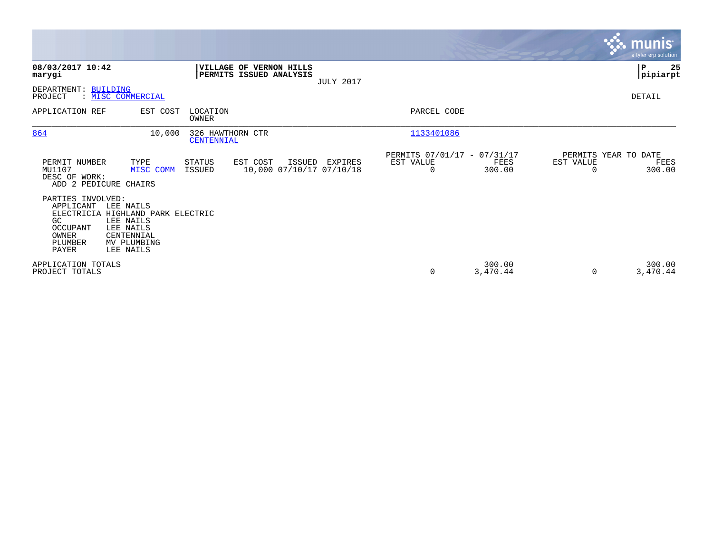|                                                                               |                                                                                                                    |                                |                                                    |                  |                                                         |                    |                       | <b>munis</b><br>a tyler erp solution   |
|-------------------------------------------------------------------------------|--------------------------------------------------------------------------------------------------------------------|--------------------------------|----------------------------------------------------|------------------|---------------------------------------------------------|--------------------|-----------------------|----------------------------------------|
| 08/03/2017 10:42<br>marygi                                                    |                                                                                                                    |                                | VILLAGE OF VERNON HILLS<br>PERMITS ISSUED ANALYSIS | <b>JULY 2017</b> |                                                         |                    |                       | 25<br>${\bf P}$<br> pipiarpt           |
| DEPARTMENT: BUILDING<br>PROJECT                                               | : MISC COMMERCIAL                                                                                                  |                                |                                                    |                  |                                                         |                    |                       | DETAIL                                 |
| APPLICATION REF                                                               | EST COST                                                                                                           | LOCATION<br>OWNER              |                                                    |                  | PARCEL CODE                                             |                    |                       |                                        |
| 864                                                                           | 10,000                                                                                                             | 326 HAWTHORN CTR<br>CENTENNIAL |                                                    |                  | 1133401086                                              |                    |                       |                                        |
| PERMIT NUMBER<br>MU1107<br>DESC OF WORK:<br>ADD 2 PEDICURE CHAIRS             | TYPE<br>MISC COMM                                                                                                  | STATUS<br><b>ISSUED</b>        | EST COST<br>ISSUED<br>10,000 07/10/17 07/10/18     | EXPIRES          | PERMITS 07/01/17 - 07/31/17<br>EST VALUE<br>$\mathbf 0$ | FEES<br>300.00     | EST VALUE<br>$\Omega$ | PERMITS YEAR TO DATE<br>FEES<br>300.00 |
| PARTIES INVOLVED:<br>APPLICANT<br>GC<br>OCCUPANT<br>OWNER<br>PLUMBER<br>PAYER | LEE NAILS<br>ELECTRICIA HIGHLAND PARK ELECTRIC<br>LEE NAILS<br>LEE NAILS<br>CENTENNIAL<br>MV PLUMBING<br>LEE NAILS |                                |                                                    |                  |                                                         |                    |                       |                                        |
| APPLICATION TOTALS<br>PROJECT TOTALS                                          |                                                                                                                    |                                |                                                    |                  | 0                                                       | 300.00<br>3,470.44 | $\Omega$              | 300.00<br>3,470.44                     |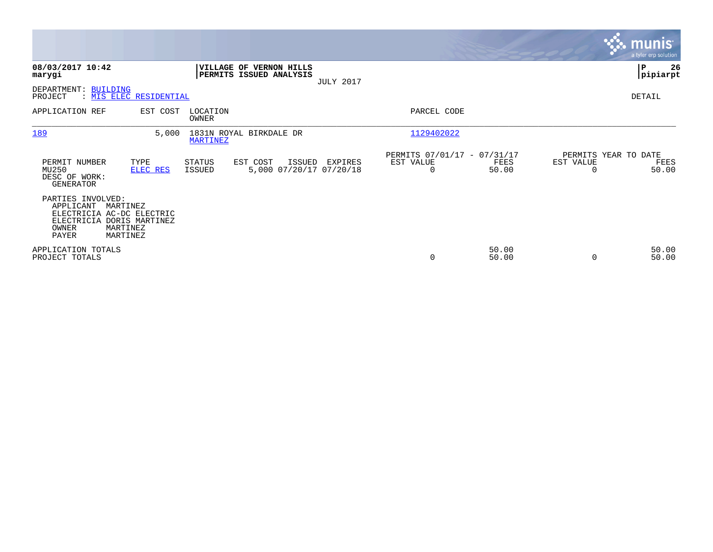|                                                                                                                                                |                        |                          |                                                           |                  |                                                      |                |                                               | <b>munis</b><br>a tyler erp solution |
|------------------------------------------------------------------------------------------------------------------------------------------------|------------------------|--------------------------|-----------------------------------------------------------|------------------|------------------------------------------------------|----------------|-----------------------------------------------|--------------------------------------|
| 08/03/2017 10:42<br>marygi                                                                                                                     |                        |                          | <b>VILLAGE OF VERNON HILLS</b><br>PERMITS ISSUED ANALYSIS | <b>JULY 2017</b> |                                                      |                |                                               | P<br>26<br> pipiarpt                 |
| DEPARTMENT: BUILDING<br>PROJECT                                                                                                                | : MIS ELEC RESIDENTIAL |                          |                                                           |                  |                                                      |                |                                               | DETAIL                               |
| APPLICATION REF                                                                                                                                | EST COST               | LOCATION<br><b>OWNER</b> |                                                           |                  | PARCEL CODE                                          |                |                                               |                                      |
| 189                                                                                                                                            | 5,000                  | <b>MARTINEZ</b>          | 1831N ROYAL BIRKDALE DR                                   |                  | 1129402022                                           |                |                                               |                                      |
| PERMIT NUMBER<br>MU250<br>DESC OF WORK:<br><b>GENERATOR</b>                                                                                    | TYPE<br>ELEC RES       | STATUS<br>ISSUED         | EST COST<br>ISSUED<br>5,000 07/20/17 07/20/18             | EXPIRES          | PERMITS 07/01/17 - 07/31/17<br>EST VALUE<br>$\Omega$ | FEES<br>50.00  | PERMITS YEAR TO DATE<br>EST VALUE<br>$\Omega$ | FEES<br>50.00                        |
| PARTIES INVOLVED:<br>APPLICANT<br>MARTINEZ<br>ELECTRICIA AC-DC ELECTRIC<br>ELECTRICIA DORIS MARTINEZ<br>OWNER<br>MARTINEZ<br>PAYER<br>MARTINEZ |                        |                          |                                                           |                  |                                                      |                |                                               |                                      |
| APPLICATION TOTALS<br>PROJECT TOTALS                                                                                                           |                        |                          |                                                           |                  | 0                                                    | 50.00<br>50.00 | $\Omega$                                      | 50.00<br>50.00                       |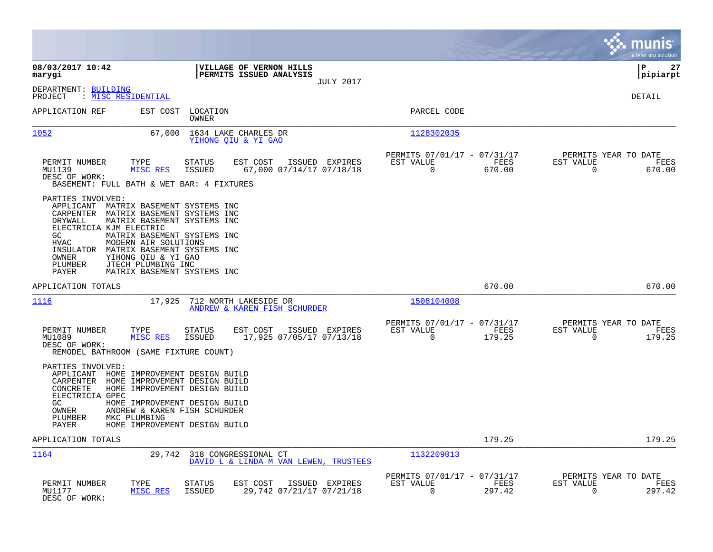|                                                                                                                                                                                                                       |                                                                                                                                                                                        |                                                                           | munis<br>a tyler erp solution                                      |
|-----------------------------------------------------------------------------------------------------------------------------------------------------------------------------------------------------------------------|----------------------------------------------------------------------------------------------------------------------------------------------------------------------------------------|---------------------------------------------------------------------------|--------------------------------------------------------------------|
| 08/03/2017 10:42<br>marygi                                                                                                                                                                                            | VILLAGE OF VERNON HILLS<br>PERMITS ISSUED ANALYSIS                                                                                                                                     |                                                                           | ΙP<br>27<br>pipiarpt                                               |
| DEPARTMENT: BUILDING<br>: <u>MISC RESIDENTIAL</u><br>PROJECT                                                                                                                                                          | <b>JULY 2017</b>                                                                                                                                                                       |                                                                           | DETAIL                                                             |
| APPLICATION REF<br>EST COST                                                                                                                                                                                           | LOCATION<br>OWNER                                                                                                                                                                      | PARCEL CODE                                                               |                                                                    |
| 1052                                                                                                                                                                                                                  | 67,000<br>1634 LAKE CHARLES DR<br>YIHONG OIU & YI GAO                                                                                                                                  | 1128302035                                                                |                                                                    |
| TYPE<br>PERMIT NUMBER<br>MISC RES<br>MU1139<br>DESC OF WORK:<br>BASEMENT: FULL BATH & WET BAR: 4 FIXTURES                                                                                                             | <b>STATUS</b><br>EST COST<br>ISSUED EXPIRES<br>67,000 07/14/17 07/18/18<br><b>ISSUED</b>                                                                                               | PERMITS 07/01/17 - 07/31/17<br>FEES<br>EST VALUE<br>$\mathbf 0$<br>670.00 | PERMITS YEAR TO DATE<br>FEES<br>EST VALUE<br>$\mathbf 0$<br>670.00 |
| PARTIES INVOLVED:<br>APPLICANT<br>CARPENTER<br>DRYWALL<br>ELECTRICIA KJM ELECTRIC<br>GC<br><b>HVAC</b><br>MODERN AIR SOLUTIONS<br>INSULATOR<br>OWNER<br>YIHONG OIU & YI GAO<br>JTECH PLUMBING INC<br>PLUMBER<br>PAYER | MATRIX BASEMENT SYSTEMS INC<br>MATRIX BASEMENT SYSTEMS INC<br>MATRIX BASEMENT SYSTEMS INC<br>MATRIX BASEMENT SYSTEMS INC<br>MATRIX BASEMENT SYSTEMS INC<br>MATRIX BASEMENT SYSTEMS INC |                                                                           |                                                                    |
| APPLICATION TOTALS                                                                                                                                                                                                    |                                                                                                                                                                                        | 670.00                                                                    | 670.00                                                             |
| 1116                                                                                                                                                                                                                  | 17,925<br>712 NORTH LAKESIDE DR<br>ANDREW & KAREN FISH SCHURDER                                                                                                                        | 1508104008                                                                |                                                                    |
| PERMIT NUMBER<br>TYPE<br>MISC RES<br>MU1089<br>DESC OF WORK:<br>REMODEL BATHROOM (SAME FIXTURE COUNT)                                                                                                                 | <b>STATUS</b><br>EST COST<br>ISSUED EXPIRES<br>17,925 07/05/17 07/13/18<br><b>ISSUED</b>                                                                                               | PERMITS 07/01/17 - 07/31/17<br>EST VALUE<br>FEES<br>$\mathbf 0$<br>179.25 | PERMITS YEAR TO DATE<br>EST VALUE<br>FEES<br>$\mathbf 0$<br>179.25 |
| PARTIES INVOLVED:<br>APPLICANT<br>CARPENTER HOME IMPROVEMENT DESIGN BUILD<br>CONCRETE<br>ELECTRICIA GPEC<br>GC<br>OWNER<br>PLUMBER<br>MKC PLUMBING<br>PAYER                                                           | HOME IMPROVEMENT DESIGN BUILD<br>HOME IMPROVEMENT DESIGN BUILD<br>HOME IMPROVEMENT DESIGN BUILD<br>ANDREW & KAREN FISH SCHURDER<br>HOME IMPROVEMENT DESIGN BUILD                       |                                                                           |                                                                    |
| APPLICATION TOTALS                                                                                                                                                                                                    |                                                                                                                                                                                        | 179.25                                                                    | 179.25                                                             |
| 1164                                                                                                                                                                                                                  | 29,742 318 CONGRESSIONAL CT<br>DAVID L & LINDA M VAN LEWEN, TRUSTEES                                                                                                                   | 1132209013                                                                |                                                                    |
| PERMIT NUMBER<br>TYPE<br>MU1177<br>MISC RES<br>DESC OF WORK:                                                                                                                                                          | <b>STATUS</b><br>EST COST<br>ISSUED EXPIRES<br>29,742 07/21/17 07/21/18<br><b>ISSUED</b>                                                                                               | PERMITS 07/01/17 - 07/31/17<br>EST VALUE<br>FEES<br>0<br>297.42           | PERMITS YEAR TO DATE<br>EST VALUE<br>FEES<br>297.42<br>0           |

**Contract**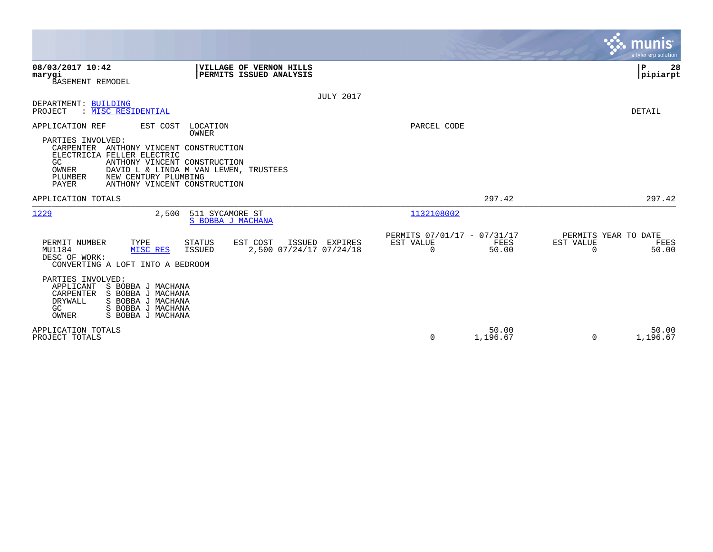|                                                                                                                                                                                                                                                                                                                          |                                                                | munis<br>a tyler erp solution                                  |
|--------------------------------------------------------------------------------------------------------------------------------------------------------------------------------------------------------------------------------------------------------------------------------------------------------------------------|----------------------------------------------------------------|----------------------------------------------------------------|
| 08/03/2017 10:42<br>VILLAGE OF VERNON HILLS<br>PERMITS ISSUED ANALYSIS<br>marygi<br>BASEMENT REMODEL                                                                                                                                                                                                                     |                                                                | $\mathbf P$<br>28<br> pipiarpt                                 |
| <b>JULY 2017</b>                                                                                                                                                                                                                                                                                                         |                                                                |                                                                |
| DEPARTMENT: BUILDING<br>PROJECT<br>: MISC RESIDENTIAL                                                                                                                                                                                                                                                                    |                                                                | DETAIL                                                         |
| APPLICATION REF<br>EST COST<br>LOCATION<br>OWNER<br>PARTIES INVOLVED:<br>CARPENTER ANTHONY VINCENT CONSTRUCTION<br>ELECTRICIA FELLER ELECTRIC<br>GC<br>ANTHONY VINCENT CONSTRUCTION<br>DAVID L & LINDA M VAN LEWEN, TRUSTEES<br><b>OWNER</b><br>PLUMBER<br>NEW CENTURY PLUMBING<br>PAYER<br>ANTHONY VINCENT CONSTRUCTION | PARCEL CODE                                                    |                                                                |
| APPLICATION TOTALS                                                                                                                                                                                                                                                                                                       | 297.42                                                         | 297.42                                                         |
| 1229<br>2,500<br>511 SYCAMORE ST<br>S BOBBA J MACHANA                                                                                                                                                                                                                                                                    | 1132108002                                                     |                                                                |
| PERMIT NUMBER<br>TYPE<br>EST COST<br>STATUS<br>ISSUED EXPIRES<br>2,500 07/24/17 07/24/18<br>ISSUED<br>MU1184<br>MISC RES<br>DESC OF WORK:<br>CONVERTING A LOFT INTO A BEDROOM                                                                                                                                            | PERMITS 07/01/17 - 07/31/17<br>EST VALUE<br>FEES<br>0<br>50.00 | PERMITS YEAR TO DATE<br>EST VALUE<br>FEES<br>50.00<br>$\Omega$ |
| PARTIES INVOLVED:<br>APPLICANT<br>S BOBBA J MACHANA<br>S BOBBA J MACHANA<br>CARPENTER<br>DRYWALL<br>S BOBBA J MACHANA<br>GC<br>S BOBBA J MACHANA<br>OWNER<br>S BOBBA J MACHANA                                                                                                                                           |                                                                |                                                                |
| APPLICATION TOTALS<br>PROJECT TOTALS                                                                                                                                                                                                                                                                                     | 50.00<br>0<br>1,196.67                                         | 50.00<br>1,196.67<br>$\Omega$                                  |

 $\mathcal{L}^{\text{max}}$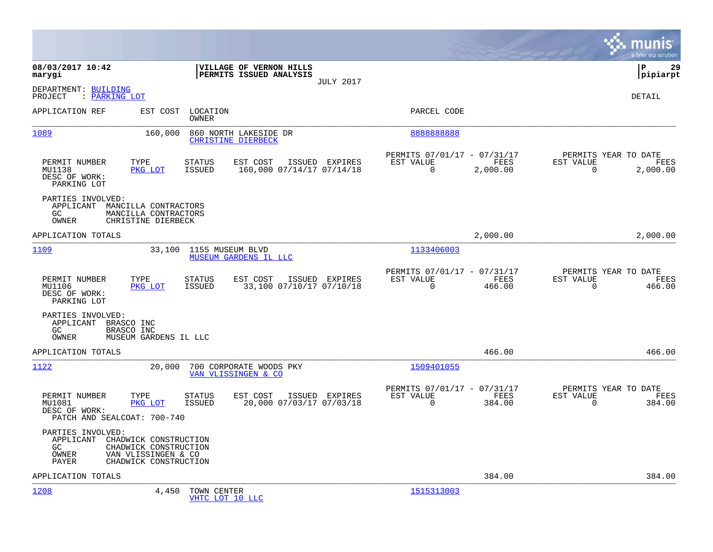|                                                                         |                                                                                                |                                                                         |                  |                                                         |                  |                                                  | munis<br>a tyler erp solution |
|-------------------------------------------------------------------------|------------------------------------------------------------------------------------------------|-------------------------------------------------------------------------|------------------|---------------------------------------------------------|------------------|--------------------------------------------------|-------------------------------|
| 08/03/2017 10:42<br>marygi                                              |                                                                                                | VILLAGE OF VERNON HILLS<br>PERMITS ISSUED ANALYSIS                      | <b>JULY 2017</b> |                                                         |                  |                                                  | lР<br>29<br> pipiarpt         |
| DEPARTMENT: BUILDING<br>PROJECT<br>: PARKING LOT                        |                                                                                                |                                                                         |                  |                                                         |                  |                                                  | DETAIL                        |
| APPLICATION REF                                                         | EST COST                                                                                       | LOCATION<br>OWNER                                                       |                  | PARCEL CODE                                             |                  |                                                  |                               |
| 1089                                                                    | 160,000                                                                                        | 860 NORTH LAKESIDE DR<br><b>CHRISTINE DIERBECK</b>                      |                  | 8888888888                                              |                  |                                                  |                               |
| PERMIT NUMBER<br>MU1138<br>DESC OF WORK:<br>PARKING LOT                 | TYPE<br>PKG LOT                                                                                | <b>STATUS</b><br>EST COST<br><b>ISSUED</b><br>160,000 07/14/17 07/14/18 | ISSUED EXPIRES   | PERMITS 07/01/17 - 07/31/17<br>EST VALUE<br>$\mathbf 0$ | FEES<br>2,000.00 | PERMITS YEAR TO DATE<br>EST VALUE<br>$\mathbf 0$ | FEES<br>2,000.00              |
| PARTIES INVOLVED:<br>APPLICANT<br>GC<br>OWNER                           | MANCILLA CONTRACTORS<br>MANCILLA CONTRACTORS<br>CHRISTINE DIERBECK                             |                                                                         |                  |                                                         |                  |                                                  |                               |
| APPLICATION TOTALS                                                      |                                                                                                |                                                                         |                  |                                                         | 2,000.00         |                                                  | 2,000.00                      |
| 1109                                                                    | 33,100                                                                                         | 1155 MUSEUM BLVD<br><b>MUSEUM GARDENS IL LLC</b>                        |                  | 1133406003                                              |                  |                                                  |                               |
| PERMIT NUMBER<br>MU1106<br>DESC OF WORK:<br>PARKING LOT                 | TYPE<br>PKG LOT                                                                                | <b>STATUS</b><br>EST COST<br>ISSUED<br>33,100 07/10/17 07/10/18         | ISSUED EXPIRES   | PERMITS 07/01/17 - 07/31/17<br>EST VALUE<br>$\Omega$    | FEES<br>466.00   | PERMITS YEAR TO DATE<br>EST VALUE<br>$\Omega$    | FEES<br>466.00                |
| PARTIES INVOLVED:<br>APPLICANT<br>GC<br>OWNER                           | BRASCO INC<br>BRASCO INC<br>MUSEUM GARDENS IL LLC                                              |                                                                         |                  |                                                         |                  |                                                  |                               |
| APPLICATION TOTALS                                                      |                                                                                                |                                                                         |                  |                                                         | 466.00           |                                                  | 466.00                        |
| 1122                                                                    | 20,000                                                                                         | 700 CORPORATE WOODS PKY<br>VAN VLISSINGEN & CO                          |                  | 1509401055                                              |                  |                                                  |                               |
| PERMIT NUMBER<br>MU1081<br>DESC OF WORK:<br>PATCH AND SEALCOAT: 700-740 | TYPE<br>PKG LOT                                                                                | <b>STATUS</b><br>EST COST<br>20,000 07/03/17 07/03/18<br>ISSUED         | ISSUED EXPIRES   | PERMITS 07/01/17 - 07/31/17<br>EST VALUE<br>$\mathbf 0$ | FEES<br>384.00   | PERMITS YEAR TO DATE<br>EST VALUE<br>$\mathbf 0$ | FEES<br>384.00                |
| PARTIES INVOLVED:<br>APPLICANT<br>GC<br>OWNER<br>PAYER                  | CHADWICK CONSTRUCTION<br>CHADWICK CONSTRUCTION<br>VAN VLISSINGEN & CO<br>CHADWICK CONSTRUCTION |                                                                         |                  |                                                         |                  |                                                  |                               |
| APPLICATION TOTALS                                                      |                                                                                                |                                                                         |                  |                                                         | 384.00           |                                                  | 384.00                        |
| 1208                                                                    | 4,450                                                                                          | TOWN CENTER<br>VHTC LOT 10 LLC                                          |                  | 1515313003                                              |                  |                                                  |                               |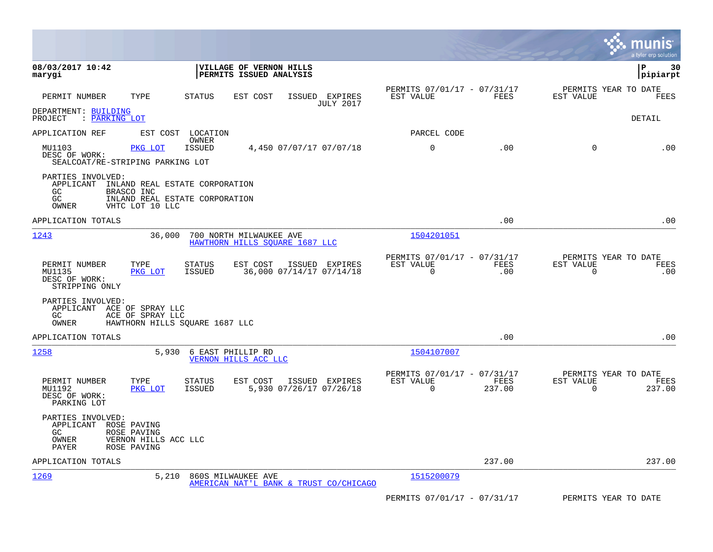|                                                                                                                                                           |                                                                                   |                                                         |                    | munis<br>a tyler erp solution                                      |
|-----------------------------------------------------------------------------------------------------------------------------------------------------------|-----------------------------------------------------------------------------------|---------------------------------------------------------|--------------------|--------------------------------------------------------------------|
| 08/03/2017 10:42<br>marygi                                                                                                                                | VILLAGE OF VERNON HILLS<br>PERMITS ISSUED ANALYSIS                                |                                                         |                    | ΙP<br>30<br> pipiarpt                                              |
| PERMIT NUMBER<br>TYPE                                                                                                                                     | <b>STATUS</b><br>EST COST<br>ISSUED EXPIRES<br><b>JULY 2017</b>                   | PERMITS 07/01/17 - 07/31/17<br>EST VALUE                | FEES               | PERMITS YEAR TO DATE<br>EST VALUE<br>FEES                          |
| DEPARTMENT: BUILDING<br>: PARKING LOT<br>PROJECT                                                                                                          |                                                                                   |                                                         |                    | <b>DETAIL</b>                                                      |
| APPLICATION REF                                                                                                                                           | EST COST LOCATION                                                                 | PARCEL CODE                                             |                    |                                                                    |
| MU1103<br>PKG LOT<br>DESC OF WORK:<br>SEALCOAT/RE-STRIPING PARKING LOT                                                                                    | OWNER<br><b>ISSUED</b><br>4,450 07/07/17 07/07/18                                 | 0                                                       | .00                | $\mathbf 0$<br>.00                                                 |
| PARTIES INVOLVED:<br>APPLICANT<br>INLAND REAL ESTATE CORPORATION<br>GC.<br>BRASCO INC<br>GC<br>INLAND REAL ESTATE CORPORATION<br>OWNER<br>VHTC LOT 10 LLC |                                                                                   |                                                         |                    |                                                                    |
| APPLICATION TOTALS                                                                                                                                        |                                                                                   |                                                         | .00                | .00                                                                |
| 1243<br>36,000                                                                                                                                            | 700 NORTH MILWAUKEE AVE<br>HAWTHORN HILLS SOUARE 1687 LLC                         | 1504201051                                              |                    |                                                                    |
| PERMIT NUMBER<br>TYPE<br>MU1135<br>PKG LOT<br>DESC OF WORK:<br>STRIPPING ONLY                                                                             | EST COST<br><b>STATUS</b><br>ISSUED EXPIRES<br>36,000 07/14/17 07/14/18<br>ISSUED | PERMITS 07/01/17 - 07/31/17<br>EST VALUE<br>$\Omega$    | <b>FEES</b><br>.00 | PERMITS YEAR TO DATE<br>EST VALUE<br>FEES<br>$\mathbf 0$<br>.00    |
| PARTIES INVOLVED:<br>APPLICANT ACE OF SPRAY LLC<br>GC<br>ACE OF SPRAY LLC<br>HAWTHORN HILLS SOUARE 1687 LLC<br>OWNER                                      |                                                                                   |                                                         |                    |                                                                    |
| APPLICATION TOTALS                                                                                                                                        |                                                                                   |                                                         | .00                | .00                                                                |
| 1258<br>5,930                                                                                                                                             | 6 EAST PHILLIP RD<br>VERNON HILLS ACC LLC                                         | 1504107007                                              |                    |                                                                    |
| PERMIT NUMBER<br>TYPE<br>MU1192<br>PKG LOT<br>DESC OF WORK:<br>PARKING LOT                                                                                | <b>STATUS</b><br>EST COST<br>ISSUED EXPIRES<br>ISSUED<br>5,930 07/26/17 07/26/18  | PERMITS 07/01/17 - 07/31/17<br>EST VALUE<br>$\mathbf 0$ | FEES<br>237.00     | PERMITS YEAR TO DATE<br>EST VALUE<br>FEES<br>$\mathbf 0$<br>237.00 |
| PARTIES INVOLVED:<br>APPLICANT ROSE PAVING<br>ROSE PAVING<br>GC.<br>OWNER<br>VERNON HILLS ACC LLC<br>PAYER<br>ROSE PAVING                                 |                                                                                   |                                                         |                    |                                                                    |
| APPLICATION TOTALS                                                                                                                                        |                                                                                   |                                                         | 237.00             | 237.00                                                             |
| <u> 1269</u><br>5,210                                                                                                                                     | 860S MILWAUKEE AVE<br>AMERICAN NAT'L BANK & TRUST CO/CHICAGO                      | 1515200079                                              |                    |                                                                    |
|                                                                                                                                                           |                                                                                   | PERMITS 07/01/17 - 07/31/17                             |                    | PERMITS YEAR TO DATE                                               |

 $\bullet$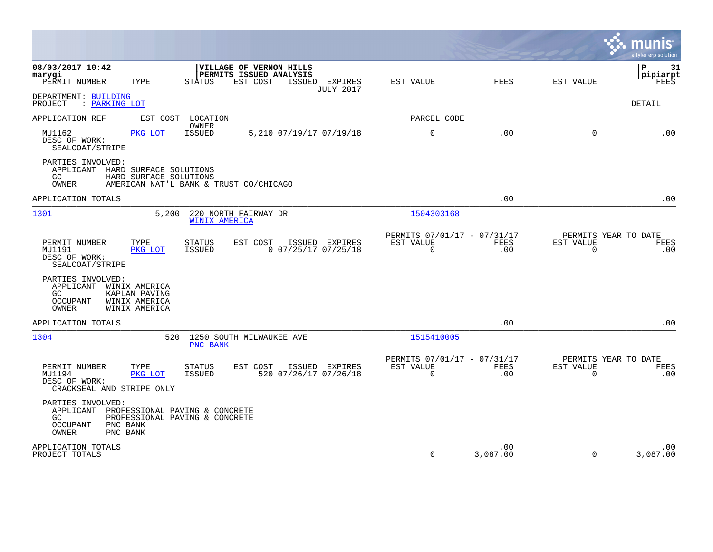|                                                                                                                                                        |                                             |                                                         |                    |                                                  | munis<br>a tyler erp solution  |
|--------------------------------------------------------------------------------------------------------------------------------------------------------|---------------------------------------------|---------------------------------------------------------|--------------------|--------------------------------------------------|--------------------------------|
| 08/03/2017 10:42<br>VILLAGE OF VERNON HILLS<br>PERMITS ISSUED ANALYSIS<br>marygi<br>PERMIT NUMBER<br>TYPE<br><b>STATUS</b><br>EST COST                 | ISSUED EXPIRES<br><b>JULY 2017</b>          | EST VALUE                                               | <b>FEES</b>        | EST VALUE                                        | l P<br>31<br> pipiarpt<br>FEES |
| DEPARTMENT: BUILDING<br>: PARKING LOT<br>PROJECT                                                                                                       |                                             |                                                         |                    |                                                  | <b>DETAIL</b>                  |
| APPLICATION REF<br>EST COST<br>LOCATION                                                                                                                |                                             | PARCEL CODE                                             |                    |                                                  |                                |
| OWNER<br><b>ISSUED</b><br>MU1162<br>PKG LOT<br>DESC OF WORK:<br>SEALCOAT/STRIPE                                                                        | 5,210 07/19/17 07/19/18                     | $\mathbf 0$                                             | .00                | $\Omega$                                         | .00                            |
| PARTIES INVOLVED:<br>APPLICANT HARD SURFACE SOLUTIONS<br>GC.<br>HARD SURFACE SOLUTIONS<br>OWNER<br>AMERICAN NAT'L BANK & TRUST CO/CHICAGO              |                                             |                                                         |                    |                                                  |                                |
| APPLICATION TOTALS                                                                                                                                     |                                             |                                                         | .00                |                                                  | .00                            |
| 1301<br>5,200<br>220 NORTH FAIRWAY DR<br><b>WINIX AMERICA</b>                                                                                          |                                             | 1504303168                                              |                    |                                                  |                                |
| EST COST<br>PERMIT NUMBER<br>TYPE<br><b>STATUS</b><br>MU1191<br><b>ISSUED</b><br>PKG LOT<br>DESC OF WORK:<br>SEALCOAT/STRIPE                           | ISSUED EXPIRES<br>$0$ $07/25/17$ $07/25/18$ | PERMITS 07/01/17 - 07/31/17<br>EST VALUE<br>$\Omega$    | <b>FEES</b><br>.00 | PERMITS YEAR TO DATE<br>EST VALUE<br>$\Omega$    | FEES<br>.00                    |
| PARTIES INVOLVED:<br>APPLICANT<br>WINIX AMERICA<br>GC.<br>KAPLAN PAVING<br><b>OCCUPANT</b><br>WINIX AMERICA<br>OWNER<br>WINIX AMERICA                  |                                             |                                                         |                    |                                                  |                                |
| APPLICATION TOTALS                                                                                                                                     |                                             |                                                         | .00                |                                                  | .00                            |
| 1304<br>520<br>1250 SOUTH MILWAUKEE AVE<br>PNC BANK                                                                                                    |                                             | 1515410005                                              |                    |                                                  |                                |
| TYPE<br>EST COST<br>PERMIT NUMBER<br><b>STATUS</b><br><b>ISSUED</b><br>MU1194<br>PKG LOT<br>DESC OF WORK:<br>CRACKSEAL AND STRIPE ONLY                 | ISSUED EXPIRES<br>520 07/26/17 07/26/18     | PERMITS 07/01/17 - 07/31/17<br>EST VALUE<br>$\mathbf 0$ | <b>FEES</b><br>.00 | PERMITS YEAR TO DATE<br>EST VALUE<br>$\mathbf 0$ | FEES<br>.00                    |
| PARTIES INVOLVED:<br>APPLICANT<br>PROFESSIONAL PAVING & CONCRETE<br>PROFESSIONAL PAVING & CONCRETE<br>GC.<br>OCCUPANT<br>PNC BANK<br>PNC BANK<br>OWNER |                                             |                                                         |                    |                                                  |                                |
| APPLICATION TOTALS<br>PROJECT TOTALS                                                                                                                   |                                             | $\Omega$                                                | .00<br>3,087.00    | $\Omega$                                         | .00<br>3,087.00                |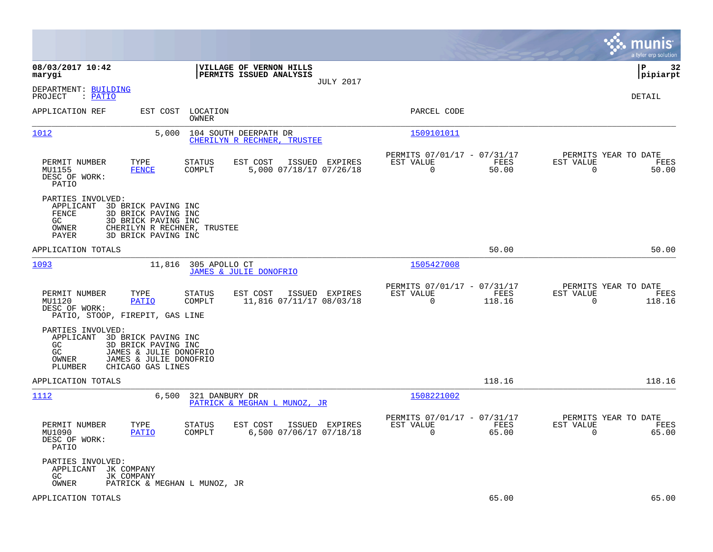|                                                                                                                                                                                             |                                                                                  |                                                                             | munis<br>a tyler erp solution                                     |
|---------------------------------------------------------------------------------------------------------------------------------------------------------------------------------------------|----------------------------------------------------------------------------------|-----------------------------------------------------------------------------|-------------------------------------------------------------------|
| 08/03/2017 10:42<br>marygi                                                                                                                                                                  | VILLAGE OF VERNON HILLS<br>PERMITS ISSUED ANALYSIS<br><b>JULY 2017</b>           |                                                                             | 32<br>l P<br> pipiarpt                                            |
| DEPARTMENT: BUILDING<br>PROJECT<br>: <u>PATIO</u>                                                                                                                                           |                                                                                  |                                                                             | DETAIL                                                            |
| APPLICATION REF<br>EST COST                                                                                                                                                                 | LOCATION<br>OWNER                                                                | PARCEL CODE                                                                 |                                                                   |
| 1012<br>5,000                                                                                                                                                                               | 104 SOUTH DEERPATH DR<br>CHERILYN R RECHNER, TRUSTEE                             | 1509101011                                                                  |                                                                   |
| TYPE<br>PERMIT NUMBER<br>MU1155<br><b>FENCE</b><br>DESC OF WORK:<br>PATIO                                                                                                                   | <b>STATUS</b><br>EST COST<br>ISSUED EXPIRES<br>COMPLT<br>5,000 07/18/17 07/26/18 | PERMITS 07/01/17 - 07/31/17<br>FEES<br>EST VALUE<br>$\overline{0}$<br>50.00 | PERMITS YEAR TO DATE<br>EST VALUE<br>FEES<br>$\mathbf 0$<br>50.00 |
| PARTIES INVOLVED:<br>APPLICANT<br>3D BRICK PAVING INC<br>FENCE<br>3D BRICK PAVING INC<br>GC.<br>3D BRICK PAVING INC<br>CHERILYN R RECHNER, TRUSTEE<br>OWNER<br>3D BRICK PAVING INC<br>PAYER |                                                                                  |                                                                             |                                                                   |
| APPLICATION TOTALS                                                                                                                                                                          |                                                                                  | 50.00                                                                       | 50.00                                                             |
| 1093<br>11,816                                                                                                                                                                              | 305 APOLLO CT<br>JAMES & JULIE DONOFRIO                                          | 1505427008                                                                  |                                                                   |
| PERMIT NUMBER<br>TYPE<br>MU1120<br><b>PATIO</b><br>DESC OF WORK:<br>PATIO, STOOP, FIREPIT, GAS LINE                                                                                         | EST COST<br>ISSUED EXPIRES<br>STATUS<br>11,816 07/11/17 08/03/18<br>COMPLT       | PERMITS 07/01/17 - 07/31/17<br>EST VALUE<br>FEES<br>$\mathbf 0$<br>118.16   | PERMITS YEAR TO DATE<br>EST VALUE<br>FEES<br>0<br>118.16          |
| PARTIES INVOLVED:<br>APPLICANT<br>3D BRICK PAVING INC<br>GC<br>3D BRICK PAVING INC<br>JAMES & JULIE DONOFRIO<br>GC<br>OWNER<br>JAMES & JULIE DONOFRIO<br>PLUMBER<br>CHICAGO GAS LINES       |                                                                                  |                                                                             |                                                                   |
| APPLICATION TOTALS                                                                                                                                                                          |                                                                                  | 118.16                                                                      | 118.16                                                            |
| 1112<br>6,500                                                                                                                                                                               | 321 DANBURY DR<br>PATRICK & MEGHAN L MUNOZ, JR                                   | 1508221002                                                                  |                                                                   |
| PERMIT NUMBER<br>TYPE<br>MU1090<br><b>PATIO</b><br>DESC OF WORK:<br>PATIO                                                                                                                   | ISSUED EXPIRES<br><b>STATUS</b><br>EST COST<br>6,500 07/06/17 07/18/18<br>COMPLT | PERMITS 07/01/17 - 07/31/17<br>EST VALUE<br>FEES<br>0<br>65.00              | PERMITS YEAR TO DATE<br>EST VALUE<br>FEES<br>65.00<br>0           |
| PARTIES INVOLVED:<br>APPLICANT<br>JK COMPANY<br>GC.<br>JK COMPANY<br>OWNER<br>PATRICK & MEGHAN L MUNOZ, JR                                                                                  |                                                                                  |                                                                             |                                                                   |
| APPLICATION TOTALS                                                                                                                                                                          |                                                                                  | 65.00                                                                       | 65.00                                                             |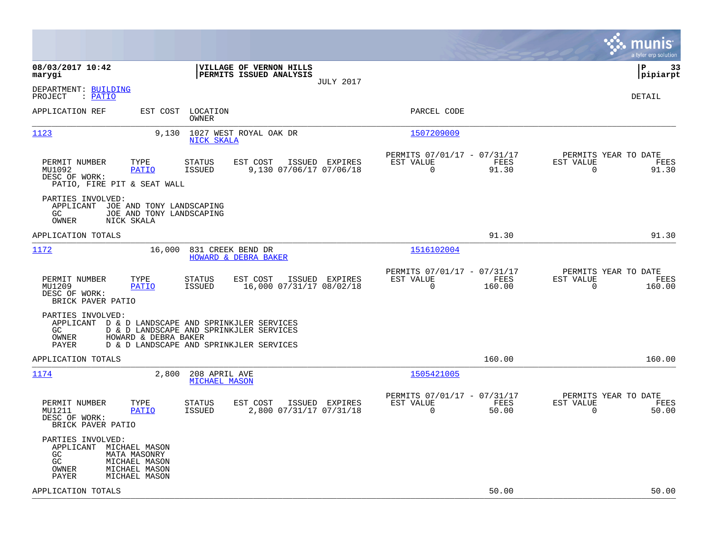|                                                                                                                                                                                                                      | munis<br>a tyler erp solution                                                                                                                 |
|----------------------------------------------------------------------------------------------------------------------------------------------------------------------------------------------------------------------|-----------------------------------------------------------------------------------------------------------------------------------------------|
| 08/03/2017 10:42<br>VILLAGE OF VERNON HILLS<br>PERMITS ISSUED ANALYSIS<br>marygi<br><b>JULY 2017</b>                                                                                                                 | l P<br>-33<br> pipiarpt                                                                                                                       |
| DEPARTMENT: BUILDING<br>: PATIO<br>PROJECT                                                                                                                                                                           | DETAIL                                                                                                                                        |
| APPLICATION REF<br>EST COST<br>LOCATION<br>OWNER                                                                                                                                                                     | PARCEL CODE                                                                                                                                   |
| 1123<br>9,130<br>1027 WEST ROYAL OAK DR<br>NICK SKALA                                                                                                                                                                | 1507209009                                                                                                                                    |
| PERMIT NUMBER<br>TYPE<br><b>STATUS</b><br>EST COST<br>ISSUED EXPIRES<br>9,130 07/06/17 07/06/18<br>MU1092<br>PATIO<br><b>ISSUED</b><br>DESC OF WORK:<br>PATIO, FIRE PIT & SEAT WALL                                  | PERMITS 07/01/17 - 07/31/17<br>PERMITS YEAR TO DATE<br>FEES<br>EST VALUE<br>EST VALUE<br>FEES<br>$\mathbf 0$<br>$\mathbf 0$<br>91.30<br>91.30 |
| PARTIES INVOLVED:<br>APPLICANT JOE AND TONY LANDSCAPING<br>GC.<br>JOE AND TONY LANDSCAPING<br>OWNER<br>NICK SKALA                                                                                                    |                                                                                                                                               |
| APPLICATION TOTALS                                                                                                                                                                                                   | 91.30<br>91.30                                                                                                                                |
| 1172<br>16,000<br>831 CREEK BEND DR<br>HOWARD & DEBRA BAKER                                                                                                                                                          | 1516102004                                                                                                                                    |
| PERMIT NUMBER<br>TYPE<br>EST COST<br>ISSUED EXPIRES<br>STATUS<br><b>ISSUED</b><br>16,000 07/31/17 08/02/18<br>MU1209<br><b>PATIO</b><br>DESC OF WORK:<br>BRICK PAVER PATIO                                           | PERMITS 07/01/17 - 07/31/17<br>PERMITS YEAR TO DATE<br>EST VALUE<br>FEES<br>EST VALUE<br>FEES<br>$\Omega$<br>160.00<br>$\mathbf 0$<br>160.00  |
| PARTIES INVOLVED:<br>APPLICANT D & D LANDSCAPE AND SPRINKJLER SERVICES<br>GC.<br>D & D LANDSCAPE AND SPRINKJLER SERVICES<br><b>OWNER</b><br>HOWARD & DEBRA BAKER<br>PAYER<br>D & D LANDSCAPE AND SPRINKJLER SERVICES |                                                                                                                                               |
| APPLICATION TOTALS                                                                                                                                                                                                   | 160.00<br>160.00                                                                                                                              |
| 1174<br>2,800<br>208 APRIL AVE<br><b>MICHAEL MASON</b>                                                                                                                                                               | 1505421005                                                                                                                                    |
| PERMIT NUMBER<br>TYPE<br><b>STATUS</b><br>EST COST<br>ISSUED EXPIRES<br><b>ISSUED</b><br>2,800 07/31/17 07/31/18<br>MU1211<br><b>PATIO</b><br>DESC OF WORK:<br>BRICK PAVER PATIO                                     | PERMITS 07/01/17 - 07/31/17<br>PERMITS YEAR TO DATE<br>EST VALUE<br>EST VALUE<br>FEES<br>FEES<br>0<br>50.00<br>$\mathbf 0$<br>50.00           |
| PARTIES INVOLVED:<br>APPLICANT MICHAEL MASON<br>GC<br><b>MATA MASONRY</b><br>GC<br>MICHAEL MASON<br>MICHAEL MASON<br>OWNER<br>PAYER<br>MICHAEL MASON                                                                 |                                                                                                                                               |
| APPLICATION TOTALS                                                                                                                                                                                                   | 50.00<br>50.00                                                                                                                                |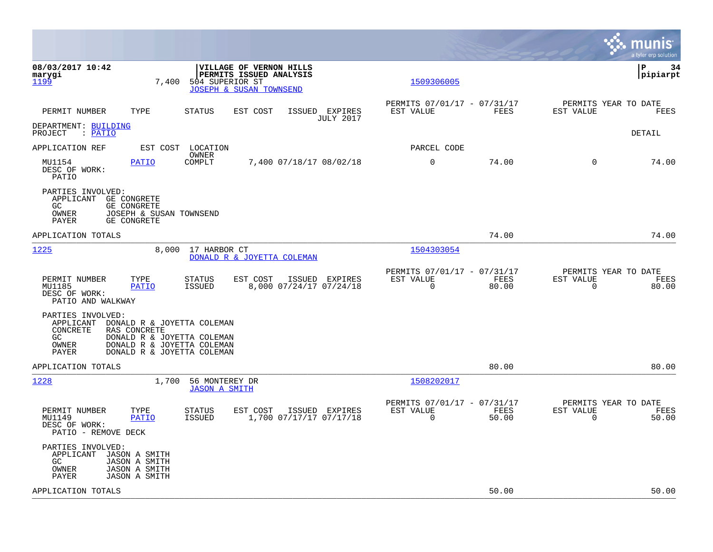|                                                                                                                                                                                                                   |                                                                       | munis<br>a tyler erp solution                                  |
|-------------------------------------------------------------------------------------------------------------------------------------------------------------------------------------------------------------------|-----------------------------------------------------------------------|----------------------------------------------------------------|
| 08/03/2017 10:42<br>VILLAGE OF VERNON HILLS<br>marygi<br>PERMITS ISSUED ANALYSIS<br><u> 1199</u><br>7,400<br>504 SUPERIOR ST<br>JOSEPH & SUSAN TOWNSEND                                                           | 1509306005                                                            | ΙP<br>-34<br>$ $ pipiarpt                                      |
| PERMIT NUMBER<br>TYPE<br>STATUS<br>EST COST<br>ISSUED EXPIRES<br><b>JULY 2017</b>                                                                                                                                 | PERMITS 07/01/17 - 07/31/17<br>FEES<br>EST VALUE                      | PERMITS YEAR TO DATE<br>EST VALUE<br>FEES                      |
| DEPARTMENT: BUILDING<br>PROJECT<br>: <u>PATIO</u>                                                                                                                                                                 |                                                                       | DETAIL                                                         |
| APPLICATION REF<br>EST COST<br>LOCATION<br>OWNER                                                                                                                                                                  | PARCEL CODE                                                           |                                                                |
| MU1154<br>COMPLT<br>7,400 07/18/17 08/02/18<br>PATIO<br>DESC OF WORK:<br>PATIO                                                                                                                                    | $\mathbf 0$<br>74.00                                                  | $\Omega$<br>74.00                                              |
| PARTIES INVOLVED:<br>APPLICANT GE CONGRETE<br>GC.<br>GE CONGRETE<br>OWNER<br>JOSEPH & SUSAN TOWNSEND<br>PAYER<br>GE CONGRETE                                                                                      |                                                                       |                                                                |
| APPLICATION TOTALS                                                                                                                                                                                                | 74.00                                                                 | 74.00                                                          |
| 1225<br>17 HARBOR CT<br>8,000<br>DONALD R & JOYETTA COLEMAN                                                                                                                                                       | 1504303054                                                            |                                                                |
| EST COST<br>PERMIT NUMBER<br>TYPE<br>STATUS<br>ISSUED EXPIRES<br>MU1185<br><b>PATIO</b><br><b>ISSUED</b><br>8,000 07/24/17 07/24/18<br>DESC OF WORK:<br>PATIO AND WALKWAY                                         | PERMITS 07/01/17 - 07/31/17<br>EST VALUE<br>FEES<br>$\Omega$<br>80.00 | PERMITS YEAR TO DATE<br>EST VALUE<br>FEES<br>80.00<br>$\Omega$ |
| PARTIES INVOLVED:<br>APPLICANT<br>DONALD R & JOYETTA COLEMAN<br>CONCRETE<br>RAS CONCRETE<br>GC<br>DONALD R & JOYETTA COLEMAN<br>DONALD R & JOYETTA COLEMAN<br>OWNER<br><b>PAYER</b><br>DONALD R & JOYETTA COLEMAN |                                                                       |                                                                |
| APPLICATION TOTALS                                                                                                                                                                                                | 80.00                                                                 | 80.00                                                          |
| 1228<br>1,700<br>56 MONTEREY DR<br><b>JASON A SMITH</b>                                                                                                                                                           | 1508202017                                                            |                                                                |
| PERMIT NUMBER<br>TYPE<br>STATUS<br>EST COST<br>ISSUED EXPIRES<br>1,700 07/17/17 07/17/18<br>MU1149<br>PATIO<br>ISSUED<br>DESC OF WORK:<br>PATIO - REMOVE DECK                                                     | PERMITS 07/01/17 - 07/31/17<br>EST VALUE<br>FEES<br>$\Omega$<br>50.00 | PERMITS YEAR TO DATE<br>EST VALUE<br>FEES<br>$\Omega$<br>50.00 |
| PARTIES INVOLVED:<br>APPLICANT<br>JASON A SMITH<br>GC<br><b>JASON A SMITH</b><br><b>JASON A SMITH</b><br>OWNER<br><b>JASON A SMITH</b><br><b>PAYER</b>                                                            |                                                                       |                                                                |
| APPLICATION TOTALS                                                                                                                                                                                                | 50.00                                                                 | 50.00                                                          |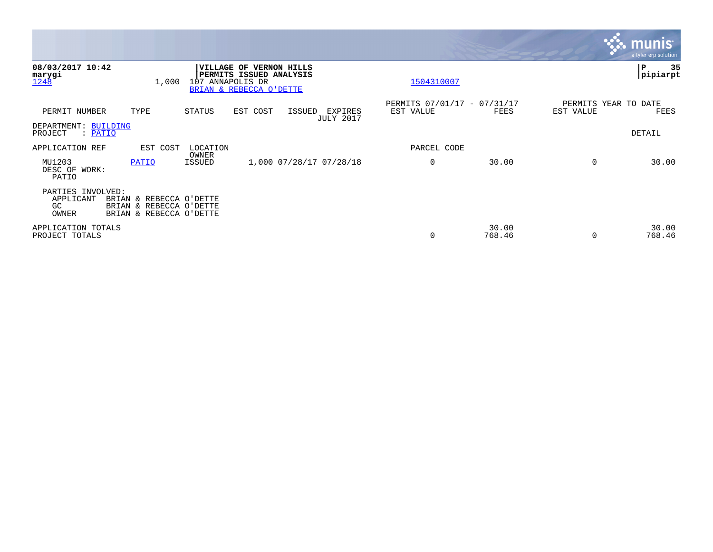|                                                      |                                                                               |                                       |                                                    |                     |                             |                                          |                 |                                   | <b>munis</b><br>a tyler erp solution |
|------------------------------------------------------|-------------------------------------------------------------------------------|---------------------------------------|----------------------------------------------------|---------------------|-----------------------------|------------------------------------------|-----------------|-----------------------------------|--------------------------------------|
| 08/03/2017 10:42<br>marygi<br>1248                   | 1,000                                                                         | <b>VILLAGE OF</b><br>107 ANNAPOLIS DR | PERMITS ISSUED ANALYSIS<br>BRIAN & REBECCA O'DETTE | <b>VERNON HILLS</b> |                             | 1504310007                               |                 |                                   | 35<br>IΡ<br> pipiarpt                |
| PERMIT NUMBER                                        | TYPE                                                                          | STATUS                                | EST COST                                           | ISSUED              | EXPIRES<br><b>JULY 2017</b> | PERMITS 07/01/17 - 07/31/17<br>EST VALUE | FEES            | PERMITS YEAR TO DATE<br>EST VALUE | FEES                                 |
| DEPARTMENT: BUILDING<br>: PATIO<br>PROJECT           |                                                                               |                                       |                                                    |                     |                             |                                          |                 |                                   | DETAIL                               |
| APPLICATION REF                                      | EST COST                                                                      | LOCATION<br>OWNER                     |                                                    |                     |                             | PARCEL CODE                              |                 |                                   |                                      |
| MU1203<br>DESC OF WORK:<br>PATIO                     | PATIO                                                                         | ISSUED                                |                                                    |                     | 1,000 07/28/17 07/28/18     | 0                                        | 30.00           | 0                                 | 30.00                                |
| PARTIES INVOLVED:<br>APPLICANT<br><b>GC</b><br>OWNER | BRIAN & REBECCA O'DETTE<br>BRIAN & REBECCA O'DETTE<br>BRIAN & REBECCA O'DETTE |                                       |                                                    |                     |                             |                                          |                 |                                   |                                      |
| APPLICATION TOTALS<br>PROJECT TOTALS                 |                                                                               |                                       |                                                    |                     |                             | $\mathbf 0$                              | 30.00<br>768.46 | $\Omega$                          | 30.00<br>768.46                      |

**The State**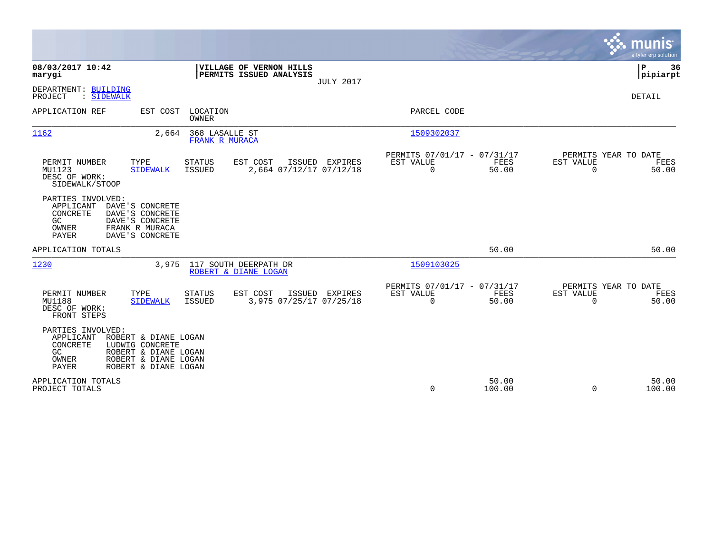|                                                                                                                                                                                        |                                                                       |                  |                                                         |                 |                                               | munis<br>a tyler erp solution |
|----------------------------------------------------------------------------------------------------------------------------------------------------------------------------------------|-----------------------------------------------------------------------|------------------|---------------------------------------------------------|-----------------|-----------------------------------------------|-------------------------------|
| 08/03/2017 10:42<br>marygi                                                                                                                                                             | VILLAGE OF VERNON HILLS<br>PERMITS ISSUED ANALYSIS                    | <b>JULY 2017</b> |                                                         |                 |                                               | P<br>36<br> pipiarpt          |
| DEPARTMENT: BUILDING<br>: SIDEWALK<br>PROJECT                                                                                                                                          |                                                                       |                  |                                                         |                 |                                               | <b>DETAIL</b>                 |
| APPLICATION REF<br>EST COST                                                                                                                                                            | LOCATION<br>OWNER                                                     |                  | PARCEL CODE                                             |                 |                                               |                               |
| 1162<br>2,664                                                                                                                                                                          | 368 LASALLE ST<br>FRANK R MURACA                                      |                  | 1509302037                                              |                 |                                               |                               |
| TYPE<br>PERMIT NUMBER<br>MU1123<br><b>SIDEWALK</b><br>DESC OF WORK:<br>SIDEWALK/STOOP                                                                                                  | EST COST<br><b>STATUS</b><br><b>ISSUED</b><br>2,664 07/12/17 07/12/18 | ISSUED EXPIRES   | PERMITS 07/01/17 - 07/31/17<br>EST VALUE<br>$\mathbf 0$ | FEES<br>50.00   | PERMITS YEAR TO DATE<br>EST VALUE<br>$\Omega$ | FEES<br>50.00                 |
| PARTIES INVOLVED:<br>APPLICANT<br>DAVE'S CONCRETE<br>CONCRETE<br>DAVE'S CONCRETE<br>GC<br>DAVE'S CONCRETE<br>FRANK R MURACA<br>OWNER<br>PAYER<br>DAVE'S CONCRETE                       |                                                                       |                  |                                                         |                 |                                               |                               |
| APPLICATION TOTALS                                                                                                                                                                     |                                                                       |                  |                                                         | 50.00           |                                               | 50.00                         |
| 1230<br>3,975                                                                                                                                                                          | 117 SOUTH DEERPATH DR<br>ROBERT & DIANE LOGAN                         |                  | 1509103025                                              |                 |                                               |                               |
| PERMIT NUMBER<br>TYPE<br>MU1188<br><b>SIDEWALK</b><br>DESC OF WORK:<br>FRONT STEPS                                                                                                     | <b>STATUS</b><br>EST COST<br>3,975 07/25/17 07/25/18<br><b>ISSUED</b> | ISSUED EXPIRES   | PERMITS 07/01/17 - 07/31/17<br>EST VALUE<br>$\mathbf 0$ | FEES<br>50.00   | PERMITS YEAR TO DATE<br>EST VALUE<br>$\Omega$ | FEES<br>50.00                 |
| PARTIES INVOLVED:<br>APPLICANT<br>ROBERT & DIANE LOGAN<br>CONCRETE<br>LUDWIG CONCRETE<br>ROBERT & DIANE LOGAN<br>GC.<br>OWNER<br>ROBERT & DIANE LOGAN<br>PAYER<br>ROBERT & DIANE LOGAN |                                                                       |                  |                                                         |                 |                                               |                               |
| APPLICATION TOTALS<br>PROJECT TOTALS                                                                                                                                                   |                                                                       |                  | 0                                                       | 50.00<br>100.00 | $\Omega$                                      | 50.00<br>100.00               |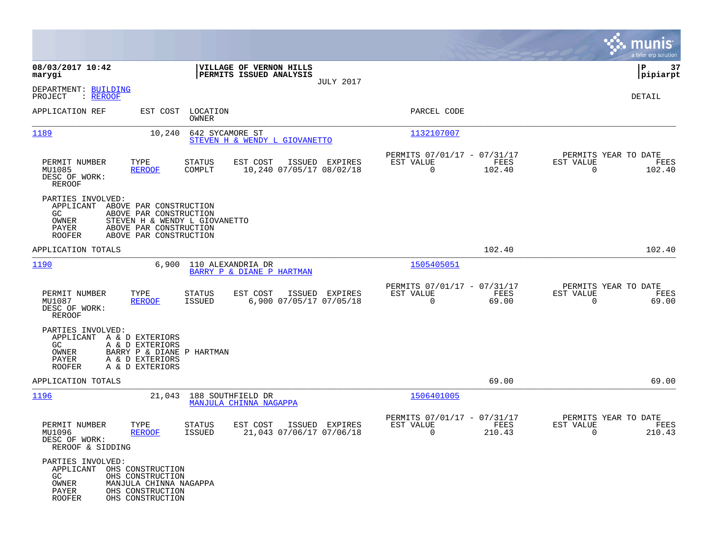|                                                                                          |                                                                                                                                       |                                                        |                                                                          | munis<br>a tyler erp solution                                        |
|------------------------------------------------------------------------------------------|---------------------------------------------------------------------------------------------------------------------------------------|--------------------------------------------------------|--------------------------------------------------------------------------|----------------------------------------------------------------------|
| 08/03/2017 10:42<br>marygi                                                               |                                                                                                                                       | VILLAGE OF VERNON HILLS<br>PERMITS ISSUED ANALYSIS     |                                                                          | 37<br>l P<br> pipiarpt                                               |
| DEPARTMENT: BUILDING<br>: REROOF<br>PROJECT                                              |                                                                                                                                       | <b>JULY 2017</b>                                       |                                                                          | DETAIL                                                               |
| APPLICATION REF                                                                          | EST COST LOCATION<br>OWNER                                                                                                            |                                                        | PARCEL CODE                                                              |                                                                      |
| 1189                                                                                     | 10,240                                                                                                                                | 642 SYCAMORE ST<br>STEVEN H & WENDY L GIOVANETTO       | 1132107007                                                               |                                                                      |
| PERMIT NUMBER<br>TYPE<br>MU1085<br>DESC OF WORK:<br>REROOF                               | <b>STATUS</b><br><b>REROOF</b><br>COMPLT                                                                                              | EST COST<br>ISSUED EXPIRES<br>10,240 07/05/17 08/02/18 | PERMITS 07/01/17 - 07/31/17<br>EST VALUE<br>FEES<br>102.40<br>$\Omega$   | PERMITS YEAR TO DATE<br>EST VALUE<br>FEES<br>$\Omega$<br>102.40      |
| PARTIES INVOLVED:<br>APPLICANT<br>GC.<br>OWNER<br>PAYER<br><b>ROOFER</b>                 | ABOVE PAR CONSTRUCTION<br>ABOVE PAR CONSTRUCTION<br>STEVEN H & WENDY L GIOVANETTO<br>ABOVE PAR CONSTRUCTION<br>ABOVE PAR CONSTRUCTION |                                                        |                                                                          |                                                                      |
| APPLICATION TOTALS                                                                       |                                                                                                                                       |                                                        | 102.40                                                                   | 102.40                                                               |
| 1190                                                                                     | 6,900                                                                                                                                 | 110 ALEXANDRIA DR<br>BARRY P & DIANE P HARTMAN         | 1505405051                                                               |                                                                      |
| TYPE<br>PERMIT NUMBER<br>MU1087<br>DESC OF WORK:<br><b>REROOF</b>                        | <b>STATUS</b><br><b>REROOF</b><br>ISSUED                                                                                              | EST COST<br>ISSUED EXPIRES<br>6,900 07/05/17 07/05/18  | PERMITS 07/01/17 - 07/31/17<br>EST VALUE<br>FEES<br>$\mathbf 0$<br>69.00 | PERMITS YEAR TO DATE<br>EST VALUE<br>FEES<br>$\overline{0}$<br>69.00 |
| PARTIES INVOLVED:<br>APPLICANT A & D EXTERIORS<br>GC<br>OWNER<br>PAYER<br><b>ROOFER</b>  | A & D EXTERIORS<br>BARRY P & DIANE P HARTMAN<br>A & D EXTERIORS<br>A & D EXTERIORS                                                    |                                                        |                                                                          |                                                                      |
| APPLICATION TOTALS                                                                       |                                                                                                                                       |                                                        | 69.00                                                                    | 69.00                                                                |
| 1196                                                                                     | 21,043                                                                                                                                | 188 SOUTHFIELD DR<br>MANJULA CHINNA NAGAPPA            | 1506401005                                                               |                                                                      |
| PERMIT NUMBER<br>TYPE<br>MU1096<br>DESC OF WORK:<br>REROOF & SIDDING                     | STATUS<br><b>ISSUED</b><br><b>REROOF</b>                                                                                              | EST COST<br>ISSUED EXPIRES<br>21,043 07/06/17 07/06/18 | PERMITS 07/01/17 - 07/31/17<br>EST VALUE<br>FEES<br>0<br>210.43          | PERMITS YEAR TO DATE<br>EST VALUE<br>FEES<br>0<br>210.43             |
| PARTIES INVOLVED:<br>APPLICANT OHS CONSTRUCTION<br>GC<br>OWNER<br>PAYER<br><b>ROOFER</b> | OHS CONSTRUCTION<br>MANJULA CHINNA NAGAPPA<br>OHS CONSTRUCTION<br>OHS CONSTRUCTION                                                    |                                                        |                                                                          |                                                                      |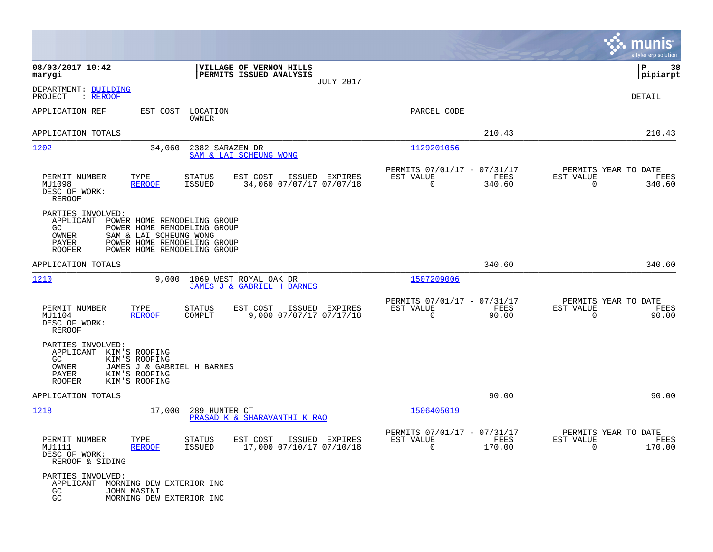|                                                                                                                                                                                                                               |                                                                                   |                                                                           | munis<br>a tyler erp solution                                      |
|-------------------------------------------------------------------------------------------------------------------------------------------------------------------------------------------------------------------------------|-----------------------------------------------------------------------------------|---------------------------------------------------------------------------|--------------------------------------------------------------------|
| 08/03/2017 10:42<br>marygi                                                                                                                                                                                                    | VILLAGE OF VERNON HILLS<br>PERMITS ISSUED ANALYSIS<br><b>JULY 2017</b>            |                                                                           | ΙP<br>38<br> pipiarpt                                              |
| DEPARTMENT: BUILDING<br>PROJECT<br>: <u>REROOF</u>                                                                                                                                                                            |                                                                                   |                                                                           | DETAIL                                                             |
| APPLICATION REF<br>EST COST                                                                                                                                                                                                   | LOCATION<br>OWNER                                                                 | PARCEL CODE                                                               |                                                                    |
| APPLICATION TOTALS                                                                                                                                                                                                            |                                                                                   | 210.43                                                                    | 210.43                                                             |
| 1202<br>34,060                                                                                                                                                                                                                | 2382 SARAZEN DR<br>SAM & LAI SCHEUNG WONG                                         | 1129201056                                                                |                                                                    |
| PERMIT NUMBER<br>TYPE<br>MU1098<br><b>REROOF</b><br>DESC OF WORK:<br><b>REROOF</b>                                                                                                                                            | STATUS<br>EST COST<br>ISSUED EXPIRES<br><b>ISSUED</b><br>34,060 07/07/17 07/07/18 | PERMITS 07/01/17 - 07/31/17<br>EST VALUE<br>FEES<br>$\mathbf 0$<br>340.60 | PERMITS YEAR TO DATE<br>EST VALUE<br>FEES<br>$\mathbf 0$<br>340.60 |
| PARTIES INVOLVED:<br>APPLICANT<br>POWER HOME REMODELING GROUP<br>GC<br>POWER HOME REMODELING GROUP<br>SAM & LAI SCHEUNG WONG<br>OWNER<br>PAYER<br>POWER HOME REMODELING GROUP<br><b>ROOFER</b><br>POWER HOME REMODELING GROUP |                                                                                   |                                                                           |                                                                    |
| APPLICATION TOTALS                                                                                                                                                                                                            |                                                                                   | 340.60                                                                    | 340.60                                                             |
| 1210<br>9,000                                                                                                                                                                                                                 | 1069 WEST ROYAL OAK DR<br>JAMES J & GABRIEL H BARNES                              | 1507209006                                                                |                                                                    |
| PERMIT NUMBER<br>TYPE<br>MU1104<br><b>REROOF</b><br>DESC OF WORK:<br>REROOF                                                                                                                                                   | STATUS<br>EST COST<br>ISSUED EXPIRES<br>9,000 07/07/17 07/17/18<br>COMPLT         | PERMITS 07/01/17 - 07/31/17<br>FEES<br>EST VALUE<br>$\mathbf 0$<br>90.00  | PERMITS YEAR TO DATE<br>EST VALUE<br>FEES<br>$\mathbf 0$<br>90.00  |
| PARTIES INVOLVED:<br>APPLICANT<br>KIM'S ROOFING<br>GC.<br>KIM'S ROOFING<br>OWNER<br>JAMES J & GABRIEL H BARNES<br>PAYER<br>KIM'S ROOFING<br>KIM'S ROOFING<br><b>ROOFER</b>                                                    |                                                                                   |                                                                           |                                                                    |
| APPLICATION TOTALS                                                                                                                                                                                                            |                                                                                   | 90.00                                                                     | 90.00                                                              |
| 1218<br>17,000                                                                                                                                                                                                                | 289 HUNTER CT<br>PRASAD K & SHARAVANTHI K RAO                                     | 1506405019                                                                |                                                                    |
| PERMIT NUMBER<br>TYPE<br>MU1111<br>REROOF<br>DESC OF WORK:<br>REROOF & SIDING                                                                                                                                                 | STATUS<br>EST COST ISSUED EXPIRES<br>17,000 07/10/17 07/10/18<br>ISSUED           | PERMITS 07/01/17 - 07/31/17<br>EST VALUE<br>FEES<br>$\Omega$<br>170.00    | PERMITS YEAR TO DATE<br>EST VALUE<br>FEES<br>$\Omega$<br>170.00    |
| PARTIES INVOLVED:<br>APPLICANT MORNING DEW EXTERIOR INC<br>GC<br>JOHN MASINI<br>$\rm GC$<br>MORNING DEW EXTERIOR INC                                                                                                          |                                                                                   |                                                                           |                                                                    |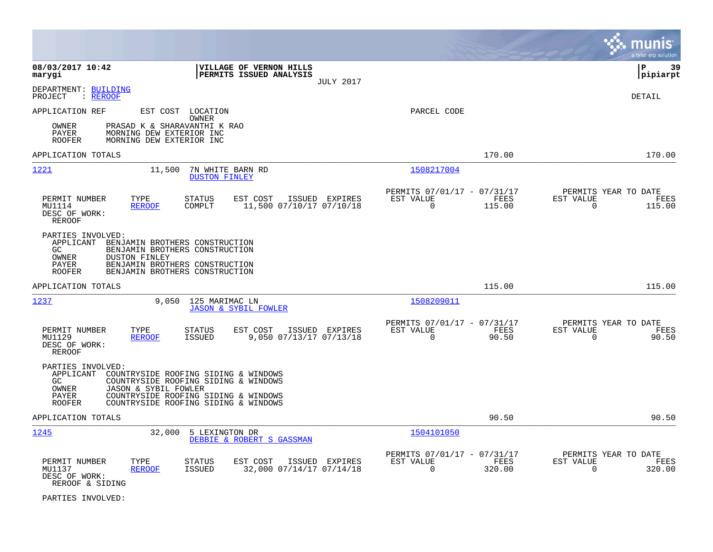|                                                                                                                                                                                                                                                                 |                                                                                  | munis<br>a tyler erp solution                                      |
|-----------------------------------------------------------------------------------------------------------------------------------------------------------------------------------------------------------------------------------------------------------------|----------------------------------------------------------------------------------|--------------------------------------------------------------------|
| 08/03/2017 10:42<br>VILLAGE OF VERNON HILLS<br>PERMITS ISSUED ANALYSIS<br>marygi<br><b>JULY 2017</b>                                                                                                                                                            |                                                                                  | lР<br>39<br> pipiarpt                                              |
| DEPARTMENT: BUILDING<br>PROJECT<br>: <u>REROOF</u>                                                                                                                                                                                                              |                                                                                  | <b>DETAIL</b>                                                      |
| APPLICATION REF<br>EST COST LOCATION<br>OWNER                                                                                                                                                                                                                   | PARCEL CODE                                                                      |                                                                    |
| OWNER<br>PRASAD K & SHARAVANTHI K RAO<br><b>PAYER</b><br>MORNING DEW EXTERIOR INC<br>MORNING DEW EXTERIOR INC<br><b>ROOFER</b>                                                                                                                                  |                                                                                  |                                                                    |
| APPLICATION TOTALS                                                                                                                                                                                                                                              | 170.00                                                                           | 170.00                                                             |
| <u> 1221</u><br>7N WHITE BARN RD<br>11,500<br><b>DUSTON FINLEY</b>                                                                                                                                                                                              | 1508217004                                                                       |                                                                    |
| TYPE<br><b>STATUS</b><br>EST COST<br>ISSUED EXPIRES<br>PERMIT NUMBER<br><b>REROOF</b><br>COMPLT<br>11,500 07/10/17 07/10/18<br>MU1114<br>DESC OF WORK:<br><b>REROOF</b>                                                                                         | PERMITS 07/01/17 - 07/31/17<br>EST VALUE<br><b>FEES</b><br>$\mathbf 0$<br>115.00 | PERMITS YEAR TO DATE<br>EST VALUE<br>FEES<br>$\mathbf 0$<br>115.00 |
| PARTIES INVOLVED:<br>APPLICANT<br>BENJAMIN BROTHERS CONSTRUCTION<br>GC.<br>BENJAMIN BROTHERS CONSTRUCTION<br>OWNER<br><b>DUSTON FINLEY</b><br>PAYER<br>BENJAMIN BROTHERS CONSTRUCTION<br>BENJAMIN BROTHERS CONSTRUCTION<br><b>ROOFER</b>                        |                                                                                  |                                                                    |
| APPLICATION TOTALS                                                                                                                                                                                                                                              | 115.00                                                                           | 115.00                                                             |
| 1237<br>9,050<br>125 MARIMAC LN<br><b>JASON &amp; SYBIL FOWLER</b>                                                                                                                                                                                              | 1508209011                                                                       |                                                                    |
| PERMIT NUMBER<br>TYPE<br>STATUS<br>EST COST<br>ISSUED EXPIRES<br>MU1129<br><b>REROOF</b><br><b>ISSUED</b><br>9,050 07/13/17 07/13/18<br>DESC OF WORK:<br><b>REROOF</b>                                                                                          | PERMITS 07/01/17 - 07/31/17<br>EST VALUE<br>FEES<br>90.50<br>$\mathbf 0$         | PERMITS YEAR TO DATE<br>EST VALUE<br>FEES<br>90.50<br>$\mathbf 0$  |
| PARTIES INVOLVED:<br>APPLICANT<br>COUNTRYSIDE ROOFING SIDING & WINDOWS<br>GC<br>COUNTRYSIDE ROOFING SIDING & WINDOWS<br>JASON & SYBIL FOWLER<br>OWNER<br>COUNTRYSIDE ROOFING SIDING & WINDOWS<br>PAYER<br>COUNTRYSIDE ROOFING SIDING & WINDOWS<br><b>ROOFER</b> |                                                                                  |                                                                    |
| APPLICATION TOTALS                                                                                                                                                                                                                                              | 90.50                                                                            | 90.50                                                              |
| 1245<br>32,000<br>5 LEXINGTON DR<br>DEBBIE & ROBERT S GASSMAN                                                                                                                                                                                                   | 1504101050                                                                       |                                                                    |
| PERMIT NUMBER<br>TYPE<br><b>STATUS</b><br>EST COST<br>ISSUED EXPIRES<br>32,000 07/14/17 07/14/18<br>MU1137<br><b>REROOF</b><br><b>ISSUED</b><br>DESC OF WORK:<br>REROOF & SIDING                                                                                | PERMITS 07/01/17 - 07/31/17<br>EST VALUE<br>FEES<br>$\Omega$<br>320.00           | PERMITS YEAR TO DATE<br>EST VALUE<br>FEES<br>$\mathbf 0$<br>320.00 |

PARTIES INVOLVED: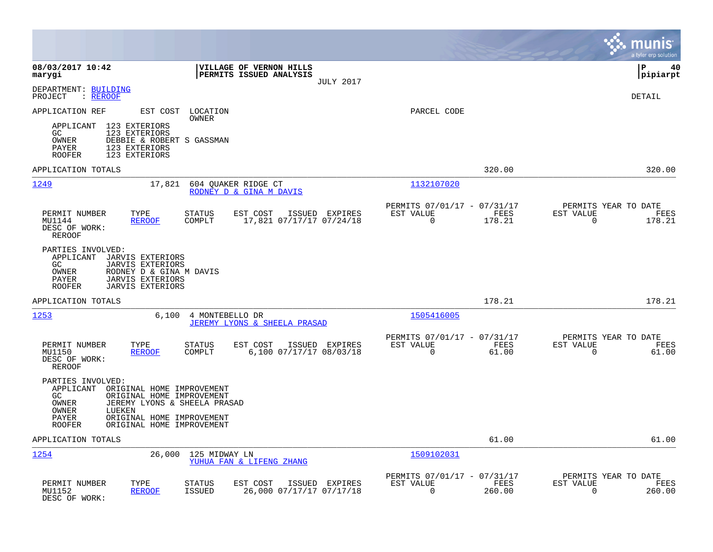|                                                                                                                                                                                                                                                |                                                                           | munis<br>a tyler erp solution                                      |
|------------------------------------------------------------------------------------------------------------------------------------------------------------------------------------------------------------------------------------------------|---------------------------------------------------------------------------|--------------------------------------------------------------------|
| 08/03/2017 10:42<br>VILLAGE OF VERNON HILLS<br>PERMITS ISSUED ANALYSIS<br>marygi<br><b>JULY 2017</b>                                                                                                                                           |                                                                           | İР<br>40<br> pipiarpt                                              |
| DEPARTMENT: BUILDING<br>PROJECT<br>: REROOF                                                                                                                                                                                                    |                                                                           | DETAIL                                                             |
| APPLICATION REF<br>EST COST<br>LOCATION<br>OWNER                                                                                                                                                                                               | PARCEL CODE                                                               |                                                                    |
| 123 EXTERIORS<br>APPLICANT<br>GC<br>123 EXTERIORS<br>OWNER<br>DEBBIE & ROBERT S GASSMAN<br><b>PAYER</b><br>123 EXTERIORS<br><b>ROOFER</b><br>123 EXTERIORS                                                                                     |                                                                           |                                                                    |
| APPLICATION TOTALS                                                                                                                                                                                                                             | 320.00                                                                    | 320.00                                                             |
| 1249<br>17,821<br>604 QUAKER RIDGE CT<br>RODNEY D & GINA M DAVIS                                                                                                                                                                               | 1132107020                                                                |                                                                    |
| PERMIT NUMBER<br>TYPE<br><b>STATUS</b><br>EST COST<br>ISSUED EXPIRES<br>17,821 07/17/17 07/24/18<br>MU1144<br><b>REROOF</b><br>COMPLT<br>DESC OF WORK:<br><b>REROOF</b>                                                                        | PERMITS 07/01/17 - 07/31/17<br>EST VALUE<br>FEES<br>$\mathbf 0$<br>178.21 | PERMITS YEAR TO DATE<br>EST VALUE<br>FEES<br>$\mathbf 0$<br>178.21 |
| PARTIES INVOLVED:<br>APPLICANT<br><b>JARVIS EXTERIORS</b><br><b>JARVIS EXTERIORS</b><br>GC<br>OWNER<br>RODNEY D & GINA M DAVIS<br>PAYER<br><b>JARVIS EXTERIORS</b><br><b>ROOFER</b><br><b>JARVIS EXTERIORS</b>                                 |                                                                           |                                                                    |
| APPLICATION TOTALS                                                                                                                                                                                                                             | 178.21                                                                    | 178.21                                                             |
| 1253<br>6,100<br>4 MONTEBELLO DR<br>JEREMY LYONS & SHEELA PRASAD                                                                                                                                                                               | 1505416005                                                                |                                                                    |
| PERMIT NUMBER<br>TYPE<br><b>STATUS</b><br>EST COST<br>ISSUED EXPIRES<br>MU1150<br>COMPLT<br>6,100 07/17/17 08/03/18<br><b>REROOF</b><br>DESC OF WORK:<br><b>REROOF</b>                                                                         | PERMITS 07/01/17 - 07/31/17<br>EST VALUE<br>FEES<br>$\mathbf 0$<br>61.00  | PERMITS YEAR TO DATE<br>EST VALUE<br>FEES<br>$\Omega$<br>61.00     |
| PARTIES INVOLVED:<br>APPLICANT<br>ORIGINAL HOME IMPROVEMENT<br>ORIGINAL HOME IMPROVEMENT<br>GC<br>OWNER<br>JEREMY LYONS & SHEELA PRASAD<br>OWNER<br>LUEKEN<br>ORIGINAL HOME IMPROVEMENT<br>PAYER<br><b>ROOFER</b><br>ORIGINAL HOME IMPROVEMENT |                                                                           |                                                                    |
| APPLICATION TOTALS                                                                                                                                                                                                                             | 61.00                                                                     | 61.00                                                              |
| 1254<br>26,000<br>125 MIDWAY LN<br>YUHUA FAN & LIFENG ZHANG                                                                                                                                                                                    | 1509102031                                                                |                                                                    |
| PERMIT NUMBER<br>TYPE<br><b>STATUS</b><br>EST COST<br>ISSUED EXPIRES<br>MU1152<br><b>REROOF</b><br><b>ISSUED</b><br>26,000 07/17/17 07/17/18<br>DESC OF WORK:                                                                                  | PERMITS 07/01/17 - 07/31/17<br>EST VALUE<br>FEES<br>0<br>260.00           | PERMITS YEAR TO DATE<br>EST VALUE<br>FEES<br>$\mathbf 0$<br>260.00 |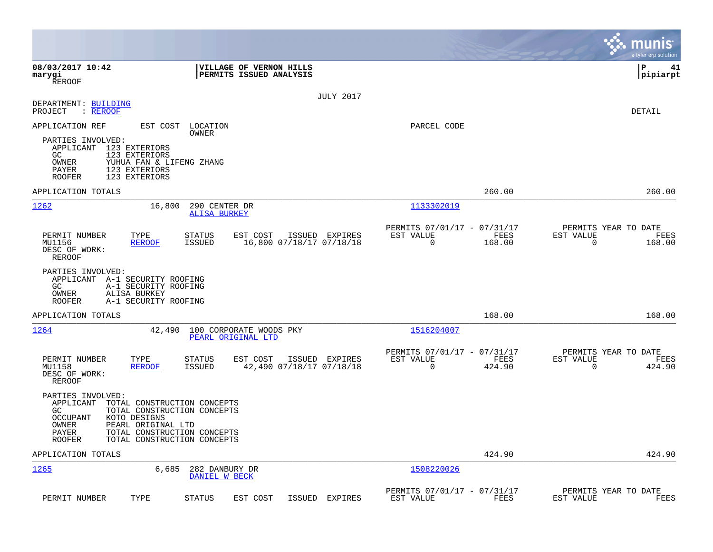|                                                                                                                                                                                                                                                              |                                                                        | munis<br>a tyler erp solution                                   |
|--------------------------------------------------------------------------------------------------------------------------------------------------------------------------------------------------------------------------------------------------------------|------------------------------------------------------------------------|-----------------------------------------------------------------|
| 08/03/2017 10:42<br>VILLAGE OF VERNON HILLS<br>marygi<br>PERMITS ISSUED ANALYSIS<br><b>REROOF</b>                                                                                                                                                            |                                                                        | ∣P<br>41<br> pipiarpt                                           |
| <b>JULY 2017</b><br>DEPARTMENT: BUILDING<br>PROJECT<br>: REROOF                                                                                                                                                                                              |                                                                        | DETAIL                                                          |
| APPLICATION REF<br>EST COST LOCATION<br>OWNER<br>PARTIES INVOLVED:<br>APPLICANT 123 EXTERIORS<br>GC<br>123 EXTERIORS<br>OWNER<br>YUHUA FAN & LIFENG ZHANG<br>PAYER<br>123 EXTERIORS<br>123 EXTERIORS<br><b>ROOFER</b>                                        | PARCEL CODE                                                            |                                                                 |
| APPLICATION TOTALS                                                                                                                                                                                                                                           | 260.00                                                                 | 260.00                                                          |
| 1262<br>16,800<br>290 CENTER DR<br><b>ALISA BURKEY</b>                                                                                                                                                                                                       | 1133302019                                                             |                                                                 |
| ISSUED EXPIRES<br>PERMIT NUMBER<br>TYPE<br><b>STATUS</b><br>EST COST<br>MU1156<br><b>REROOF</b><br>ISSUED<br>16,800 07/18/17 07/18/18<br>DESC OF WORK:<br>REROOF                                                                                             | PERMITS 07/01/17 - 07/31/17<br>EST VALUE<br>FEES<br>$\Omega$<br>168.00 | PERMITS YEAR TO DATE<br>EST VALUE<br>FEES<br>$\Omega$<br>168.00 |
| PARTIES INVOLVED:<br>APPLICANT A-1 SECURITY ROOFING<br>GC.<br>A-1 SECURITY ROOFING<br>OWNER<br>ALISA BURKEY<br><b>ROOFER</b><br>A-1 SECURITY ROOFING                                                                                                         |                                                                        |                                                                 |
| APPLICATION TOTALS                                                                                                                                                                                                                                           | 168.00                                                                 | 168.00                                                          |
| 1264<br>42,490<br>100 CORPORATE WOODS PKY<br>PEARL ORIGINAL LTD                                                                                                                                                                                              | 1516204007                                                             |                                                                 |
| PERMIT NUMBER<br>TYPE<br><b>STATUS</b><br>EST COST<br>ISSUED EXPIRES<br><b>REROOF</b><br><b>ISSUED</b><br>42,490 07/18/17 07/18/18<br>MU1158<br>DESC OF WORK:<br>REROOF                                                                                      | PERMITS 07/01/17 - 07/31/17<br>EST VALUE<br>FEES<br>$\Omega$<br>424.90 | PERMITS YEAR TO DATE<br>EST VALUE<br>FEES<br>$\Omega$<br>424.90 |
| PARTIES INVOLVED:<br>APPLICANT<br>TOTAL CONSTRUCTION CONCEPTS<br>GC<br>TOTAL CONSTRUCTION CONCEPTS<br><b>OCCUPANT</b><br>KOTO DESIGNS<br>OWNER<br>PEARL ORIGINAL LTD<br>PAYER<br>TOTAL CONSTRUCTION CONCEPTS<br><b>ROOFER</b><br>TOTAL CONSTRUCTION CONCEPTS |                                                                        |                                                                 |
| APPLICATION TOTALS                                                                                                                                                                                                                                           | 424.90                                                                 | 424.90                                                          |
| 1265<br>6,685<br>282 DANBURY DR<br>DANIEL W BECK                                                                                                                                                                                                             | 1508220026                                                             |                                                                 |
| PERMIT NUMBER<br>TYPE<br><b>STATUS</b><br>EST COST<br>ISSUED<br>EXPIRES                                                                                                                                                                                      | PERMITS 07/01/17 - 07/31/17<br>EST VALUE<br>FEES                       | PERMITS YEAR TO DATE<br>EST VALUE<br>FEES                       |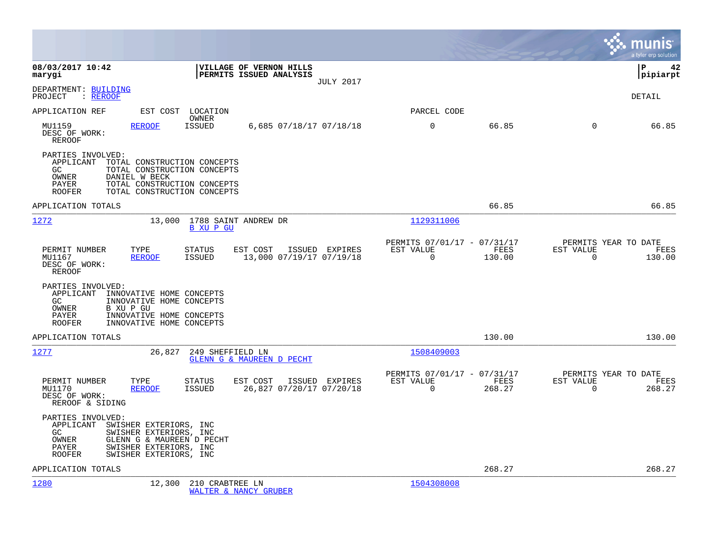|                                                                                                                                                                                                                    |                                                                           | munis<br>a tyler erp solution                                      |
|--------------------------------------------------------------------------------------------------------------------------------------------------------------------------------------------------------------------|---------------------------------------------------------------------------|--------------------------------------------------------------------|
| 08/03/2017 10:42<br>VILLAGE OF VERNON HILLS<br>PERMITS ISSUED ANALYSIS<br>marygi<br><b>JULY 2017</b>                                                                                                               |                                                                           | lР<br>42<br> pipiarpt                                              |
| DEPARTMENT: BUILDING<br>PROJECT<br>: <u>REROOF</u>                                                                                                                                                                 |                                                                           | DETAIL                                                             |
| APPLICATION REF<br>EST COST LOCATION<br>OWNER                                                                                                                                                                      | PARCEL CODE                                                               |                                                                    |
| <b>ISSUED</b><br>MU1159<br><b>REROOF</b><br>6,685 07/18/17 07/18/18<br>DESC OF WORK:<br>REROOF                                                                                                                     | $\mathbf 0$<br>66.85                                                      | $\Omega$<br>66.85                                                  |
| PARTIES INVOLVED:<br>APPLICANT TOTAL CONSTRUCTION CONCEPTS<br>GC.<br>TOTAL CONSTRUCTION CONCEPTS<br>OWNER<br>DANIEL W BECK<br>TOTAL CONSTRUCTION CONCEPTS<br>PAYER<br>TOTAL CONSTRUCTION CONCEPTS<br><b>ROOFER</b> |                                                                           |                                                                    |
| APPLICATION TOTALS                                                                                                                                                                                                 | 66.85                                                                     | 66.85                                                              |
| 1272<br>13,000 1788 SAINT ANDREW DR<br><b>B XU P GU</b>                                                                                                                                                            | 1129311006                                                                |                                                                    |
| EST COST<br>PERMIT NUMBER<br>TYPE<br><b>STATUS</b><br>ISSUED EXPIRES<br>13,000 07/19/17 07/19/18<br>MU1167<br><b>REROOF</b><br><b>ISSUED</b><br>DESC OF WORK:<br><b>REROOF</b>                                     | PERMITS 07/01/17 - 07/31/17<br>FEES<br>EST VALUE<br>$\mathbf 0$<br>130.00 | PERMITS YEAR TO DATE<br>EST VALUE<br>FEES<br>0<br>130.00           |
| PARTIES INVOLVED:<br>APPLICANT INNOVATIVE HOME CONCEPTS<br>GC<br>INNOVATIVE HOME CONCEPTS<br>OWNER<br>B XU P GU<br>PAYER<br>INNOVATIVE HOME CONCEPTS<br><b>ROOFER</b><br>INNOVATIVE HOME CONCEPTS                  |                                                                           |                                                                    |
| APPLICATION TOTALS                                                                                                                                                                                                 | 130.00                                                                    | 130.00                                                             |
| 1277<br>249 SHEFFIELD LN<br>26,827<br>GLENN G & MAUREEN D PECHT                                                                                                                                                    | 1508409003                                                                |                                                                    |
| PERMIT NUMBER<br>TYPE<br>EST COST<br><b>STATUS</b><br>ISSUED EXPIRES<br><b>REROOF</b><br>26,827 07/20/17 07/20/18<br>MU1170<br>ISSUED<br>DESC OF WORK:<br>REROOF & SIDING                                          | PERMITS 07/01/17 - 07/31/17<br>EST VALUE<br>FEES<br>0<br>268.27           | PERMITS YEAR TO DATE<br>EST VALUE<br>FEES<br>$\mathbf 0$<br>268.27 |
| PARTIES INVOLVED:<br>APPLICANT<br>SWISHER EXTERIORS, INC<br>GC.<br>SWISHER EXTERIORS, INC<br>GLENN G & MAUREEN D PECHT<br>OWNER<br>SWISHER EXTERIORS, INC<br>PAYER<br><b>ROOFER</b><br>SWISHER EXTERIORS, INC      |                                                                           |                                                                    |
| APPLICATION TOTALS                                                                                                                                                                                                 | 268.27                                                                    | 268.27                                                             |
| 1280<br>12,300<br>210 CRABTREE LN<br>WALTER & NANCY GRUBER                                                                                                                                                         | 1504308008                                                                |                                                                    |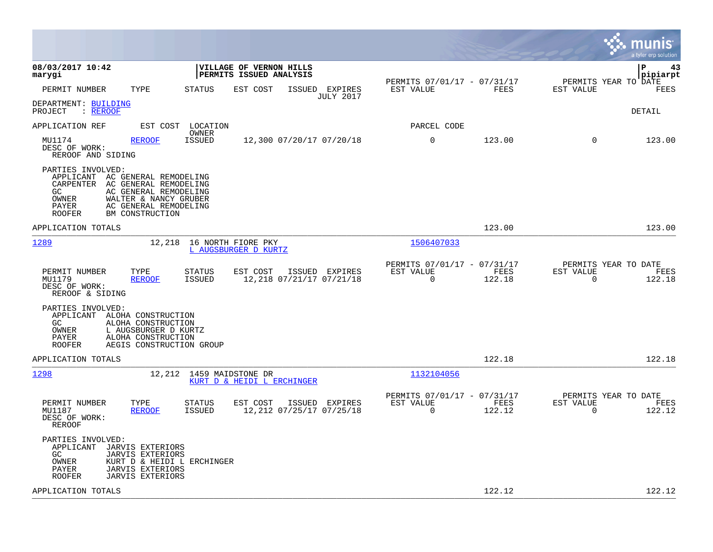|                                                                                                                                                                       |                                                                                                  |                                                    |                                    |                                                         |                |                                                  | munis<br>a tyler erp solution |
|-----------------------------------------------------------------------------------------------------------------------------------------------------------------------|--------------------------------------------------------------------------------------------------|----------------------------------------------------|------------------------------------|---------------------------------------------------------|----------------|--------------------------------------------------|-------------------------------|
| 08/03/2017 10:42<br>marygi                                                                                                                                            |                                                                                                  | VILLAGE OF VERNON HILLS<br>PERMITS ISSUED ANALYSIS |                                    |                                                         |                |                                                  | lР<br>43<br>pipiarpt          |
| PERMIT NUMBER<br>TYPE                                                                                                                                                 | <b>STATUS</b>                                                                                    | EST COST                                           | ISSUED EXPIRES<br><b>JULY 2017</b> | PERMITS 07/01/17 - 07/31/17<br>EST VALUE                | <b>FEES</b>    | PERMITS YEAR TO DATE<br>EST VALUE                | FEES                          |
| DEPARTMENT: BUILDING<br>: REROOF<br>PROJECT                                                                                                                           |                                                                                                  |                                                    |                                    |                                                         |                |                                                  | DETAIL                        |
| APPLICATION REF                                                                                                                                                       | EST COST<br>LOCATION<br>OWNER                                                                    |                                                    |                                    | PARCEL CODE                                             |                |                                                  |                               |
| MU1174<br><b>REROOF</b><br>DESC OF WORK:<br>REROOF AND SIDING                                                                                                         | <b>ISSUED</b>                                                                                    | 12,300 07/20/17 07/20/18                           |                                    | 0                                                       | 123.00         | $\Omega$                                         | 123.00                        |
| PARTIES INVOLVED:<br>APPLICANT AC GENERAL REMODELING<br>CARPENTER<br>GC<br>OWNER<br>PAYER<br>BM CONSTRUCTION<br><b>ROOFER</b>                                         | AC GENERAL REMODELING<br>AC GENERAL REMODELING<br>WALTER & NANCY GRUBER<br>AC GENERAL REMODELING |                                                    |                                    |                                                         |                |                                                  |                               |
| APPLICATION TOTALS                                                                                                                                                    |                                                                                                  |                                                    |                                    |                                                         | 123.00         |                                                  | 123.00                        |
| 1289                                                                                                                                                                  | 12,218                                                                                           | 16 NORTH FIORE PKY<br>L AUGSBURGER D KURTZ         |                                    | 1506407033                                              |                |                                                  |                               |
| PERMIT NUMBER<br>TYPE<br>MU1179<br><b>REROOF</b><br>DESC OF WORK:<br>REROOF & SIDING                                                                                  | STATUS<br><b>ISSUED</b>                                                                          | EST COST<br>12,218 07/21/17 07/21/18               | ISSUED EXPIRES                     | PERMITS 07/01/17 - 07/31/17<br>EST VALUE<br>$\mathbf 0$ | FEES<br>122.18 | PERMITS YEAR TO DATE<br>EST VALUE<br>$\mathbf 0$ | FEES<br>122.18                |
| PARTIES INVOLVED:<br>APPLICANT ALOHA CONSTRUCTION<br>GC<br>ALOHA CONSTRUCTION<br>OWNER<br>L AUGSBURGER D KURTZ<br>ALOHA CONSTRUCTION<br>PAYER<br><b>ROOFER</b>        | AEGIS CONSTRUCTION GROUP                                                                         |                                                    |                                    |                                                         |                |                                                  |                               |
| APPLICATION TOTALS                                                                                                                                                    |                                                                                                  |                                                    |                                    |                                                         | 122.18         |                                                  | 122.18                        |
| 1298                                                                                                                                                                  | 12,212                                                                                           | 1459 MAIDSTONE DR<br>KURT D & HEIDI L ERCHINGER    |                                    | 1132104056                                              |                |                                                  |                               |
| PERMIT NUMBER<br>TYPE<br>MU1187<br><b>REROOF</b><br>DESC OF WORK:<br>REROOF                                                                                           | <b>STATUS</b><br><b>ISSUED</b>                                                                   | EST COST<br>12,212 07/25/17 07/25/18               | ISSUED EXPIRES                     | PERMITS 07/01/17 - 07/31/17<br>EST VALUE<br>$\mathbf 0$ | FEES<br>122.12 | PERMITS YEAR TO DATE<br>EST VALUE<br>0           | FEES<br>122.12                |
| PARTIES INVOLVED:<br>APPLICANT<br>JARVIS EXTERIORS<br>GC<br><b>JARVIS EXTERIORS</b><br>OWNER<br><b>JARVIS EXTERIORS</b><br>PAYER<br>ROOFER<br><b>JARVIS EXTERIORS</b> | KURT D & HEIDI L ERCHINGER                                                                       |                                                    |                                    |                                                         |                |                                                  |                               |
| APPLICATION TOTALS                                                                                                                                                    |                                                                                                  |                                                    |                                    |                                                         | 122.12         |                                                  | 122.12                        |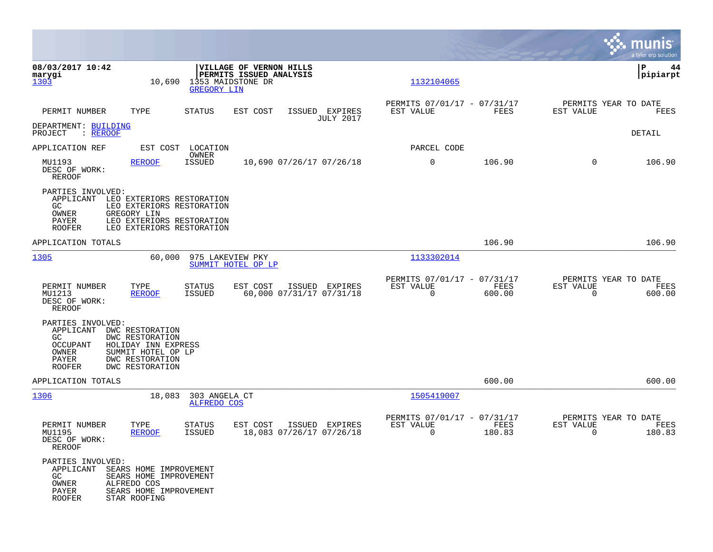|                                                                                             |                                                                                                                                 |                                                |                                                    |                                            |                                                         |                |                                                     | munis<br>a tyler erp solution |
|---------------------------------------------------------------------------------------------|---------------------------------------------------------------------------------------------------------------------------------|------------------------------------------------|----------------------------------------------------|--------------------------------------------|---------------------------------------------------------|----------------|-----------------------------------------------------|-------------------------------|
| 08/03/2017 10:42<br>marygi<br>1303                                                          |                                                                                                                                 | 10,690 1353 MAIDSTONE DR<br><b>GREGORY LIN</b> | VILLAGE OF VERNON HILLS<br>PERMITS ISSUED ANALYSIS |                                            | 1132104065                                              |                |                                                     | ∣P<br>44<br> pipiarpt         |
| PERMIT NUMBER                                                                               | TYPE                                                                                                                            | <b>STATUS</b>                                  | EST COST                                           | ISSUED EXPIRES<br><b>JULY 2017</b>         | PERMITS 07/01/17 - 07/31/17<br>EST VALUE                | FEES           | PERMITS YEAR TO DATE<br>EST VALUE                   | FEES                          |
| DEPARTMENT: BUILDING<br>PROJECT<br>: <u>REROOF</u>                                          |                                                                                                                                 |                                                |                                                    |                                            |                                                         |                |                                                     | DETAIL                        |
| APPLICATION REF                                                                             |                                                                                                                                 | EST COST LOCATION<br>OWNER                     |                                                    |                                            | PARCEL CODE                                             |                |                                                     |                               |
| MU1193<br>DESC OF WORK:<br><b>REROOF</b>                                                    | <b>REROOF</b>                                                                                                                   | <b>ISSUED</b>                                  |                                                    | 10,690 07/26/17 07/26/18                   | 0                                                       | 106.90         | $\mathbf 0$                                         | 106.90                        |
| PARTIES INVOLVED:<br>APPLICANT<br>GC.<br>OWNER<br>PAYER<br><b>ROOFER</b>                    | LEO EXTERIORS RESTORATION<br>LEO EXTERIORS RESTORATION<br>GREGORY LIN<br>LEO EXTERIORS RESTORATION<br>LEO EXTERIORS RESTORATION |                                                |                                                    |                                            |                                                         |                |                                                     |                               |
| APPLICATION TOTALS                                                                          |                                                                                                                                 |                                                |                                                    |                                            |                                                         | 106.90         |                                                     | 106.90                        |
| 1305                                                                                        | 60,000                                                                                                                          | 975 LAKEVIEW PKY                               | SUMMIT HOTEL OP LP                                 |                                            | 1133302014                                              |                |                                                     |                               |
| PERMIT NUMBER<br>MU1213<br>DESC OF WORK:<br><b>REROOF</b>                                   | TYPE<br><b>REROOF</b>                                                                                                           | <b>STATUS</b><br><b>ISSUED</b>                 | EST COST                                           | ISSUED EXPIRES<br>60,000 07/31/17 07/31/18 | PERMITS 07/01/17 - 07/31/17<br>EST VALUE<br>$\mathbf 0$ | FEES<br>600.00 | PERMITS YEAR TO DATE<br>EST VALUE<br>$\overline{0}$ | FEES<br>600.00                |
| PARTIES INVOLVED:<br>APPLICANT<br>GC.<br><b>OCCUPANT</b><br>OWNER<br>PAYER<br><b>ROOFER</b> | DWC RESTORATION<br>DWC RESTORATION<br>HOLIDAY INN EXPRESS<br>SUMMIT HOTEL OP LP<br>DWC RESTORATION<br>DWC RESTORATION           |                                                |                                                    |                                            |                                                         |                |                                                     |                               |
| APPLICATION TOTALS                                                                          |                                                                                                                                 |                                                |                                                    |                                            |                                                         | 600.00         |                                                     | 600.00                        |
| 1306                                                                                        | 18,083                                                                                                                          | 303 ANGELA CT<br><b>ALFREDO COS</b>            |                                                    |                                            | 1505419007                                              |                |                                                     |                               |
| PERMIT NUMBER<br>MU1195<br>DESC OF WORK:<br>REROOF                                          | TYPE<br><b>REROOF</b>                                                                                                           | <b>STATUS</b><br>ISSUED                        | EST COST<br>18,083 07/26/17 07/26/18               | ISSUED EXPIRES                             | PERMITS 07/01/17 - 07/31/17<br>EST VALUE<br>$\sim$ 0    | FEES<br>180.83 | PERMITS YEAR TO DATE<br>EST VALUE<br>$\overline{0}$ | FEES<br>180.83                |
| PARTIES INVOLVED:<br>APPLICANT SEARS HOME IMPROVEMENT<br>GC<br>OWNER<br>PAYER<br>ROOFER     | SEARS HOME IMPROVEMENT<br>ALFREDO COS<br>SEARS HOME IMPROVEMENT<br>STAR ROOFING                                                 |                                                |                                                    |                                            |                                                         |                |                                                     |                               |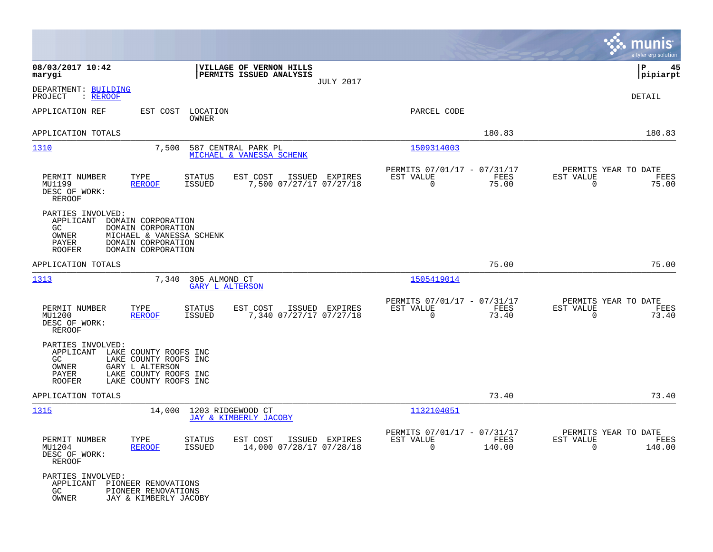|                                                                                                                                                                                                |                                                     |                                                         |                | munis<br>a tyler erp solution                    |                 |
|------------------------------------------------------------------------------------------------------------------------------------------------------------------------------------------------|-----------------------------------------------------|---------------------------------------------------------|----------------|--------------------------------------------------|-----------------|
| 08/03/2017 10:42<br>PERMITS ISSUED ANALYSIS<br>marygi                                                                                                                                          | VILLAGE OF VERNON HILLS<br><b>JULY 2017</b>         |                                                         |                | P                                                | 45<br> pipiarpt |
| DEPARTMENT: BUILDING<br>PROJECT<br>: <u>REROOF</u>                                                                                                                                             |                                                     |                                                         |                | DETAIL                                           |                 |
| APPLICATION REF<br>EST COST<br>LOCATION<br>OWNER                                                                                                                                               |                                                     | PARCEL CODE                                             |                |                                                  |                 |
| APPLICATION TOTALS                                                                                                                                                                             |                                                     |                                                         | 180.83         |                                                  | 180.83          |
| 1310<br>7,500<br>587 CENTRAL PARK PL<br>MICHAEL & VANESSA SCHENK                                                                                                                               |                                                     | 1509314003                                              |                |                                                  |                 |
| PERMIT NUMBER<br>TYPE<br>STATUS<br>EST COST<br>MU1199<br><b>ISSUED</b><br><b>REROOF</b><br>DESC OF WORK:<br>REROOF                                                                             | ISSUED EXPIRES<br>7,500 07/27/17 07/27/18           | PERMITS 07/01/17 - 07/31/17<br>EST VALUE<br>$\mathbf 0$ | FEES<br>75.00  | PERMITS YEAR TO DATE<br>EST VALUE<br>$\mathbf 0$ | FEES<br>75.00   |
| PARTIES INVOLVED:<br>APPLICANT<br>DOMAIN CORPORATION<br>GC.<br>DOMAIN CORPORATION<br>OWNER<br>MICHAEL & VANESSA SCHENK<br>PAYER<br>DOMAIN CORPORATION<br>DOMAIN CORPORATION<br><b>ROOFER</b>   |                                                     |                                                         |                |                                                  |                 |
| APPLICATION TOTALS                                                                                                                                                                             |                                                     |                                                         | 75.00          |                                                  | 75.00           |
| 1313<br>7,340<br>305 ALMOND CT<br><b>GARY L ALTERSON</b>                                                                                                                                       |                                                     | 1505419014                                              |                |                                                  |                 |
| PERMIT NUMBER<br>TYPE<br>STATUS<br>EST COST<br>MU1200<br><b>ISSUED</b><br><b>REROOF</b><br>DESC OF WORK:<br>REROOF                                                                             | ISSUED EXPIRES<br>7,340 07/27/17 07/27/18           | PERMITS 07/01/17 - 07/31/17<br>EST VALUE<br>$\mathbf 0$ | FEES<br>73.40  | PERMITS YEAR TO DATE<br>EST VALUE<br>$\mathbf 0$ | FEES<br>73.40   |
| PARTIES INVOLVED:<br>APPLICANT<br>LAKE COUNTY ROOFS INC<br>GC<br>LAKE COUNTY ROOFS INC<br>OWNER<br>GARY L ALTERSON<br>PAYER<br>LAKE COUNTY ROOFS INC<br>LAKE COUNTY ROOFS INC<br><b>ROOFER</b> |                                                     |                                                         |                |                                                  |                 |
| APPLICATION TOTALS                                                                                                                                                                             |                                                     |                                                         | 73.40          |                                                  | 73.40           |
| <u> 1315</u><br>14,000<br>1203 RIDGEWOOD CT<br>JAY & KIMBERLY JACOBY                                                                                                                           |                                                     | 1132104051                                              |                |                                                  |                 |
| PERMIT NUMBER<br>TYPE<br>STATUS<br>MU1204<br><b>REROOF</b><br>ISSUED<br>DESC OF WORK:<br>REROOF                                                                                                | EST COST ISSUED EXPIRES<br>14,000 07/28/17 07/28/18 | PERMITS 07/01/17 - 07/31/17<br>EST VALUE<br>$\Omega$    | FEES<br>140.00 | PERMITS YEAR TO DATE<br>EST VALUE<br>$\Omega$    | FEES<br>140.00  |
| PARTIES INVOLVED:<br>APPLICANT PIONEER RENOVATIONS<br>GC.<br>PIONEER RENOVATIONS<br>OWNER<br>JAY & KIMBERLY JACOBY                                                                             |                                                     |                                                         |                |                                                  |                 |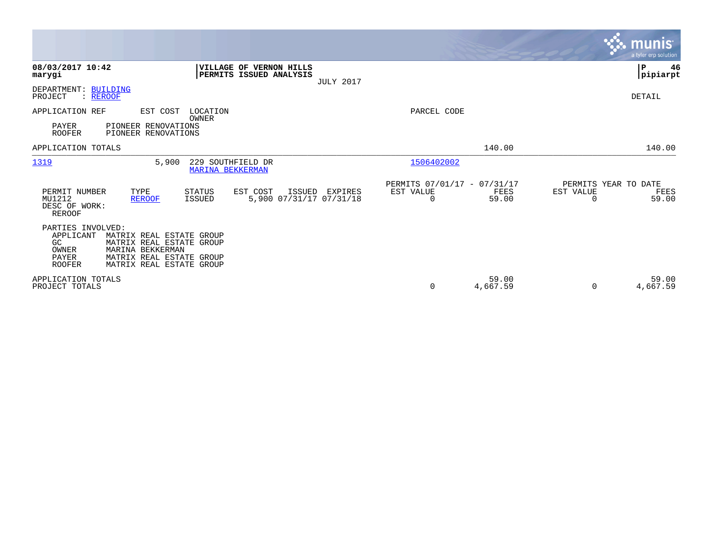|                                                                                             |                                                                                                              |                  |                                               |                   |                                   | munis <sup>®</sup><br>a tyler erp solution |
|---------------------------------------------------------------------------------------------|--------------------------------------------------------------------------------------------------------------|------------------|-----------------------------------------------|-------------------|-----------------------------------|--------------------------------------------|
| 08/03/2017 10:42<br>marygi                                                                  | VILLAGE OF VERNON HILLS<br>PERMITS ISSUED ANALYSIS                                                           | <b>JULY 2017</b> |                                               |                   |                                   | ∣₽<br>46<br> pipiarpt                      |
| DEPARTMENT: BUILDING<br>PROJECT<br>: REROOF                                                 |                                                                                                              |                  |                                               |                   |                                   | DETAIL                                     |
| APPLICATION REF<br>PAYER<br><b>ROOFER</b>                                                   | EST COST<br>LOCATION<br>OWNER<br>PIONEER RENOVATIONS<br>PIONEER RENOVATIONS                                  |                  | PARCEL CODE                                   |                   |                                   |                                            |
| APPLICATION TOTALS                                                                          |                                                                                                              |                  |                                               | 140.00            |                                   | 140.00                                     |
| 1319                                                                                        | 5,900<br>229 SOUTHFIELD DR<br><b>MARINA BEKKERMAN</b>                                                        |                  | 1506402002                                    |                   |                                   |                                            |
| TYPE<br>PERMIT NUMBER<br>MU1212<br><b>REROOF</b><br>DESC OF WORK:<br><b>REROOF</b>          | EST COST<br>STATUS<br>ISSUED<br>5,900 07/31/17 07/31/18<br>ISSUED                                            | EXPIRES          | PERMITS 07/01/17 - 07/31/17<br>EST VALUE<br>0 | FEES<br>59.00     | PERMITS YEAR TO DATE<br>EST VALUE | FEES<br>59.00                              |
| PARTIES INVOLVED:<br>APPLICANT<br>GC<br>OWNER<br>MARINA BEKKERMAN<br>PAYER<br><b>ROOFER</b> | MATRIX REAL ESTATE GROUP<br>MATRIX REAL ESTATE GROUP<br>MATRIX REAL ESTATE GROUP<br>MATRIX REAL ESTATE GROUP |                  |                                               |                   |                                   |                                            |
| APPLICATION TOTALS<br>PROJECT TOTALS                                                        |                                                                                                              |                  | 0                                             | 59.00<br>4,667.59 | $\Omega$                          | 59.00<br>4,667.59                          |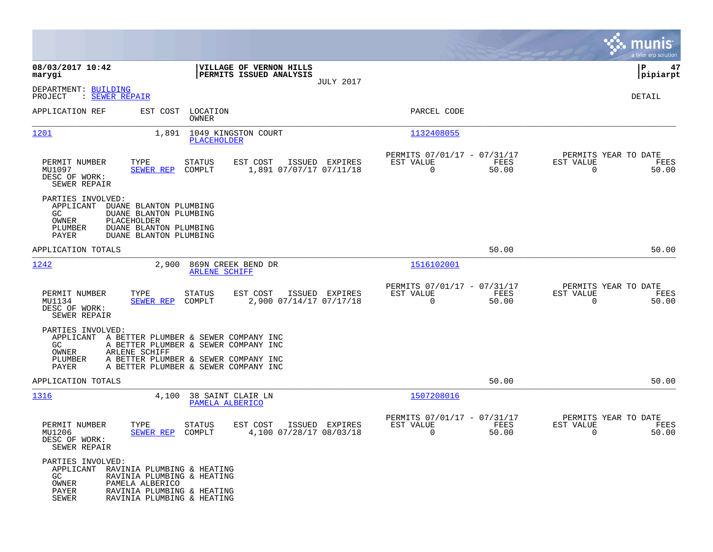|                                                                                                                                                                                                                |                                                                                                                                                              |                                                                          | munis<br>a tyler erp solution                                        |
|----------------------------------------------------------------------------------------------------------------------------------------------------------------------------------------------------------------|--------------------------------------------------------------------------------------------------------------------------------------------------------------|--------------------------------------------------------------------------|----------------------------------------------------------------------|
| 08/03/2017 10:42<br>marygi                                                                                                                                                                                     | VILLAGE OF VERNON HILLS<br>PERMITS ISSUED ANALYSIS                                                                                                           |                                                                          | P<br>47<br>$ $ pipiarpt                                              |
| DEPARTMENT: BUILDING<br>PROJECT<br>: <u>SEWER REPAIR</u>                                                                                                                                                       | <b>JULY 2017</b>                                                                                                                                             |                                                                          | DETAIL                                                               |
| APPLICATION REF                                                                                                                                                                                                | EST COST LOCATION<br>OWNER                                                                                                                                   | PARCEL CODE                                                              |                                                                      |
| 1201<br>1,891                                                                                                                                                                                                  | 1049 KINGSTON COURT<br><b>PLACEHOLDER</b>                                                                                                                    | 1132408055                                                               |                                                                      |
| TYPE<br>PERMIT NUMBER<br>MU1097<br><b>SEWER REP</b><br>DESC OF WORK:<br>SEWER REPAIR                                                                                                                           | <b>STATUS</b><br>EST COST<br>ISSUED EXPIRES<br>1,891 07/07/17 07/11/18<br>COMPLT                                                                             | PERMITS 07/01/17 - 07/31/17<br>EST VALUE<br>FEES<br>$\mathbf 0$<br>50.00 | PERMITS YEAR TO DATE<br>EST VALUE<br>FEES<br>$\overline{0}$<br>50.00 |
| PARTIES INVOLVED:<br>APPLICANT<br>DUANE BLANTON PLUMBING<br>GC.<br>DUANE BLANTON PLUMBING<br>PLACEHOLDER<br>OWNER<br>PLUMBER<br>DUANE BLANTON PLUMBING<br>PAYER<br>DUANE BLANTON PLUMBING                      |                                                                                                                                                              |                                                                          |                                                                      |
| APPLICATION TOTALS                                                                                                                                                                                             |                                                                                                                                                              | 50.00                                                                    | 50.00                                                                |
| 1242<br>2,900                                                                                                                                                                                                  | 869N CREEK BEND DR<br><b>ARLENE SCHIFF</b>                                                                                                                   | 1516102001                                                               |                                                                      |
| PERMIT NUMBER<br>TYPE<br>MU1134<br>SEWER REP<br>DESC OF WORK:<br>SEWER REPAIR                                                                                                                                  | <b>STATUS</b><br>EST COST<br>ISSUED EXPIRES<br>COMPLT<br>2,900 07/14/17 07/17/18                                                                             | PERMITS 07/01/17 - 07/31/17<br>EST VALUE<br>FEES<br>$\mathbf 0$<br>50.00 | PERMITS YEAR TO DATE<br>EST VALUE<br>FEES<br>$\overline{0}$<br>50.00 |
| PARTIES INVOLVED:<br>APPLICANT<br>GC.<br>OWNER<br>ARLENE SCHIFF<br>PLUMBER<br>PAYER                                                                                                                            | A BETTER PLUMBER & SEWER COMPANY INC<br>A BETTER PLUMBER & SEWER COMPANY INC<br>A BETTER PLUMBER & SEWER COMPANY INC<br>A BETTER PLUMBER & SEWER COMPANY INC |                                                                          |                                                                      |
| APPLICATION TOTALS                                                                                                                                                                                             |                                                                                                                                                              | 50.00                                                                    | 50.00                                                                |
| 1316                                                                                                                                                                                                           | 4,100 38 SAINT CLAIR LN<br>PAMELA ALBERICO                                                                                                                   | 1507208016                                                               |                                                                      |
| PERMIT NUMBER<br>TYPE<br>MU1206<br>SEWER REP<br>DESC OF WORK:<br>SEWER REPAIR                                                                                                                                  | EST COST<br>ISSUED EXPIRES<br><b>STATUS</b><br>4,100 07/28/17 08/03/18<br>COMPLT                                                                             | PERMITS 07/01/17 - 07/31/17<br>EST VALUE<br>FEES<br>0<br>50.00           | PERMITS YEAR TO DATE<br>EST VALUE<br>FEES<br>0<br>50.00              |
| PARTIES INVOLVED:<br>APPLICANT RAVINIA PLUMBING & HEATING<br>GC<br>RAVINIA PLUMBING & HEATING<br>OWNER<br>PAMELA ALBERICO<br>PAYER<br>RAVINIA PLUMBING & HEATING<br><b>SEWER</b><br>RAVINIA PLUMBING & HEATING |                                                                                                                                                              |                                                                          |                                                                      |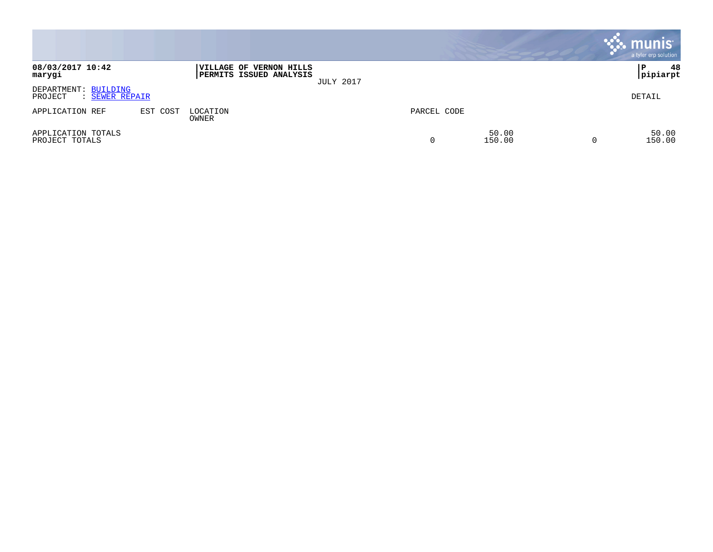|                                                   |          |                                                    |                  |             |                 |          | munis <sup>.</sup><br>a tyler erp solution |
|---------------------------------------------------|----------|----------------------------------------------------|------------------|-------------|-----------------|----------|--------------------------------------------|
| 08/03/2017 10:42<br>marygi                        |          | VILLAGE OF VERNON HILLS<br>PERMITS ISSUED ANALYSIS | <b>JULY 2017</b> |             |                 |          | 48<br>P<br> pipiarpt                       |
| DEPARTMENT: BUILDING<br>PROJECT<br>: SEWER REPAIR |          |                                                    |                  |             |                 |          | DETAIL                                     |
| APPLICATION REF                                   | EST COST | LOCATION<br>OWNER                                  |                  | PARCEL CODE |                 |          |                                            |
| APPLICATION TOTALS<br>PROJECT TOTALS              |          |                                                    |                  | 0           | 50.00<br>150.00 | $\Omega$ | 50.00<br>150.00                            |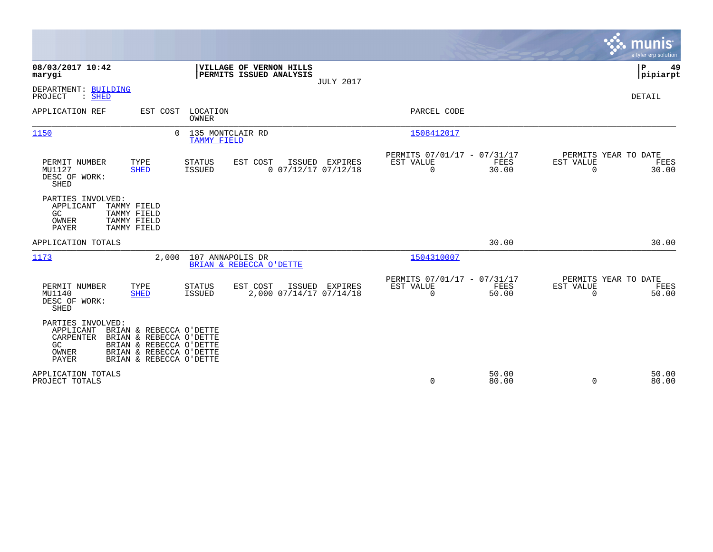|                                                                                                                                                                                                                   |                                                                                 | munis<br>a tyler erp solution                                  |
|-------------------------------------------------------------------------------------------------------------------------------------------------------------------------------------------------------------------|---------------------------------------------------------------------------------|----------------------------------------------------------------|
| 08/03/2017 10:42<br>VILLAGE OF VERNON HILLS<br>PERMITS ISSUED ANALYSIS<br>marygi<br><b>JULY 2017</b>                                                                                                              |                                                                                 | P<br>49<br> pipiarpt                                           |
| DEPARTMENT: BUILDING<br>PROJECT<br>: SHED                                                                                                                                                                         |                                                                                 | <b>DETAIL</b>                                                  |
| APPLICATION REF<br>LOCATION<br>EST COST<br>OWNER                                                                                                                                                                  | PARCEL CODE                                                                     |                                                                |
| 135 MONTCLAIR RD<br>1150<br>$\Omega$<br><b>TAMMY FIELD</b>                                                                                                                                                        | 1508412017                                                                      |                                                                |
| PERMIT NUMBER<br>TYPE<br>EST COST<br>STATUS<br>ISSUED EXPIRES<br>$0$ $07/12/17$ $07/12/18$<br>MU1127<br><b>SHED</b><br>ISSUED<br>DESC OF WORK:<br>SHED                                                            | PERMITS 07/01/17 - 07/31/17<br>EST VALUE<br>FEES<br>$\mathbf 0$<br>30.00        | PERMITS YEAR TO DATE<br>EST VALUE<br>FEES<br>$\Omega$<br>30.00 |
| PARTIES INVOLVED:<br>TAMMY FIELD<br>APPLICANT<br>GC.<br>TAMMY FIELD<br>TAMMY FIELD<br>OWNER<br>PAYER<br>TAMMY FIELD                                                                                               |                                                                                 |                                                                |
| APPLICATION TOTALS                                                                                                                                                                                                | 30.00                                                                           | 30.00                                                          |
| 2.000<br>107 ANNAPOLIS DR<br>1173<br>BRIAN & REBECCA O'DETTE                                                                                                                                                      | 1504310007                                                                      |                                                                |
| PERMIT NUMBER<br>TYPE<br>EST COST<br>ISSUED EXPIRES<br><b>STATUS</b><br>2,000 07/14/17 07/14/18<br>MU1140<br><b>SHED</b><br><b>ISSUED</b><br>DESC OF WORK:<br>SHED                                                | PERMITS 07/01/17 - 07/31/17<br><b>EST VALUE</b><br>FEES<br>$\mathbf 0$<br>50.00 | PERMITS YEAR TO DATE<br>EST VALUE<br>FEES<br>50.00<br>$\Omega$ |
| PARTIES INVOLVED:<br>APPLICANT<br>BRIAN & REBECCA O'DETTE<br>CARPENTER<br>BRIAN & REBECCA O'DETTE<br>GC<br>BRIAN & REBECCA O'DETTE<br>OWNER<br>BRIAN & REBECCA O'DETTE<br><b>PAYER</b><br>BRIAN & REBECCA O'DETTE |                                                                                 |                                                                |
| APPLICATION TOTALS<br>PROJECT TOTALS                                                                                                                                                                              | 50.00<br>0<br>80.00                                                             | 50.00<br>80.00<br>$\Omega$                                     |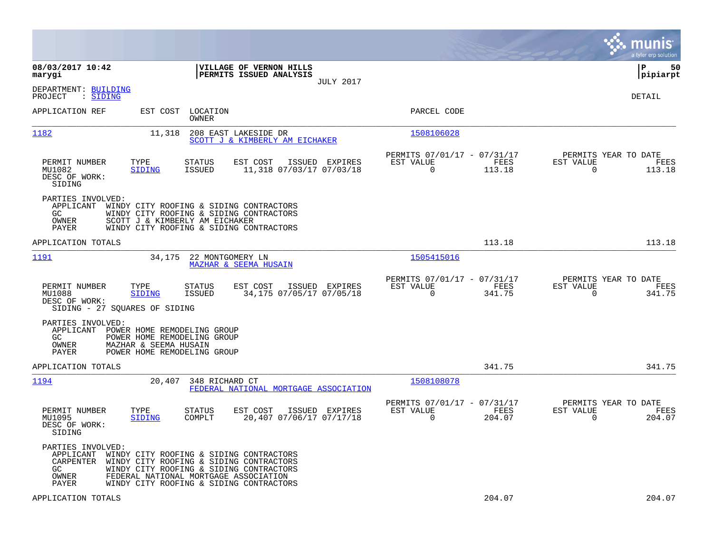|                                                                                                                                                                                                                                                                                          |                                                                        | munis<br>a tyler erp solution                                   |
|------------------------------------------------------------------------------------------------------------------------------------------------------------------------------------------------------------------------------------------------------------------------------------------|------------------------------------------------------------------------|-----------------------------------------------------------------|
| 08/03/2017 10:42<br>VILLAGE OF VERNON HILLS<br>marygi<br>PERMITS ISSUED ANALYSIS<br><b>JULY 2017</b>                                                                                                                                                                                     |                                                                        | l P<br>50<br> pipiarpt                                          |
| DEPARTMENT: BUILDING<br>: SIDING<br>PROJECT                                                                                                                                                                                                                                              |                                                                        | DETAIL                                                          |
| LOCATION<br>APPLICATION REF<br>EST COST<br>OWNER                                                                                                                                                                                                                                         | PARCEL CODE                                                            |                                                                 |
| 1182<br>11,318<br>208 EAST LAKESIDE DR<br>SCOTT J & KIMBERLY AM EICHAKER                                                                                                                                                                                                                 | 1508106028                                                             |                                                                 |
| PERMIT NUMBER<br>TYPE<br><b>STATUS</b><br>EST COST<br>ISSUED EXPIRES<br>MU1082<br><b>SIDING</b><br><b>ISSUED</b><br>11,318 07/03/17 07/03/18<br>DESC OF WORK:<br>SIDING                                                                                                                  | PERMITS 07/01/17 - 07/31/17<br>EST VALUE<br>FEES<br>$\Omega$<br>113.18 | PERMITS YEAR TO DATE<br>EST VALUE<br>FEES<br>113.18<br>0        |
| PARTIES INVOLVED:<br>APPLICANT<br>WINDY CITY ROOFING & SIDING CONTRACTORS<br>GC.<br>WINDY CITY ROOFING & SIDING CONTRACTORS<br>OWNER<br>SCOTT J & KIMBERLY AM EICHAKER<br>PAYER<br>WINDY CITY ROOFING & SIDING CONTRACTORS                                                               |                                                                        |                                                                 |
| APPLICATION TOTALS                                                                                                                                                                                                                                                                       | 113.18                                                                 | 113.18                                                          |
| 1191<br>34,175<br>22 MONTGOMERY LN<br><b>MAZHAR &amp; SEEMA HUSAIN</b>                                                                                                                                                                                                                   | 1505415016                                                             |                                                                 |
| EST COST<br>PERMIT NUMBER<br>TYPE<br>STATUS<br>ISSUED EXPIRES<br>MU1088<br>SIDING<br><b>ISSUED</b><br>34,175 07/05/17 07/05/18<br>DESC OF WORK:<br>SIDING - 27 SQUARES OF SIDING                                                                                                         | PERMITS 07/01/17 - 07/31/17<br>EST VALUE<br>FEES<br>$\Omega$<br>341.75 | PERMITS YEAR TO DATE<br>EST VALUE<br>FEES<br>341.75<br>$\Omega$ |
| PARTIES INVOLVED:<br>APPLICANT<br>POWER HOME REMODELING GROUP<br>GC.<br>POWER HOME REMODELING GROUP<br>OWNER<br>MAZHAR & SEEMA HUSAIN<br>PAYER<br>POWER HOME REMODELING GROUP                                                                                                            |                                                                        |                                                                 |
| APPLICATION TOTALS                                                                                                                                                                                                                                                                       | 341.75                                                                 | 341.75                                                          |
| 1194<br>20,407<br>348 RICHARD CT<br>FEDERAL NATIONAL MORTGAGE ASSOCIATION                                                                                                                                                                                                                | 1508108078                                                             |                                                                 |
| PERMIT NUMBER<br>TYPE<br>STATUS<br>EST COST<br>ISSUED EXPIRES<br>20,407 07/06/17 07/17/18<br>MU1095<br>SIDING<br>COMPLT<br>DESC OF WORK:<br>SIDING                                                                                                                                       | PERMITS 07/01/17 - 07/31/17<br>EST VALUE<br>FEES<br>$\Omega$<br>204.07 | PERMITS YEAR TO DATE<br>EST VALUE<br>FEES<br>$\Omega$<br>204.07 |
| PARTIES INVOLVED:<br>APPLICANT<br>WINDY CITY ROOFING & SIDING CONTRACTORS<br>WINDY CITY ROOFING & SIDING CONTRACTORS<br>CARPENTER<br>GC<br>WINDY CITY ROOFING & SIDING CONTRACTORS<br>FEDERAL NATIONAL MORTGAGE ASSOCIATION<br>OWNER<br>WINDY CITY ROOFING & SIDING CONTRACTORS<br>PAYER |                                                                        |                                                                 |
| APPLICATION TOTALS                                                                                                                                                                                                                                                                       | 204.07                                                                 | 204.07                                                          |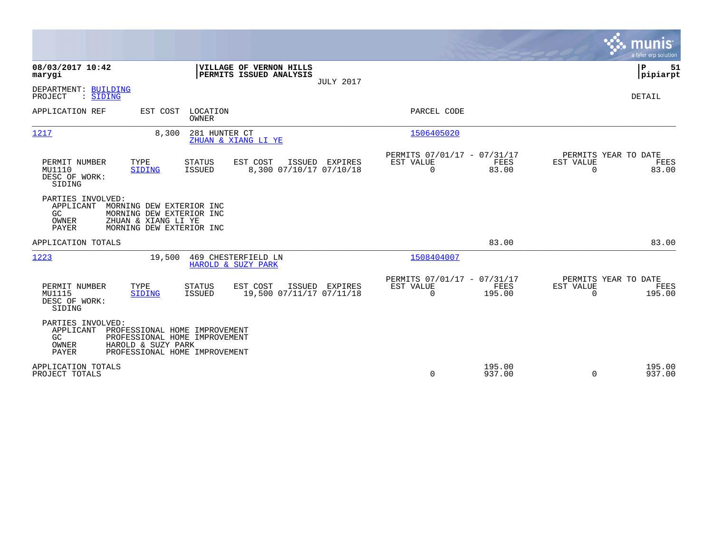|                                                                                                                                                                                        |                                                                        |                                                      |                  |                                               | munis<br>a tyler erp solution |
|----------------------------------------------------------------------------------------------------------------------------------------------------------------------------------------|------------------------------------------------------------------------|------------------------------------------------------|------------------|-----------------------------------------------|-------------------------------|
| 08/03/2017 10:42<br>marygi                                                                                                                                                             | VILLAGE OF VERNON HILLS<br>PERMITS ISSUED ANALYSIS<br><b>JULY 2017</b> |                                                      |                  |                                               | P<br>51<br> pipiarpt          |
| DEPARTMENT: BUILDING<br>: SIDING<br>PROJECT                                                                                                                                            |                                                                        |                                                      |                  |                                               | DETAIL                        |
| APPLICATION REF<br>EST COST LOCATION<br><b>OWNER</b>                                                                                                                                   |                                                                        | PARCEL CODE                                          |                  |                                               |                               |
| 1217<br>281 HUNTER CT<br>8,300                                                                                                                                                         | ZHUAN & XIANG LI YE                                                    | 1506405020                                           |                  |                                               |                               |
| PERMIT NUMBER<br>TYPE<br><b>STATUS</b><br>MU1110<br><b>ISSUED</b><br><b>SIDING</b><br>DESC OF WORK:<br>SIDING                                                                          | EST COST<br>ISSUED EXPIRES<br>8,300 07/10/17 07/10/18                  | PERMITS 07/01/17 - 07/31/17<br>EST VALUE<br>$\Omega$ | FEES<br>83.00    | PERMITS YEAR TO DATE<br>EST VALUE<br>$\Omega$ | FEES<br>83.00                 |
| PARTIES INVOLVED:<br>APPLICANT<br>MORNING DEW EXTERIOR INC<br>GC<br>MORNING DEW EXTERIOR INC<br>ZHUAN & XIANG LI YE<br>OWNER<br>PAYER<br>MORNING DEW EXTERIOR INC                      |                                                                        |                                                      |                  |                                               |                               |
| APPLICATION TOTALS                                                                                                                                                                     |                                                                        |                                                      | 83.00            |                                               | 83.00                         |
| 1223<br>19,500                                                                                                                                                                         | 469 CHESTERFIELD LN<br>HAROLD & SUZY PARK                              | 1508404007                                           |                  |                                               |                               |
| TYPE<br>PERMIT NUMBER<br><b>STATUS</b><br>MU1115<br>SIDING<br>ISSUED<br>DESC OF WORK:<br>SIDING                                                                                        | EST COST<br>ISSUED<br>EXPIRES<br>19,500 07/11/17 07/11/18              | PERMITS 07/01/17 - 07/31/17<br>EST VALUE<br>0        | FEES<br>195.00   | PERMITS YEAR TO DATE<br>EST VALUE<br>$\Omega$ | FEES<br>195.00                |
| PARTIES INVOLVED:<br>APPLICANT<br>PROFESSIONAL HOME IMPROVEMENT<br>GC<br>PROFESSIONAL HOME IMPROVEMENT<br>OWNER<br>HAROLD & SUZY PARK<br><b>PAYER</b><br>PROFESSIONAL HOME IMPROVEMENT |                                                                        |                                                      |                  |                                               |                               |
| APPLICATION TOTALS<br>PROJECT TOTALS                                                                                                                                                   |                                                                        | 0                                                    | 195.00<br>937.00 | $\Omega$                                      | 195.00<br>937.00              |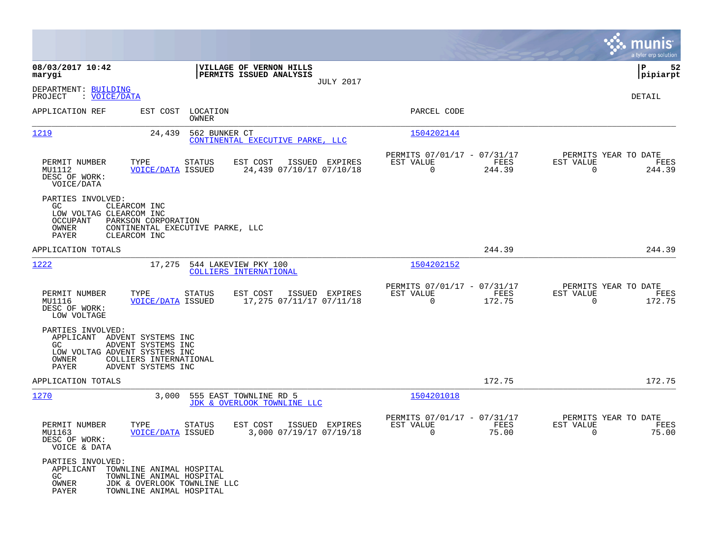|                                                                                                                    |                                                                                                                 |                                                                        |                                                         |                |                                                  | munis<br>a tyler erp solution |
|--------------------------------------------------------------------------------------------------------------------|-----------------------------------------------------------------------------------------------------------------|------------------------------------------------------------------------|---------------------------------------------------------|----------------|--------------------------------------------------|-------------------------------|
| 08/03/2017 10:42<br>marygi                                                                                         |                                                                                                                 | VILLAGE OF VERNON HILLS<br>PERMITS ISSUED ANALYSIS<br><b>JULY 2017</b> |                                                         |                |                                                  | ΙP<br>52<br> pipiarpt         |
| DEPARTMENT: BUILDING<br>: VOICE/DATA<br>PROJECT                                                                    |                                                                                                                 |                                                                        |                                                         |                |                                                  | DETAIL                        |
| APPLICATION REF                                                                                                    | LOCATION<br>EST COST<br><b>OWNER</b>                                                                            |                                                                        | PARCEL CODE                                             |                |                                                  |                               |
| 1219                                                                                                               | 24,439<br>562 BUNKER CT                                                                                         | CONTINENTAL EXECUTIVE PARKE, LLC                                       | 1504202144                                              |                |                                                  |                               |
| PERMIT NUMBER<br>MU1112<br>DESC OF WORK:<br>VOICE/DATA                                                             | TYPE<br><b>STATUS</b><br><b>VOICE/DATA ISSUED</b>                                                               | EST COST<br>ISSUED EXPIRES<br>24,439 07/10/17 07/10/18                 | PERMITS 07/01/17 - 07/31/17<br>EST VALUE<br>$\mathbf 0$ | FEES<br>244.39 | PERMITS YEAR TO DATE<br>EST VALUE<br>$\mathbf 0$ | FEES<br>244.39                |
| PARTIES INVOLVED:<br>GC.<br>LOW VOLTAG CLEARCOM INC<br><b>OCCUPANT</b><br>OWNER<br><b>PAYER</b>                    | CLEARCOM INC<br>PARKSON CORPORATION<br>CONTINENTAL EXECUTIVE PARKE, LLC<br>CLEARCOM INC                         |                                                                        |                                                         |                |                                                  |                               |
| APPLICATION TOTALS                                                                                                 |                                                                                                                 |                                                                        |                                                         | 244.39         |                                                  | 244.39                        |
| 1222                                                                                                               | 17,275                                                                                                          | 544 LAKEVIEW PKY 100<br>COLLIERS INTERNATIONAL                         | 1504202152                                              |                |                                                  |                               |
| PERMIT NUMBER<br>MU1116<br>DESC OF WORK:<br>LOW VOLTAGE                                                            | TYPE<br><b>STATUS</b><br><b>VOICE/DATA ISSUED</b>                                                               | EST COST<br>ISSUED EXPIRES<br>17,275 07/11/17 07/11/18                 | PERMITS 07/01/17 - 07/31/17<br>EST VALUE<br>$\mathbf 0$ | FEES<br>172.75 | PERMITS YEAR TO DATE<br>EST VALUE<br>$\mathbf 0$ | FEES<br>172.75                |
| PARTIES INVOLVED:<br>APPLICANT ADVENT SYSTEMS INC<br>GC.<br>LOW VOLTAG ADVENT SYSTEMS INC<br>OWNER<br><b>PAYER</b> | ADVENT SYSTEMS INC<br>COLLIERS INTERNATIONAL<br>ADVENT SYSTEMS INC                                              |                                                                        |                                                         |                |                                                  |                               |
| APPLICATION TOTALS                                                                                                 |                                                                                                                 |                                                                        |                                                         | 172.75         |                                                  | 172.75                        |
| 1270                                                                                                               | 3,000                                                                                                           | 555 EAST TOWNLINE RD 5<br>JDK & OVERLOOK TOWNLINE LLC                  | 1504201018                                              |                |                                                  |                               |
| PERMIT NUMBER<br>MU1163<br>DESC OF WORK:<br>VOICE & DATA                                                           | TYPE<br><b>STATUS</b><br><b>VOICE/DATA ISSUED</b>                                                               | EST COST<br>ISSUED EXPIRES<br>3,000 07/19/17 07/19/18                  | PERMITS 07/01/17 - 07/31/17<br>EST VALUE<br>$\Omega$    | FEES<br>75.00  | PERMITS YEAR TO DATE<br>EST VALUE<br>$\mathbf 0$ | FEES<br>75.00                 |
| PARTIES INVOLVED:<br>APPLICANT<br>GC.<br>OWNER<br>PAYER                                                            | TOWNLINE ANIMAL HOSPITAL<br>TOWNLINE ANIMAL HOSPITAL<br>JDK & OVERLOOK TOWNLINE LLC<br>TOWNLINE ANIMAL HOSPITAL |                                                                        |                                                         |                |                                                  |                               |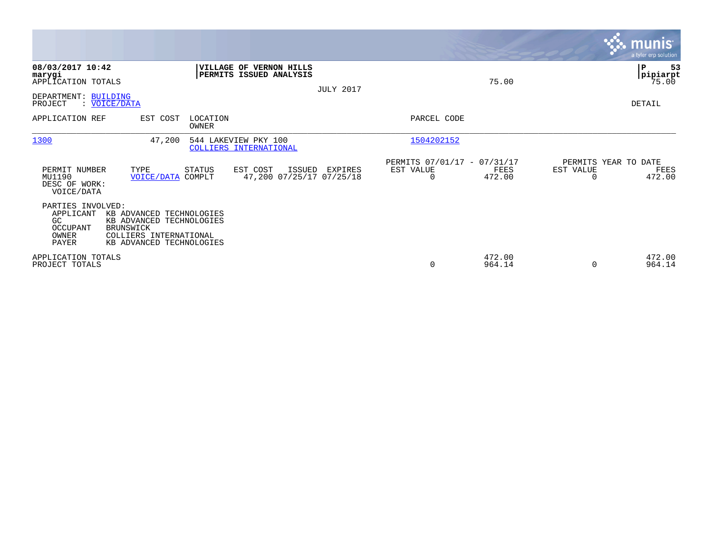|                                                                            |                                                                                                                                |                         |                                                           |                  |                                                      |                  |           | <b>munis</b><br>a tyler erp solution   |
|----------------------------------------------------------------------------|--------------------------------------------------------------------------------------------------------------------------------|-------------------------|-----------------------------------------------------------|------------------|------------------------------------------------------|------------------|-----------|----------------------------------------|
| 08/03/2017 10:42<br>marygi<br>APPLICATION TOTALS<br>DEPARTMENT: BUILDING   |                                                                                                                                |                         | <b>VILLAGE OF VERNON HILLS</b><br>PERMITS ISSUED ANALYSIS | <b>JULY 2017</b> |                                                      | 75.00            |           | P<br>53<br> pipiarpt<br>75.00          |
| PROJECT                                                                    | : VOICE/DATA                                                                                                                   |                         |                                                           |                  |                                                      |                  |           | DETAIL                                 |
| APPLICATION REF                                                            | EST COST                                                                                                                       | LOCATION<br>OWNER       |                                                           |                  | PARCEL CODE                                          |                  |           |                                        |
| 1300                                                                       | 47,200                                                                                                                         |                         | 544 LAKEVIEW PKY 100<br>COLLIERS INTERNATIONAL            |                  | 1504202152                                           |                  |           |                                        |
| PERMIT NUMBER<br>MU1190<br>DESC OF WORK:<br>VOICE/DATA                     | TYPE<br><b>VOICE/DATA</b>                                                                                                      | <b>STATUS</b><br>COMPLT | EST COST<br>ISSUED<br>47,200 07/25/17 07/25/18            | EXPIRES          | PERMITS 07/01/17 - 07/31/17<br>EST VALUE<br>$\Omega$ | FEES<br>472.00   | EST VALUE | PERMITS YEAR TO DATE<br>FEES<br>472.00 |
| PARTIES INVOLVED:<br>APPLICANT<br>GC.<br><b>OCCUPANT</b><br>OWNER<br>PAYER | KB ADVANCED TECHNOLOGIES<br>KB ADVANCED TECHNOLOGIES<br><b>BRUNSWICK</b><br>COLLIERS INTERNATIONAL<br>KB ADVANCED TECHNOLOGIES |                         |                                                           |                  |                                                      |                  |           |                                        |
| APPLICATION TOTALS<br>PROJECT TOTALS                                       |                                                                                                                                |                         |                                                           |                  | 0                                                    | 472.00<br>964.14 | $\Omega$  | 472.00<br>964.14                       |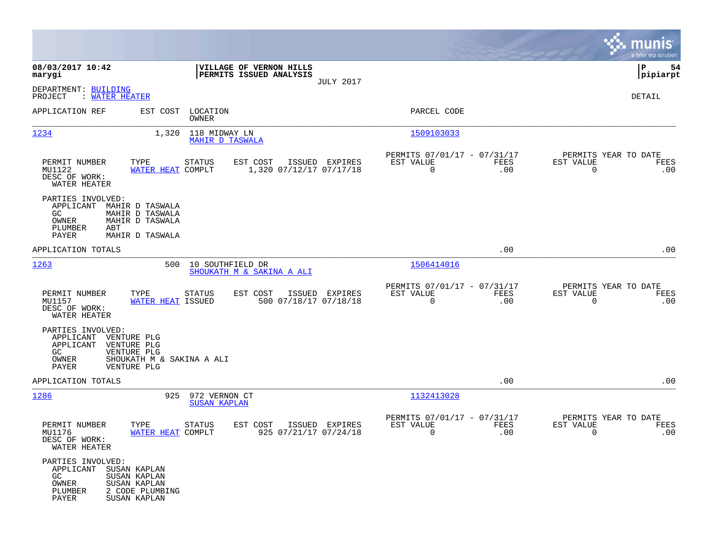|                                                                                                                                                              |                                                                 |                                                                        | munis<br>a tyler erp solution                                   |
|--------------------------------------------------------------------------------------------------------------------------------------------------------------|-----------------------------------------------------------------|------------------------------------------------------------------------|-----------------------------------------------------------------|
| 08/03/2017 10:42<br>marygi                                                                                                                                   | VILLAGE OF VERNON HILLS<br>PERMITS ISSUED ANALYSIS              |                                                                        | l P<br>54<br> pipiarpt                                          |
| DEPARTMENT: BUILDING<br>PROJECT<br>: WATER HEATER                                                                                                            | <b>JULY 2017</b>                                                |                                                                        | DETAIL                                                          |
| APPLICATION REF<br>EST COST                                                                                                                                  | LOCATION<br>OWNER                                               | PARCEL CODE                                                            |                                                                 |
| 1234<br>1,320                                                                                                                                                | 118 MIDWAY LN<br><b>MAHIR D TASWALA</b>                         | 1509103033                                                             |                                                                 |
| PERMIT NUMBER<br>TYPE<br>MU1122<br>WATER HEAT COMPLT<br>DESC OF WORK:<br>WATER HEATER                                                                        | STATUS<br>EST COST<br>ISSUED EXPIRES<br>1,320 07/12/17 07/17/18 | PERMITS 07/01/17 - 07/31/17<br>EST VALUE<br>FEES<br>$\mathbf 0$<br>.00 | PERMITS YEAR TO DATE<br>EST VALUE<br>FEES<br>$\mathbf 0$<br>.00 |
| PARTIES INVOLVED:<br>APPLICANT MAHIR D TASWALA<br>GC.<br>MAHIR D TASWALA<br>OWNER<br>MAHIR D TASWALA<br>PLUMBER<br>ABT<br>PAYER<br>MAHIR D TASWALA           |                                                                 |                                                                        |                                                                 |
| APPLICATION TOTALS                                                                                                                                           |                                                                 | .00                                                                    | .00                                                             |
| 1263<br>500                                                                                                                                                  | 10 SOUTHFIELD DR<br>SHOUKATH M & SAKINA A ALI                   | 1506414016                                                             |                                                                 |
| PERMIT NUMBER<br>TYPE<br>MU1157<br>WATER HEAT ISSUED<br>DESC OF WORK:<br>WATER HEATER                                                                        | STATUS<br>EST COST<br>ISSUED EXPIRES<br>500 07/18/17 07/18/18   | PERMITS 07/01/17 - 07/31/17<br>EST VALUE<br>FEES<br>$\mathbf 0$<br>.00 | PERMITS YEAR TO DATE<br>EST VALUE<br>FEES<br>$\mathbf 0$<br>.00 |
| PARTIES INVOLVED:<br>APPLICANT<br>VENTURE PLG<br>APPLICANT<br>VENTURE PLG<br>GC<br>VENTURE PLG<br>OWNER<br>SHOUKATH M & SAKINA A ALI<br>PAYER<br>VENTURE PLG |                                                                 |                                                                        |                                                                 |
| APPLICATION TOTALS                                                                                                                                           |                                                                 | .00                                                                    | .00                                                             |
| 1286<br>925                                                                                                                                                  | 972 VERNON CT<br><b>SUSAN KAPLAN</b>                            | 1132413028                                                             |                                                                 |
| PERMIT NUMBER<br>TYPE<br>MU1176<br>WATER HEAT COMPLT<br>DESC OF WORK:<br>WATER HEATER                                                                        | STATUS<br>EST COST<br>ISSUED EXPIRES<br>925 07/21/17 07/24/18   | PERMITS 07/01/17 - 07/31/17<br>EST VALUE<br>FEES<br>0<br>.00           | PERMITS YEAR TO DATE<br>EST VALUE<br>FEES<br>0<br>.00           |
| PARTIES INVOLVED:<br>APPLICANT SUSAN KAPLAN<br>GC<br>SUSAN KAPLAN<br>OWNER<br>SUSAN KAPLAN<br>PLUMBER<br>2 CODE PLUMBING<br>PAYER<br>SUSAN KAPLAN            |                                                                 |                                                                        |                                                                 |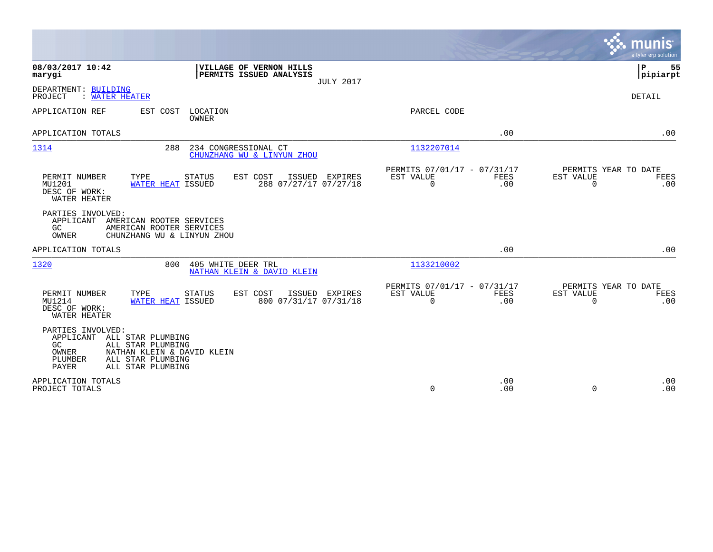|                                                                                                                                                                                      | munis<br>a tyler erp solution                                                                                                       |
|--------------------------------------------------------------------------------------------------------------------------------------------------------------------------------------|-------------------------------------------------------------------------------------------------------------------------------------|
| 08/03/2017 10:42<br>VILLAGE OF VERNON HILLS<br>PERMITS ISSUED ANALYSIS<br>marygi                                                                                                     | P<br>55<br> pipiarpt<br><b>JULY 2017</b>                                                                                            |
| DEPARTMENT: BUILDING<br>: WATER HEATER<br>PROJECT                                                                                                                                    | <b>DETAIL</b>                                                                                                                       |
| APPLICATION REF<br>EST COST<br>LOCATION<br>OWNER                                                                                                                                     | PARCEL CODE                                                                                                                         |
| APPLICATION TOTALS                                                                                                                                                                   | .00<br>.00                                                                                                                          |
| 1314<br>288<br>234 CONGRESSIONAL CT<br>CHUNZHANG WU & LINYUN ZHOU                                                                                                                    | 1132207014                                                                                                                          |
| TYPE<br>STATUS<br>PERMIT NUMBER<br>EST COST<br>ISSUED EXPIRES<br>288 07/27/17 07/27/18<br>MU1201<br>WATER HEAT ISSUED<br>DESC OF WORK:<br>WATER HEATER                               | PERMITS 07/01/17 - 07/31/17<br>PERMITS YEAR TO DATE<br>EST VALUE<br>EST VALUE<br>FEES<br>FEES<br>$\mathbf 0$<br>.00<br>0<br>.00     |
| PARTIES INVOLVED:<br>APPLICANT<br>AMERICAN ROOTER SERVICES<br>GC<br>AMERICAN ROOTER SERVICES<br><b>OWNER</b><br>CHUNZHANG WU & LINYUN ZHOU                                           |                                                                                                                                     |
| APPLICATION TOTALS                                                                                                                                                                   | .00<br>.00                                                                                                                          |
| 1320<br>800<br>405 WHITE DEER TRL<br>NATHAN KLEIN & DAVID KLEIN                                                                                                                      | 1133210002                                                                                                                          |
| PERMIT NUMBER<br>TYPE<br>STATUS<br>EST COST<br>ISSUED EXPIRES<br>800 07/31/17 07/31/18<br>MU1214<br>WATER HEAT ISSUED<br>DESC OF WORK:<br>WATER HEATER                               | PERMITS 07/01/17 - 07/31/17<br>PERMITS YEAR TO DATE<br>EST VALUE<br>EST VALUE<br>FEES<br>FEES<br>$\Omega$<br>$\Omega$<br>.00<br>.00 |
| PARTIES INVOLVED:<br>APPLICANT<br>ALL STAR PLUMBING<br>GC.<br>ALL STAR PLUMBING<br>OWNER<br>NATHAN KLEIN & DAVID KLEIN<br>ALL STAR PLUMBING<br>PLUMBER<br>PAYER<br>ALL STAR PLUMBING |                                                                                                                                     |
| APPLICATION TOTALS<br>PROJECT TOTALS                                                                                                                                                 | .00<br>.00<br>$\mathbf 0$<br>.00<br>$\Omega$<br>.00                                                                                 |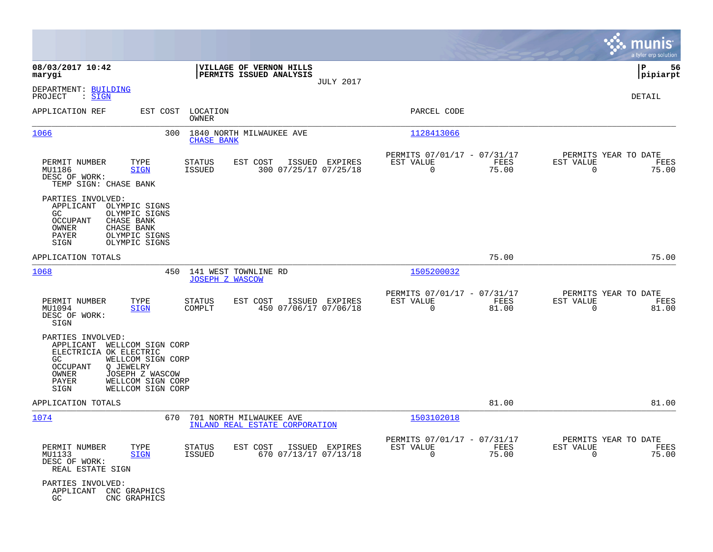|                                                                                                                                                                                                                                 |                                                                                       |                                                                          | munis<br>a tyler erp solution                                     |
|---------------------------------------------------------------------------------------------------------------------------------------------------------------------------------------------------------------------------------|---------------------------------------------------------------------------------------|--------------------------------------------------------------------------|-------------------------------------------------------------------|
| 08/03/2017 10:42<br>marygi                                                                                                                                                                                                      | VILLAGE OF VERNON HILLS<br>PERMITS ISSUED ANALYSIS<br><b>JULY 2017</b>                |                                                                          | ΙP<br>56<br> pipiarpt                                             |
| DEPARTMENT: BUILDING<br>: SIGN<br>PROJECT                                                                                                                                                                                       |                                                                                       |                                                                          | DETAIL                                                            |
| APPLICATION REF<br>EST COST                                                                                                                                                                                                     | LOCATION<br><b>OWNER</b>                                                              | PARCEL CODE                                                              |                                                                   |
| 1066<br>300                                                                                                                                                                                                                     | 1840 NORTH MILWAUKEE AVE<br><b>CHASE BANK</b>                                         | 1128413066                                                               |                                                                   |
| PERMIT NUMBER<br>TYPE<br>MU1186<br><b>SIGN</b><br>DESC OF WORK:<br>TEMP SIGN: CHASE BANK                                                                                                                                        | <b>STATUS</b><br>EST COST<br>ISSUED EXPIRES<br>300 07/25/17 07/25/18<br><b>ISSUED</b> | PERMITS 07/01/17 - 07/31/17<br>EST VALUE<br>FEES<br>$\mathbf 0$<br>75.00 | PERMITS YEAR TO DATE<br>EST VALUE<br>FEES<br>$\mathbf 0$<br>75.00 |
| PARTIES INVOLVED:<br>APPLICANT<br>OLYMPIC SIGNS<br>GC<br>OLYMPIC SIGNS<br><b>OCCUPANT</b><br>CHASE BANK<br>CHASE BANK<br>OWNER<br>OLYMPIC SIGNS<br>PAYER<br>SIGN<br>OLYMPIC SIGNS                                               |                                                                                       |                                                                          |                                                                   |
| APPLICATION TOTALS                                                                                                                                                                                                              |                                                                                       | 75.00                                                                    | 75.00                                                             |
| 1068<br>450                                                                                                                                                                                                                     | 141 WEST TOWNLINE RD<br><b>JOSEPH Z WASCOW</b>                                        | 1505200032                                                               |                                                                   |
| PERMIT NUMBER<br>TYPE<br>MU1094<br><b>SIGN</b><br>DESC OF WORK:<br>SIGN                                                                                                                                                         | <b>STATUS</b><br>EST COST<br>ISSUED EXPIRES<br>450 07/06/17 07/06/18<br>COMPLT        | PERMITS 07/01/17 - 07/31/17<br>EST VALUE<br>FEES<br>$\Omega$<br>81.00    | PERMITS YEAR TO DATE<br>EST VALUE<br>FEES<br>$\Omega$<br>81.00    |
| PARTIES INVOLVED:<br>APPLICANT<br>WELLCOM SIGN CORP<br>ELECTRICIA OK ELECTRIC<br>GC<br>WELLCOM SIGN CORP<br><b>OCCUPANT</b><br>Q JEWELRY<br>OWNER<br>JOSEPH Z WASCOW<br>PAYER<br>WELLCOM SIGN CORP<br>SIGN<br>WELLCOM SIGN CORP |                                                                                       |                                                                          |                                                                   |
| APPLICATION TOTALS                                                                                                                                                                                                              |                                                                                       | 81.00                                                                    | 81.00                                                             |
| 1074<br>670                                                                                                                                                                                                                     | 701 NORTH MILWAUKEE AVE<br>INLAND REAL ESTATE CORPORATION                             | 1503102018                                                               |                                                                   |
| PERMIT NUMBER<br>TYPE<br>MU1133<br><b>SIGN</b><br>DESC OF WORK:<br>REAL ESTATE SIGN                                                                                                                                             | STATUS<br>EST COST<br>ISSUED EXPIRES<br><b>ISSUED</b><br>670 07/13/17 07/13/18        | PERMITS 07/01/17 - 07/31/17<br>EST VALUE<br>FEES<br>$\mathbf 0$<br>75.00 | PERMITS YEAR TO DATE<br>EST VALUE<br>FEES<br>75.00<br>$\mathbf 0$ |
| PARTIES INVOLVED:<br>APPLICANT<br>CNC GRAPHICS<br>GC<br>CNC GRAPHICS                                                                                                                                                            |                                                                                       |                                                                          |                                                                   |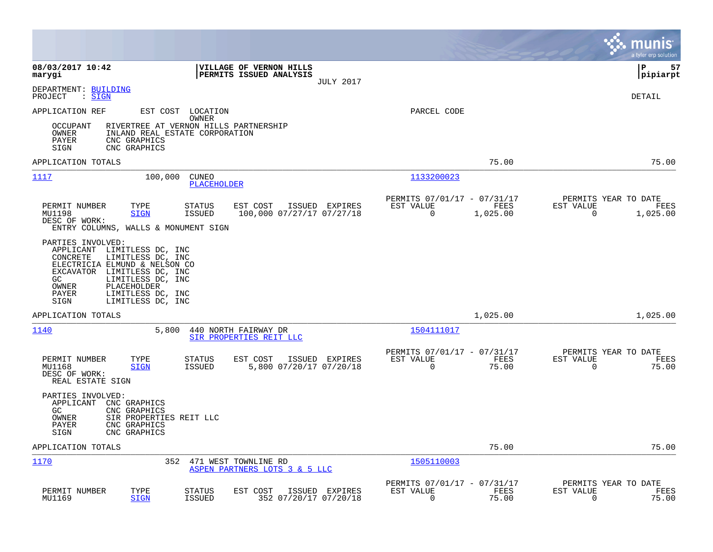|                                                                                                                                                                                                                                                                  |                                                                             | munis<br>a tyler erp solution                                        |
|------------------------------------------------------------------------------------------------------------------------------------------------------------------------------------------------------------------------------------------------------------------|-----------------------------------------------------------------------------|----------------------------------------------------------------------|
| 08/03/2017 10:42<br>VILLAGE OF VERNON HILLS<br>PERMITS ISSUED ANALYSIS<br>marygi<br><b>JULY 2017</b>                                                                                                                                                             |                                                                             | l P<br>57<br> pipiarpt                                               |
| DEPARTMENT: BUILDING<br>$:$ SIGN<br>PROJECT                                                                                                                                                                                                                      |                                                                             | DETAIL                                                               |
| EST COST<br>APPLICATION REF<br>LOCATION                                                                                                                                                                                                                          | PARCEL CODE                                                                 |                                                                      |
| OWNER<br>OCCUPANT<br>RIVERTREE AT VERNON HILLS PARTNERSHIP<br>OWNER<br>INLAND REAL ESTATE CORPORATION<br>PAYER<br>CNC GRAPHICS<br>SIGN<br>CNC GRAPHICS                                                                                                           |                                                                             |                                                                      |
| APPLICATION TOTALS                                                                                                                                                                                                                                               | 75.00                                                                       | 75.00                                                                |
| 1117<br>100,000<br><b>CUNEO</b><br>PLACEHOLDER                                                                                                                                                                                                                   | 1133200023                                                                  |                                                                      |
| PERMIT NUMBER<br>EST COST<br>ISSUED EXPIRES<br>TYPE<br>STATUS<br><b>ISSUED</b><br>100,000 07/27/17 07/27/18<br>MU1198<br><b>SIGN</b><br>DESC OF WORK:<br>ENTRY COLUMNS, WALLS & MONUMENT SIGN                                                                    | PERMITS 07/01/17 - 07/31/17<br>EST VALUE<br>FEES<br>$\mathbf 0$<br>1,025.00 | PERMITS YEAR TO DATE<br>EST VALUE<br>FEES<br>$\mathbf 0$<br>1,025.00 |
| PARTIES INVOLVED:<br>APPLICANT LIMITLESS DC, INC<br>CONCRETE<br>LIMITLESS DC, INC<br>ELECTRICIA ELMUND & NELSON CO<br>EXCAVATOR LIMITLESS DC, INC<br>GC.<br>LIMITLESS DC, INC<br>OWNER<br>PLACEHOLDER<br>PAYER<br>LIMITLESS DC, INC<br>SIGN<br>LIMITLESS DC, INC |                                                                             |                                                                      |
| APPLICATION TOTALS                                                                                                                                                                                                                                               | 1,025.00                                                                    | 1,025.00                                                             |
| 1140<br>5,800<br>440 NORTH FAIRWAY DR<br>SIR PROPERTIES REIT LLC                                                                                                                                                                                                 | 1504111017                                                                  |                                                                      |
| PERMIT NUMBER<br>TYPE<br><b>STATUS</b><br>EST COST<br>ISSUED EXPIRES<br><b>ISSUED</b><br>5,800 07/20/17 07/20/18<br>MU1168<br><b>SIGN</b><br>DESC OF WORK:<br>REAL ESTATE SIGN                                                                                   | PERMITS 07/01/17 - 07/31/17<br>EST VALUE<br>FEES<br>0<br>75.00              | PERMITS YEAR TO DATE<br>EST VALUE<br>FEES<br>$\overline{0}$<br>75.00 |
| PARTIES INVOLVED:<br>APPLICANT<br>CNC GRAPHICS<br>GC<br>CNC GRAPHICS<br>OWNER<br>SIR PROPERTIES REIT LLC<br>PAYER<br>CNC GRAPHICS<br>CNC GRAPHICS<br>SIGN                                                                                                        |                                                                             |                                                                      |
| APPLICATION TOTALS                                                                                                                                                                                                                                               | 75.00                                                                       | 75.00                                                                |
| 1170<br>352<br>471 WEST TOWNLINE RD<br>ASPEN PARTNERS LOTS 3 & 5 LLC                                                                                                                                                                                             | 1505110003                                                                  |                                                                      |
| PERMIT NUMBER<br>TYPE<br>EST COST<br>STATUS<br>ISSUED EXPIRES<br>MU1169<br><b>SIGN</b><br><b>ISSUED</b><br>352 07/20/17 07/20/18                                                                                                                                 | PERMITS 07/01/17 - 07/31/17<br>EST VALUE<br>FEES<br>$\Omega$<br>75.00       | PERMITS YEAR TO DATE<br>EST VALUE<br>FEES<br>0<br>75.00              |